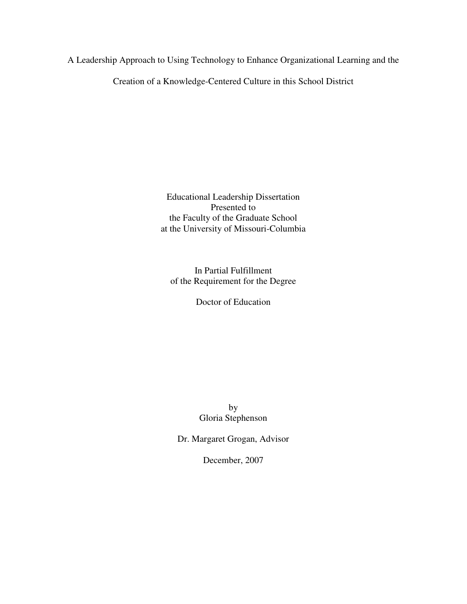A Leadership Approach to Using Technology to Enhance Organizational Learning and the

Creation of a Knowledge-Centered Culture in this School District

Educational Leadership Dissertation Presented to the Faculty of the Graduate School at the University of Missouri-Columbia

In Partial Fulfillment of the Requirement for the Degree

Doctor of Education

by Gloria Stephenson

Dr. Margaret Grogan, Advisor

December, 2007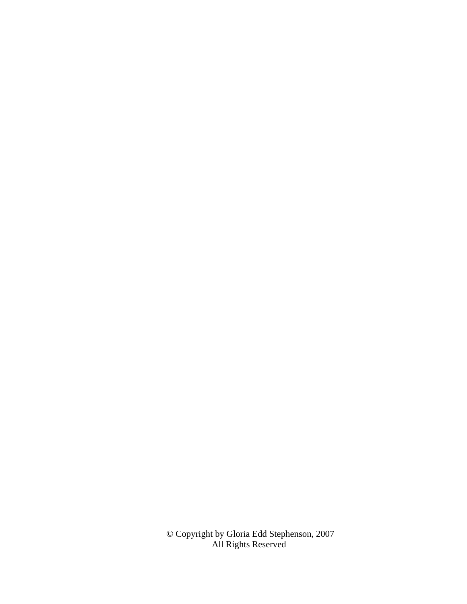© Copyright by Gloria Edd Stephenson, 2007 All Rights Reserved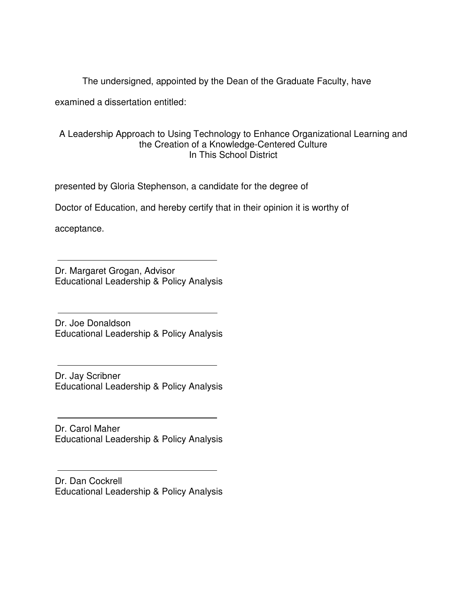The undersigned, appointed by the Dean of the Graduate Faculty, have

examined a dissertation entitled:

# A Leadership Approach to Using Technology to Enhance Organizational Learning and the Creation of a Knowledge-Centered Culture In This School District

presented by Gloria Stephenson, a candidate for the degree of

Doctor of Education, and hereby certify that in their opinion it is worthy of

acceptance.

Dr. Margaret Grogan, Advisor Educational Leadership & Policy Analysis

Dr. Joe Donaldson Educational Leadership & Policy Analysis

Dr. Jay Scribner Educational Leadership & Policy Analysis

Dr. Carol Maher Educational Leadership & Policy Analysis

Dr. Dan Cockrell Educational Leadership & Policy Analysis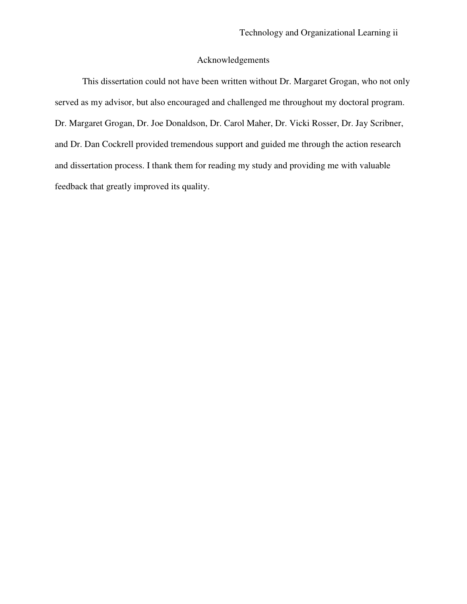# Acknowledgements

This dissertation could not have been written without Dr. Margaret Grogan, who not only served as my advisor, but also encouraged and challenged me throughout my doctoral program. Dr. Margaret Grogan, Dr. Joe Donaldson, Dr. Carol Maher, Dr. Vicki Rosser, Dr. Jay Scribner, and Dr. Dan Cockrell provided tremendous support and guided me through the action research and dissertation process. I thank them for reading my study and providing me with valuable feedback that greatly improved its quality.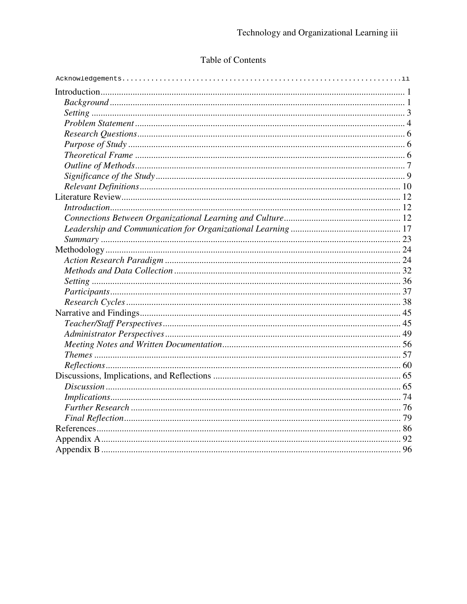# Table of Contents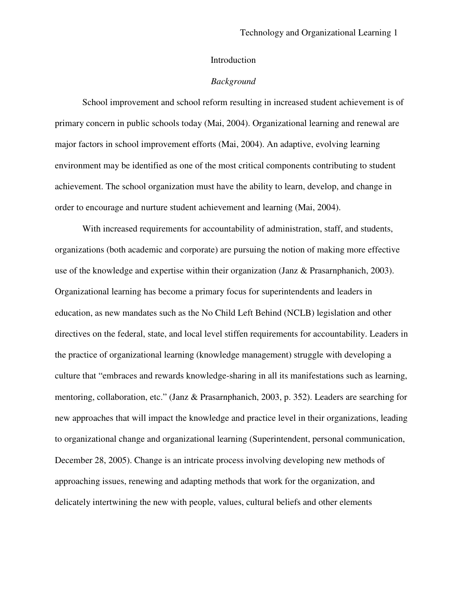#### Introduction

#### *Background*

School improvement and school reform resulting in increased student achievement is of primary concern in public schools today (Mai, 2004). Organizational learning and renewal are major factors in school improvement efforts (Mai, 2004). An adaptive, evolving learning environment may be identified as one of the most critical components contributing to student achievement. The school organization must have the ability to learn, develop, and change in order to encourage and nurture student achievement and learning (Mai, 2004).

With increased requirements for accountability of administration, staff, and students, organizations (both academic and corporate) are pursuing the notion of making more effective use of the knowledge and expertise within their organization (Janz & Prasarnphanich, 2003). Organizational learning has become a primary focus for superintendents and leaders in education, as new mandates such as the No Child Left Behind (NCLB) legislation and other directives on the federal, state, and local level stiffen requirements for accountability. Leaders in the practice of organizational learning (knowledge management) struggle with developing a culture that "embraces and rewards knowledge-sharing in all its manifestations such as learning, mentoring, collaboration, etc." (Janz & Prasarnphanich, 2003, p. 352). Leaders are searching for new approaches that will impact the knowledge and practice level in their organizations, leading to organizational change and organizational learning (Superintendent, personal communication, December 28, 2005). Change is an intricate process involving developing new methods of approaching issues, renewing and adapting methods that work for the organization, and delicately intertwining the new with people, values, cultural beliefs and other elements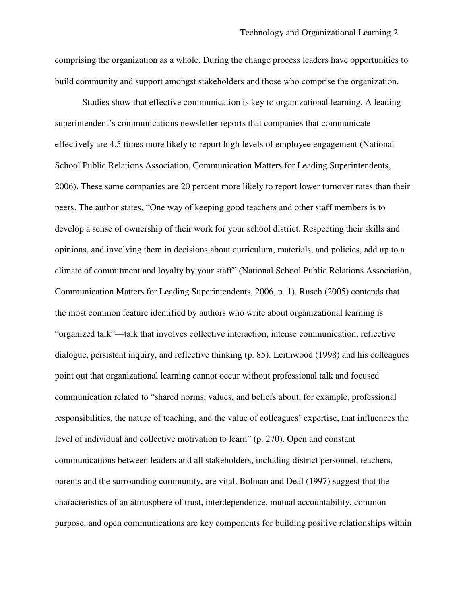comprising the organization as a whole. During the change process leaders have opportunities to build community and support amongst stakeholders and those who comprise the organization.

Studies show that effective communication is key to organizational learning. A leading superintendent's communications newsletter reports that companies that communicate effectively are 4.5 times more likely to report high levels of employee engagement (National School Public Relations Association, Communication Matters for Leading Superintendents, 2006). These same companies are 20 percent more likely to report lower turnover rates than their peers. The author states, "One way of keeping good teachers and other staff members is to develop a sense of ownership of their work for your school district. Respecting their skills and opinions, and involving them in decisions about curriculum, materials, and policies, add up to a climate of commitment and loyalty by your staff" (National School Public Relations Association, Communication Matters for Leading Superintendents, 2006, p. 1). Rusch (2005) contends that the most common feature identified by authors who write about organizational learning is "organized talk"—talk that involves collective interaction, intense communication, reflective dialogue, persistent inquiry, and reflective thinking (p. 85). Leithwood (1998) and his colleagues point out that organizational learning cannot occur without professional talk and focused communication related to "shared norms, values, and beliefs about, for example, professional responsibilities, the nature of teaching, and the value of colleagues' expertise, that influences the level of individual and collective motivation to learn" (p. 270). Open and constant communications between leaders and all stakeholders, including district personnel, teachers, parents and the surrounding community, are vital. Bolman and Deal (1997) suggest that the characteristics of an atmosphere of trust, interdependence, mutual accountability, common purpose, and open communications are key components for building positive relationships within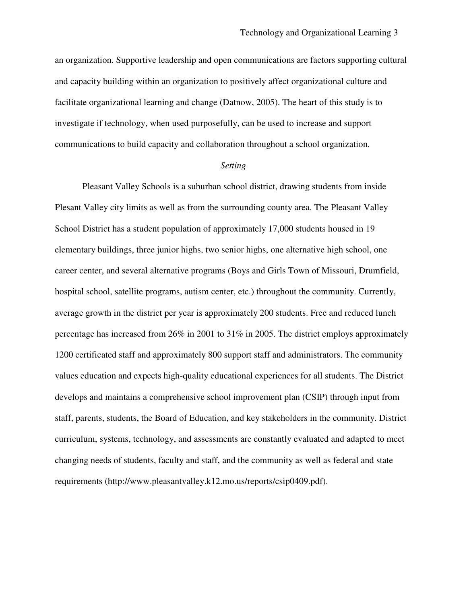an organization. Supportive leadership and open communications are factors supporting cultural and capacity building within an organization to positively affect organizational culture and facilitate organizational learning and change (Datnow, 2005). The heart of this study is to investigate if technology, when used purposefully, can be used to increase and support communications to build capacity and collaboration throughout a school organization.

#### *Setting*

Pleasant Valley Schools is a suburban school district, drawing students from inside Plesant Valley city limits as well as from the surrounding county area. The Pleasant Valley School District has a student population of approximately 17,000 students housed in 19 elementary buildings, three junior highs, two senior highs, one alternative high school, one career center, and several alternative programs (Boys and Girls Town of Missouri, Drumfield, hospital school, satellite programs, autism center, etc.) throughout the community. Currently, average growth in the district per year is approximately 200 students. Free and reduced lunch percentage has increased from 26% in 2001 to 31% in 2005. The district employs approximately 1200 certificated staff and approximately 800 support staff and administrators. The community values education and expects high-quality educational experiences for all students. The District develops and maintains a comprehensive school improvement plan (CSIP) through input from staff, parents, students, the Board of Education, and key stakeholders in the community. District curriculum, systems, technology, and assessments are constantly evaluated and adapted to meet changing needs of students, faculty and staff, and the community as well as federal and state requirements (http://www.pleasantvalley.k12.mo.us/reports/csip0409.pdf).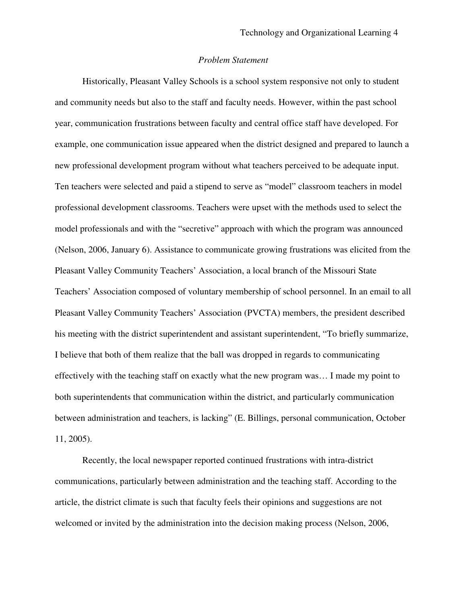## *Problem Statement*

Historically, Pleasant Valley Schools is a school system responsive not only to student and community needs but also to the staff and faculty needs. However, within the past school year, communication frustrations between faculty and central office staff have developed. For example, one communication issue appeared when the district designed and prepared to launch a new professional development program without what teachers perceived to be adequate input. Ten teachers were selected and paid a stipend to serve as "model" classroom teachers in model professional development classrooms. Teachers were upset with the methods used to select the model professionals and with the "secretive" approach with which the program was announced (Nelson, 2006, January 6). Assistance to communicate growing frustrations was elicited from the Pleasant Valley Community Teachers' Association, a local branch of the Missouri State Teachers' Association composed of voluntary membership of school personnel. In an email to all Pleasant Valley Community Teachers' Association (PVCTA) members, the president described his meeting with the district superintendent and assistant superintendent, "To briefly summarize, I believe that both of them realize that the ball was dropped in regards to communicating effectively with the teaching staff on exactly what the new program was… I made my point to both superintendents that communication within the district, and particularly communication between administration and teachers, is lacking" (E. Billings, personal communication, October 11, 2005).

Recently, the local newspaper reported continued frustrations with intra-district communications, particularly between administration and the teaching staff. According to the article, the district climate is such that faculty feels their opinions and suggestions are not welcomed or invited by the administration into the decision making process (Nelson, 2006,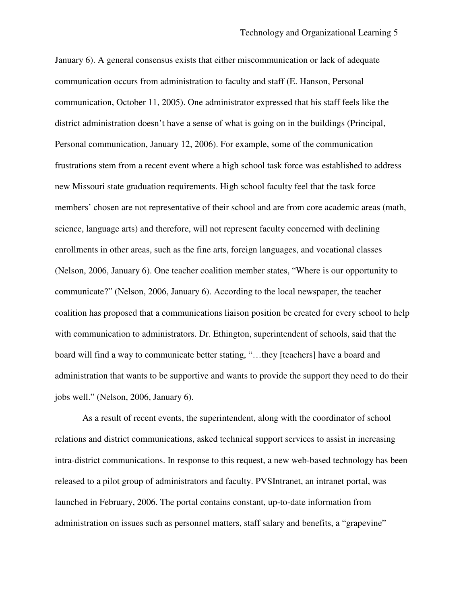January 6). A general consensus exists that either miscommunication or lack of adequate communication occurs from administration to faculty and staff (E. Hanson, Personal communication, October 11, 2005). One administrator expressed that his staff feels like the district administration doesn't have a sense of what is going on in the buildings (Principal, Personal communication, January 12, 2006). For example, some of the communication frustrations stem from a recent event where a high school task force was established to address new Missouri state graduation requirements. High school faculty feel that the task force members' chosen are not representative of their school and are from core academic areas (math, science, language arts) and therefore, will not represent faculty concerned with declining enrollments in other areas, such as the fine arts, foreign languages, and vocational classes (Nelson, 2006, January 6). One teacher coalition member states, "Where is our opportunity to communicate?" (Nelson, 2006, January 6). According to the local newspaper, the teacher coalition has proposed that a communications liaison position be created for every school to help with communication to administrators. Dr. Ethington, superintendent of schools, said that the board will find a way to communicate better stating, "...they [teachers] have a board and administration that wants to be supportive and wants to provide the support they need to do their jobs well." (Nelson, 2006, January 6).

As a result of recent events, the superintendent, along with the coordinator of school relations and district communications, asked technical support services to assist in increasing intra-district communications. In response to this request, a new web-based technology has been released to a pilot group of administrators and faculty. PVSIntranet, an intranet portal, was launched in February, 2006. The portal contains constant, up-to-date information from administration on issues such as personnel matters, staff salary and benefits, a "grapevine"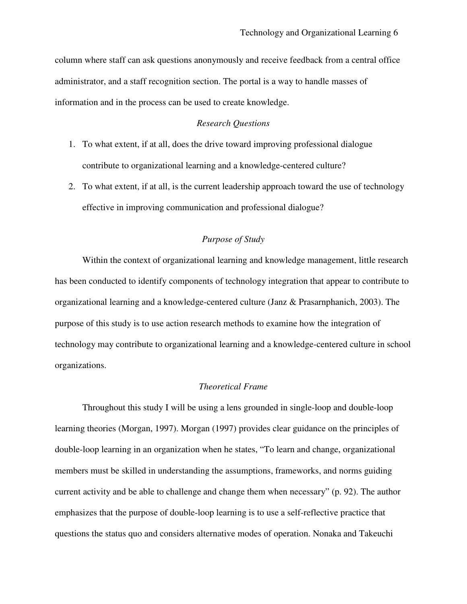column where staff can ask questions anonymously and receive feedback from a central office administrator, and a staff recognition section. The portal is a way to handle masses of information and in the process can be used to create knowledge.

## *Research Questions*

- 1. To what extent, if at all, does the drive toward improving professional dialogue contribute to organizational learning and a knowledge-centered culture?
- 2. To what extent, if at all, is the current leadership approach toward the use of technology effective in improving communication and professional dialogue?

# *Purpose of Study*

Within the context of organizational learning and knowledge management, little research has been conducted to identify components of technology integration that appear to contribute to organizational learning and a knowledge-centered culture (Janz & Prasarnphanich, 2003). The purpose of this study is to use action research methods to examine how the integration of technology may contribute to organizational learning and a knowledge-centered culture in school organizations.

## *Theoretical Frame*

Throughout this study I will be using a lens grounded in single-loop and double-loop learning theories (Morgan, 1997). Morgan (1997) provides clear guidance on the principles of double-loop learning in an organization when he states, "To learn and change, organizational members must be skilled in understanding the assumptions, frameworks, and norms guiding current activity and be able to challenge and change them when necessary" (p. 92). The author emphasizes that the purpose of double-loop learning is to use a self-reflective practice that questions the status quo and considers alternative modes of operation. Nonaka and Takeuchi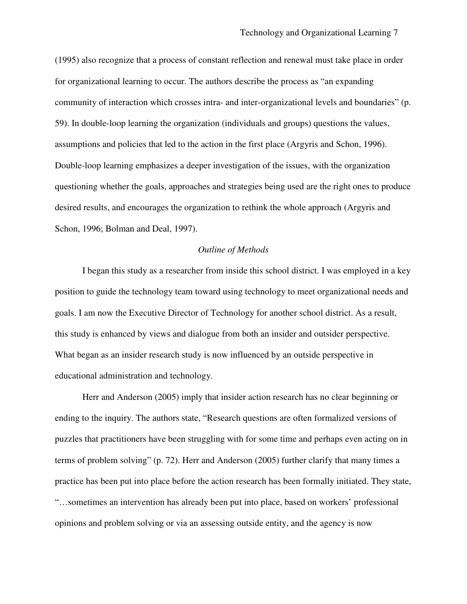(1995) also recognize that a process of constant reflection and renewal must take place in order for organizational learning to occur. The authors describe the process as "an expanding community of interaction which crosses intra- and inter-organizational levels and boundaries" (p. 59). In double-loop learning the organization (individuals and groups) questions the values, assumptions and policies that led to the action in the first place (Argyris and Schon, 1996). Double-loop learning emphasizes a deeper investigation of the issues, with the organization questioning whether the goals, approaches and strategies being used are the right ones to produce desired results, and encourages the organization to rethink the whole approach (Argyris and Schon, 1996; Bolman and Deal, 1997).

#### *Outline of Methods*

I began this study as a researcher from inside this school district. I was employed in a key position to guide the technology team toward using technology to meet organizational needs and goals. I am now the Executive Director of Technology for another school district. As a result, this study is enhanced by views and dialogue from both an insider and outsider perspective. What began as an insider research study is now influenced by an outside perspective in educational administration and technology.

Herr and Anderson (2005) imply that insider action research has no clear beginning or ending to the inquiry. The authors state, "Research questions are often formalized versions of puzzles that practitioners have been struggling with for some time and perhaps even acting on in terms of problem solving" (p. 72). Herr and Anderson (2005) further clarify that many times a practice has been put into place before the action research has been formally initiated. They state, "…sometimes an intervention has already been put into place, based on workers' professional opinions and problem solving or via an assessing outside entity, and the agency is now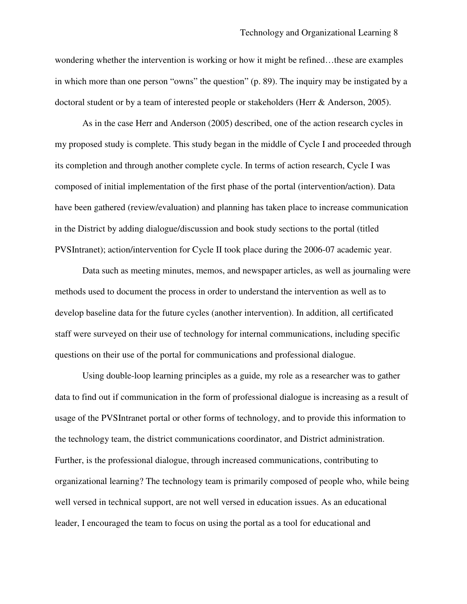wondering whether the intervention is working or how it might be refined…these are examples in which more than one person "owns" the question" (p. 89). The inquiry may be instigated by a doctoral student or by a team of interested people or stakeholders (Herr & Anderson, 2005).

As in the case Herr and Anderson (2005) described, one of the action research cycles in my proposed study is complete. This study began in the middle of Cycle I and proceeded through its completion and through another complete cycle. In terms of action research, Cycle I was composed of initial implementation of the first phase of the portal (intervention/action). Data have been gathered (review/evaluation) and planning has taken place to increase communication in the District by adding dialogue/discussion and book study sections to the portal (titled PVSIntranet); action/intervention for Cycle II took place during the 2006-07 academic year.

Data such as meeting minutes, memos, and newspaper articles, as well as journaling were methods used to document the process in order to understand the intervention as well as to develop baseline data for the future cycles (another intervention). In addition, all certificated staff were surveyed on their use of technology for internal communications, including specific questions on their use of the portal for communications and professional dialogue.

Using double-loop learning principles as a guide, my role as a researcher was to gather data to find out if communication in the form of professional dialogue is increasing as a result of usage of the PVSIntranet portal or other forms of technology, and to provide this information to the technology team, the district communications coordinator, and District administration. Further, is the professional dialogue, through increased communications, contributing to organizational learning? The technology team is primarily composed of people who, while being well versed in technical support, are not well versed in education issues. As an educational leader, I encouraged the team to focus on using the portal as a tool for educational and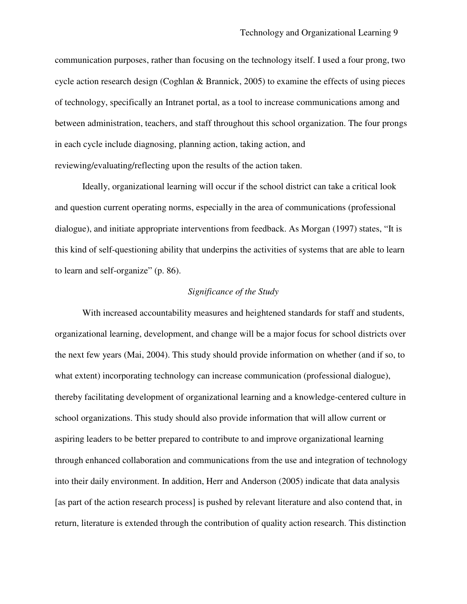communication purposes, rather than focusing on the technology itself. I used a four prong, two cycle action research design (Coghlan & Brannick, 2005) to examine the effects of using pieces of technology, specifically an Intranet portal, as a tool to increase communications among and between administration, teachers, and staff throughout this school organization. The four prongs in each cycle include diagnosing, planning action, taking action, and reviewing/evaluating/reflecting upon the results of the action taken.

Ideally, organizational learning will occur if the school district can take a critical look and question current operating norms, especially in the area of communications (professional dialogue), and initiate appropriate interventions from feedback. As Morgan (1997) states, "It is this kind of self-questioning ability that underpins the activities of systems that are able to learn to learn and self-organize" (p. 86).

#### *Significance of the Study*

With increased accountability measures and heightened standards for staff and students, organizational learning, development, and change will be a major focus for school districts over the next few years (Mai, 2004). This study should provide information on whether (and if so, to what extent) incorporating technology can increase communication (professional dialogue), thereby facilitating development of organizational learning and a knowledge-centered culture in school organizations. This study should also provide information that will allow current or aspiring leaders to be better prepared to contribute to and improve organizational learning through enhanced collaboration and communications from the use and integration of technology into their daily environment. In addition, Herr and Anderson (2005) indicate that data analysis [as part of the action research process] is pushed by relevant literature and also contend that, in return, literature is extended through the contribution of quality action research. This distinction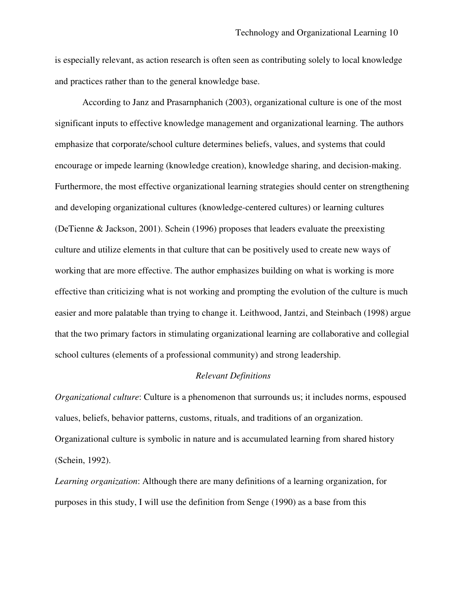is especially relevant, as action research is often seen as contributing solely to local knowledge and practices rather than to the general knowledge base.

According to Janz and Prasarnphanich (2003), organizational culture is one of the most significant inputs to effective knowledge management and organizational learning. The authors emphasize that corporate/school culture determines beliefs, values, and systems that could encourage or impede learning (knowledge creation), knowledge sharing, and decision-making. Furthermore, the most effective organizational learning strategies should center on strengthening and developing organizational cultures (knowledge-centered cultures) or learning cultures (DeTienne & Jackson, 2001). Schein (1996) proposes that leaders evaluate the preexisting culture and utilize elements in that culture that can be positively used to create new ways of working that are more effective. The author emphasizes building on what is working is more effective than criticizing what is not working and prompting the evolution of the culture is much easier and more palatable than trying to change it. Leithwood, Jantzi, and Steinbach (1998) argue that the two primary factors in stimulating organizational learning are collaborative and collegial school cultures (elements of a professional community) and strong leadership.

### *Relevant Definitions*

*Organizational culture*: Culture is a phenomenon that surrounds us; it includes norms, espoused values, beliefs, behavior patterns, customs, rituals, and traditions of an organization. Organizational culture is symbolic in nature and is accumulated learning from shared history (Schein, 1992).

*Learning organization*: Although there are many definitions of a learning organization, for purposes in this study, I will use the definition from Senge (1990) as a base from this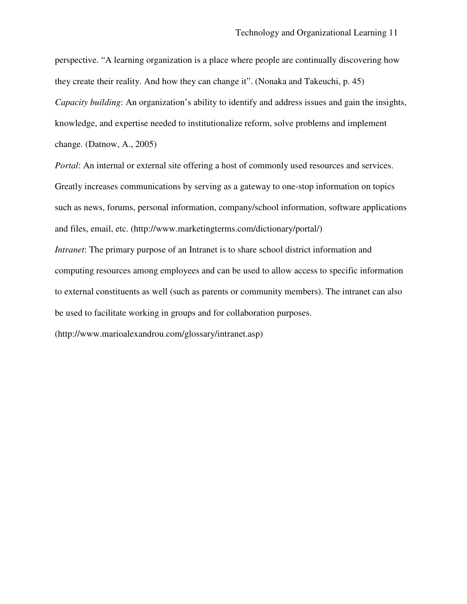perspective. "A learning organization is a place where people are continually discovering how they create their reality. And how they can change it". (Nonaka and Takeuchi, p. 45) *Capacity building*: An organization's ability to identify and address issues and gain the insights, knowledge, and expertise needed to institutionalize reform, solve problems and implement change. (Datnow, A., 2005)

*Portal*: An internal or external site offering a host of commonly used resources and services. Greatly increases communications by serving as a gateway to one-stop information on topics such as news, forums, personal information, company/school information, software applications and files, email, etc. (http://www.marketingterms.com/dictionary/portal/)

*Intranet*: The primary purpose of an Intranet is to share school district information and computing resources among employees and can be used to allow access to specific information to external constituents as well (such as parents or community members). The intranet can also be used to facilitate working in groups and for collaboration purposes.

(http://www.marioalexandrou.com/glossary/intranet.asp)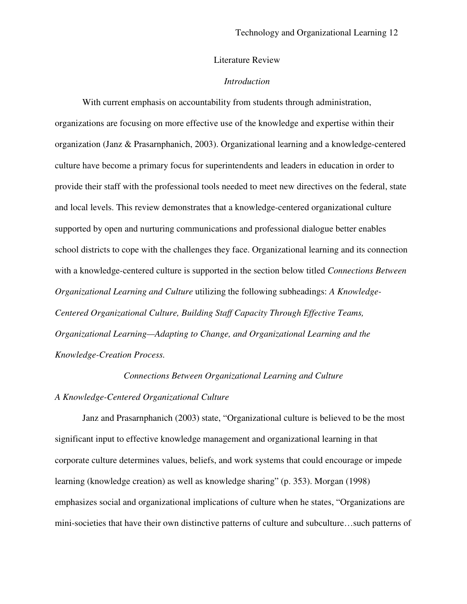# Literature Review

#### *Introduction*

With current emphasis on accountability from students through administration, organizations are focusing on more effective use of the knowledge and expertise within their organization (Janz & Prasarnphanich, 2003). Organizational learning and a knowledge-centered culture have become a primary focus for superintendents and leaders in education in order to provide their staff with the professional tools needed to meet new directives on the federal, state and local levels. This review demonstrates that a knowledge-centered organizational culture supported by open and nurturing communications and professional dialogue better enables school districts to cope with the challenges they face. Organizational learning and its connection with a knowledge-centered culture is supported in the section below titled *Connections Between Organizational Learning and Culture* utilizing the following subheadings: *A Knowledge-Centered Organizational Culture, Building Staff Capacity Through Effective Teams, Organizational Learning—Adapting to Change, and Organizational Learning and the Knowledge-Creation Process.*

*Connections Between Organizational Learning and Culture*

#### *A Knowledge-Centered Organizational Culture*

Janz and Prasarnphanich (2003) state, "Organizational culture is believed to be the most significant input to effective knowledge management and organizational learning in that corporate culture determines values, beliefs, and work systems that could encourage or impede learning (knowledge creation) as well as knowledge sharing" (p. 353). Morgan (1998) emphasizes social and organizational implications of culture when he states, "Organizations are mini-societies that have their own distinctive patterns of culture and subculture…such patterns of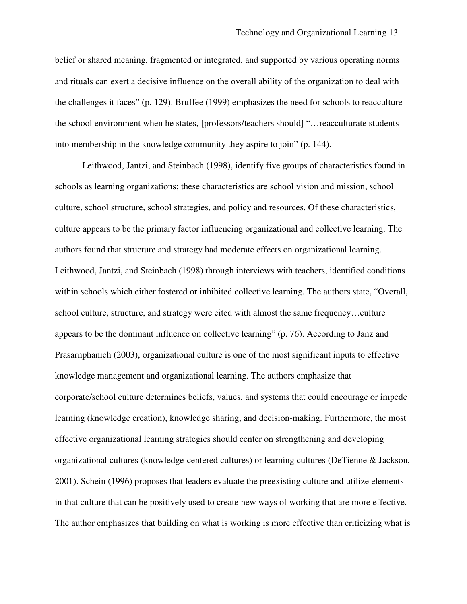belief or shared meaning, fragmented or integrated, and supported by various operating norms and rituals can exert a decisive influence on the overall ability of the organization to deal with the challenges it faces" (p. 129). Bruffee (1999) emphasizes the need for schools to reacculture the school environment when he states, [professors/teachers should] "…reacculturate students into membership in the knowledge community they aspire to join" (p. 144).

Leithwood, Jantzi, and Steinbach (1998), identify five groups of characteristics found in schools as learning organizations; these characteristics are school vision and mission, school culture, school structure, school strategies, and policy and resources. Of these characteristics, culture appears to be the primary factor influencing organizational and collective learning. The authors found that structure and strategy had moderate effects on organizational learning. Leithwood, Jantzi, and Steinbach (1998) through interviews with teachers, identified conditions within schools which either fostered or inhibited collective learning. The authors state, "Overall, school culture, structure, and strategy were cited with almost the same frequency…culture appears to be the dominant influence on collective learning" (p. 76). According to Janz and Prasarnphanich (2003), organizational culture is one of the most significant inputs to effective knowledge management and organizational learning. The authors emphasize that corporate/school culture determines beliefs, values, and systems that could encourage or impede learning (knowledge creation), knowledge sharing, and decision-making. Furthermore, the most effective organizational learning strategies should center on strengthening and developing organizational cultures (knowledge-centered cultures) or learning cultures (DeTienne & Jackson, 2001). Schein (1996) proposes that leaders evaluate the preexisting culture and utilize elements in that culture that can be positively used to create new ways of working that are more effective. The author emphasizes that building on what is working is more effective than criticizing what is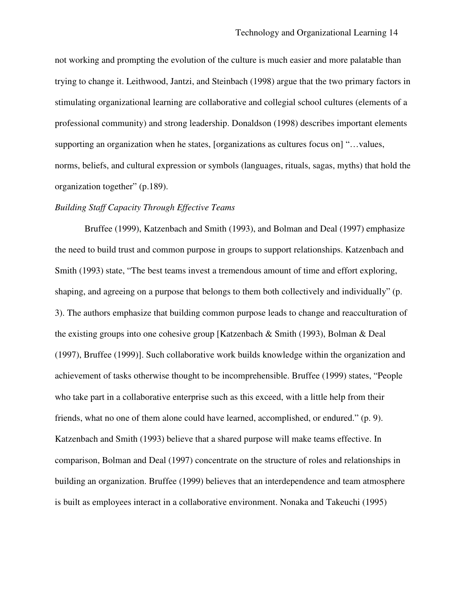not working and prompting the evolution of the culture is much easier and more palatable than trying to change it. Leithwood, Jantzi, and Steinbach (1998) argue that the two primary factors in stimulating organizational learning are collaborative and collegial school cultures (elements of a professional community) and strong leadership. Donaldson (1998) describes important elements supporting an organization when he states, [organizations as cultures focus on] "…values, norms, beliefs, and cultural expression or symbols (languages, rituals, sagas, myths) that hold the organization together" (p.189).

#### *Building Staff Capacity Through Effective Teams*

Bruffee (1999), Katzenbach and Smith (1993), and Bolman and Deal (1997) emphasize the need to build trust and common purpose in groups to support relationships. Katzenbach and Smith (1993) state, "The best teams invest a tremendous amount of time and effort exploring, shaping, and agreeing on a purpose that belongs to them both collectively and individually" (p. 3). The authors emphasize that building common purpose leads to change and reacculturation of the existing groups into one cohesive group [Katzenbach & Smith (1993), Bolman & Deal (1997), Bruffee (1999)]. Such collaborative work builds knowledge within the organization and achievement of tasks otherwise thought to be incomprehensible. Bruffee (1999) states, "People who take part in a collaborative enterprise such as this exceed, with a little help from their friends, what no one of them alone could have learned, accomplished, or endured." (p. 9). Katzenbach and Smith (1993) believe that a shared purpose will make teams effective. In comparison, Bolman and Deal (1997) concentrate on the structure of roles and relationships in building an organization. Bruffee (1999) believes that an interdependence and team atmosphere is built as employees interact in a collaborative environment. Nonaka and Takeuchi (1995)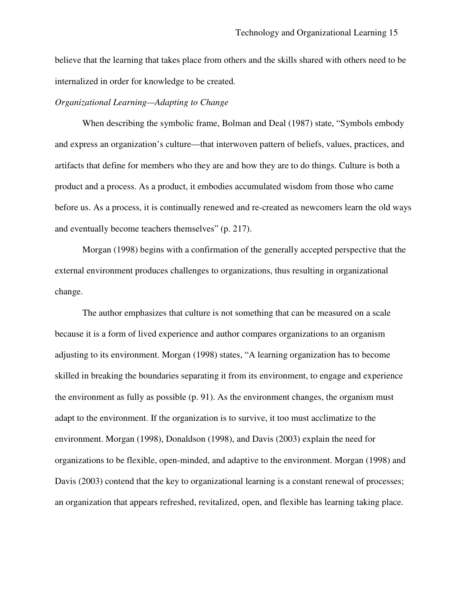believe that the learning that takes place from others and the skills shared with others need to be internalized in order for knowledge to be created.

#### *Organizational Learning—Adapting to Change*

When describing the symbolic frame, Bolman and Deal (1987) state, "Symbols embody and express an organization's culture—that interwoven pattern of beliefs, values, practices, and artifacts that define for members who they are and how they are to do things. Culture is both a product and a process. As a product, it embodies accumulated wisdom from those who came before us. As a process, it is continually renewed and re-created as newcomers learn the old ways and eventually become teachers themselves" (p. 217).

Morgan (1998) begins with a confirmation of the generally accepted perspective that the external environment produces challenges to organizations, thus resulting in organizational change.

The author emphasizes that culture is not something that can be measured on a scale because it is a form of lived experience and author compares organizations to an organism adjusting to its environment. Morgan (1998) states, "A learning organization has to become skilled in breaking the boundaries separating it from its environment, to engage and experience the environment as fully as possible (p. 91). As the environment changes, the organism must adapt to the environment. If the organization is to survive, it too must acclimatize to the environment. Morgan (1998), Donaldson (1998), and Davis (2003) explain the need for organizations to be flexible, open-minded, and adaptive to the environment. Morgan (1998) and Davis (2003) contend that the key to organizational learning is a constant renewal of processes; an organization that appears refreshed, revitalized, open, and flexible has learning taking place.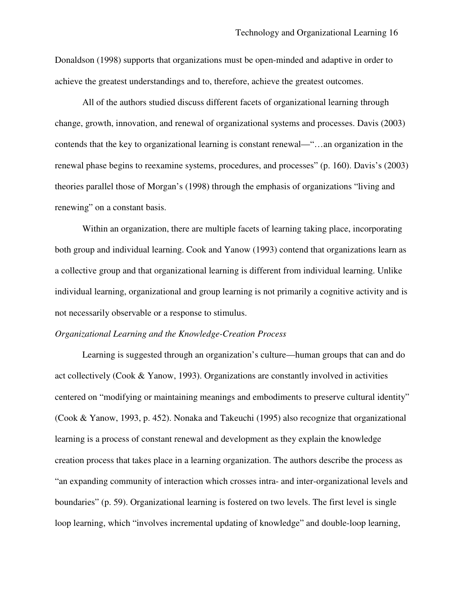Donaldson (1998) supports that organizations must be open-minded and adaptive in order to achieve the greatest understandings and to, therefore, achieve the greatest outcomes.

All of the authors studied discuss different facets of organizational learning through change, growth, innovation, and renewal of organizational systems and processes. Davis (2003) contends that the key to organizational learning is constant renewal—"…an organization in the renewal phase begins to reexamine systems, procedures, and processes" (p. 160). Davis's (2003) theories parallel those of Morgan's (1998) through the emphasis of organizations "living and renewing" on a constant basis.

Within an organization, there are multiple facets of learning taking place, incorporating both group and individual learning. Cook and Yanow (1993) contend that organizations learn as a collective group and that organizational learning is different from individual learning. Unlike individual learning, organizational and group learning is not primarily a cognitive activity and is not necessarily observable or a response to stimulus.

#### *Organizational Learning and the Knowledge-Creation Process*

Learning is suggested through an organization's culture—human groups that can and do act collectively (Cook & Yanow, 1993). Organizations are constantly involved in activities centered on "modifying or maintaining meanings and embodiments to preserve cultural identity" (Cook & Yanow, 1993, p. 452). Nonaka and Takeuchi (1995) also recognize that organizational learning is a process of constant renewal and development as they explain the knowledge creation process that takes place in a learning organization. The authors describe the process as "an expanding community of interaction which crosses intra- and inter-organizational levels and boundaries" (p. 59). Organizational learning is fostered on two levels. The first level is single loop learning, which "involves incremental updating of knowledge" and double-loop learning,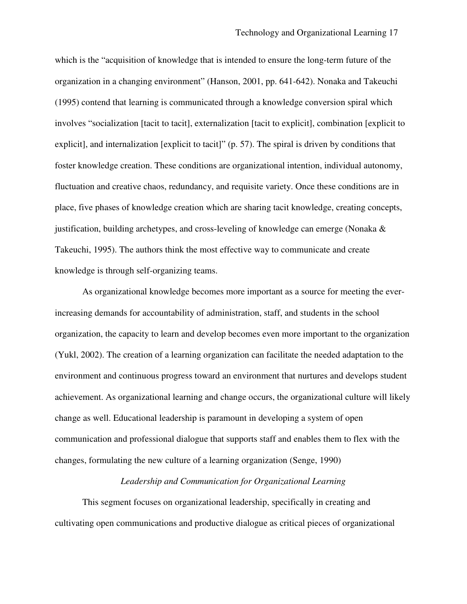which is the "acquisition of knowledge that is intended to ensure the long-term future of the organization in a changing environment" (Hanson, 2001, pp. 641-642). Nonaka and Takeuchi (1995) contend that learning is communicated through a knowledge conversion spiral which involves "socialization [tacit to tacit], externalization [tacit to explicit], combination [explicit to explicit], and internalization [explicit to tacit]" (p. 57). The spiral is driven by conditions that foster knowledge creation. These conditions are organizational intention, individual autonomy, fluctuation and creative chaos, redundancy, and requisite variety. Once these conditions are in place, five phases of knowledge creation which are sharing tacit knowledge, creating concepts, justification, building archetypes, and cross-leveling of knowledge can emerge (Nonaka  $\&$ Takeuchi, 1995). The authors think the most effective way to communicate and create knowledge is through self-organizing teams.

As organizational knowledge becomes more important as a source for meeting the everincreasing demands for accountability of administration, staff, and students in the school organization, the capacity to learn and develop becomes even more important to the organization (Yukl, 2002). The creation of a learning organization can facilitate the needed adaptation to the environment and continuous progress toward an environment that nurtures and develops student achievement. As organizational learning and change occurs, the organizational culture will likely change as well. Educational leadership is paramount in developing a system of open communication and professional dialogue that supports staff and enables them to flex with the changes, formulating the new culture of a learning organization (Senge, 1990)

#### *Leadership and Communication for Organizational Learning*

This segment focuses on organizational leadership, specifically in creating and cultivating open communications and productive dialogue as critical pieces of organizational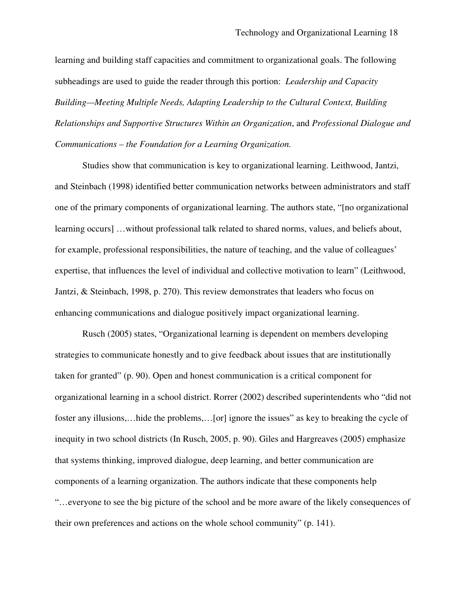learning and building staff capacities and commitment to organizational goals. The following subheadings are used to guide the reader through this portion: *Leadership and Capacity Building—Meeting Multiple Needs, Adapting Leadership to the Cultural Context, Building Relationships and Supportive Structures Within an Organization*, and *Professional Dialogue and Communications – the Foundation for a Learning Organization.*

Studies show that communication is key to organizational learning. Leithwood, Jantzi, and Steinbach (1998) identified better communication networks between administrators and staff one of the primary components of organizational learning. The authors state, "[no organizational learning occurs] …without professional talk related to shared norms, values, and beliefs about, for example, professional responsibilities, the nature of teaching, and the value of colleagues' expertise, that influences the level of individual and collective motivation to learn" (Leithwood, Jantzi, & Steinbach, 1998, p. 270). This review demonstrates that leaders who focus on enhancing communications and dialogue positively impact organizational learning.

Rusch (2005) states, "Organizational learning is dependent on members developing strategies to communicate honestly and to give feedback about issues that are institutionally taken for granted" (p. 90). Open and honest communication is a critical component for organizational learning in a school district. Rorrer (2002) described superintendents who "did not foster any illusions,…hide the problems,…[or] ignore the issues" as key to breaking the cycle of inequity in two school districts (In Rusch, 2005, p. 90). Giles and Hargreaves (2005) emphasize that systems thinking, improved dialogue, deep learning, and better communication are components of a learning organization. The authors indicate that these components help "…everyone to see the big picture of the school and be more aware of the likely consequences of their own preferences and actions on the whole school community" (p. 141).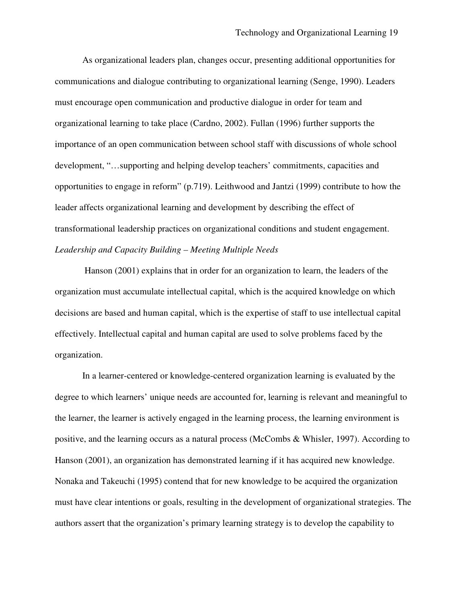As organizational leaders plan, changes occur, presenting additional opportunities for communications and dialogue contributing to organizational learning (Senge, 1990). Leaders must encourage open communication and productive dialogue in order for team and organizational learning to take place (Cardno, 2002). Fullan (1996) further supports the importance of an open communication between school staff with discussions of whole school development, "…supporting and helping develop teachers' commitments, capacities and opportunities to engage in reform" (p.719). Leithwood and Jantzi (1999) contribute to how the leader affects organizational learning and development by describing the effect of transformational leadership practices on organizational conditions and student engagement. *Leadership and Capacity Building – Meeting Multiple Needs*

Hanson (2001) explains that in order for an organization to learn, the leaders of the organization must accumulate intellectual capital, which is the acquired knowledge on which decisions are based and human capital, which is the expertise of staff to use intellectual capital effectively. Intellectual capital and human capital are used to solve problems faced by the organization.

In a learner-centered or knowledge-centered organization learning is evaluated by the degree to which learners' unique needs are accounted for, learning is relevant and meaningful to the learner, the learner is actively engaged in the learning process, the learning environment is positive, and the learning occurs as a natural process (McCombs & Whisler, 1997). According to Hanson (2001), an organization has demonstrated learning if it has acquired new knowledge. Nonaka and Takeuchi (1995) contend that for new knowledge to be acquired the organization must have clear intentions or goals, resulting in the development of organizational strategies. The authors assert that the organization's primary learning strategy is to develop the capability to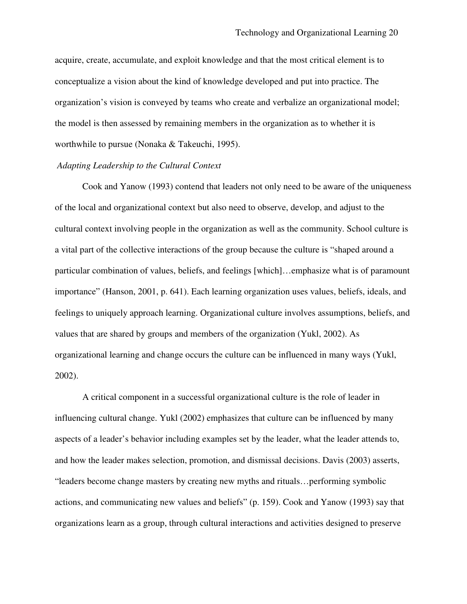acquire, create, accumulate, and exploit knowledge and that the most critical element is to conceptualize a vision about the kind of knowledge developed and put into practice. The organization's vision is conveyed by teams who create and verbalize an organizational model; the model is then assessed by remaining members in the organization as to whether it is worthwhile to pursue (Nonaka & Takeuchi, 1995).

# *Adapting Leadership to the Cultural Context*

Cook and Yanow (1993) contend that leaders not only need to be aware of the uniqueness of the local and organizational context but also need to observe, develop, and adjust to the cultural context involving people in the organization as well as the community. School culture is a vital part of the collective interactions of the group because the culture is "shaped around a particular combination of values, beliefs, and feelings [which]…emphasize what is of paramount importance" (Hanson, 2001, p. 641). Each learning organization uses values, beliefs, ideals, and feelings to uniquely approach learning. Organizational culture involves assumptions, beliefs, and values that are shared by groups and members of the organization (Yukl, 2002). As organizational learning and change occurs the culture can be influenced in many ways (Yukl, 2002).

A critical component in a successful organizational culture is the role of leader in influencing cultural change. Yukl (2002) emphasizes that culture can be influenced by many aspects of a leader's behavior including examples set by the leader, what the leader attends to, and how the leader makes selection, promotion, and dismissal decisions. Davis (2003) asserts, "leaders become change masters by creating new myths and rituals…performing symbolic actions, and communicating new values and beliefs" (p. 159). Cook and Yanow (1993) say that organizations learn as a group, through cultural interactions and activities designed to preserve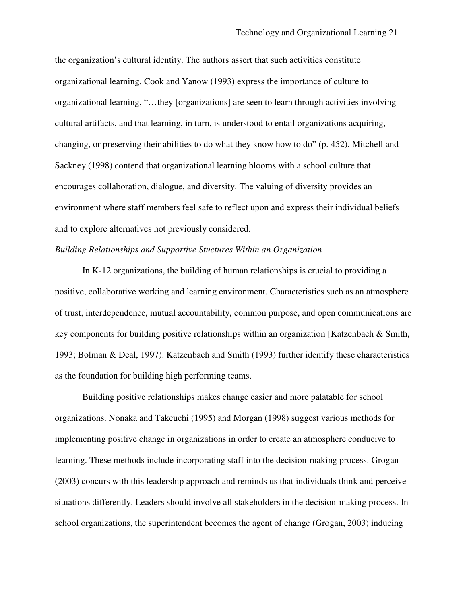the organization's cultural identity. The authors assert that such activities constitute organizational learning. Cook and Yanow (1993) express the importance of culture to organizational learning, "…they [organizations] are seen to learn through activities involving cultural artifacts, and that learning, in turn, is understood to entail organizations acquiring, changing, or preserving their abilities to do what they know how to do" (p. 452). Mitchell and Sackney (1998) contend that organizational learning blooms with a school culture that encourages collaboration, dialogue, and diversity. The valuing of diversity provides an environment where staff members feel safe to reflect upon and express their individual beliefs and to explore alternatives not previously considered.

# *Building Relationships and Supportive Stuctures Within an Organization*

In K-12 organizations, the building of human relationships is crucial to providing a positive, collaborative working and learning environment. Characteristics such as an atmosphere of trust, interdependence, mutual accountability, common purpose, and open communications are key components for building positive relationships within an organization [Katzenbach & Smith, 1993; Bolman & Deal, 1997). Katzenbach and Smith (1993) further identify these characteristics as the foundation for building high performing teams.

Building positive relationships makes change easier and more palatable for school organizations. Nonaka and Takeuchi (1995) and Morgan (1998) suggest various methods for implementing positive change in organizations in order to create an atmosphere conducive to learning. These methods include incorporating staff into the decision-making process. Grogan (2003) concurs with this leadership approach and reminds us that individuals think and perceive situations differently. Leaders should involve all stakeholders in the decision-making process. In school organizations, the superintendent becomes the agent of change (Grogan, 2003) inducing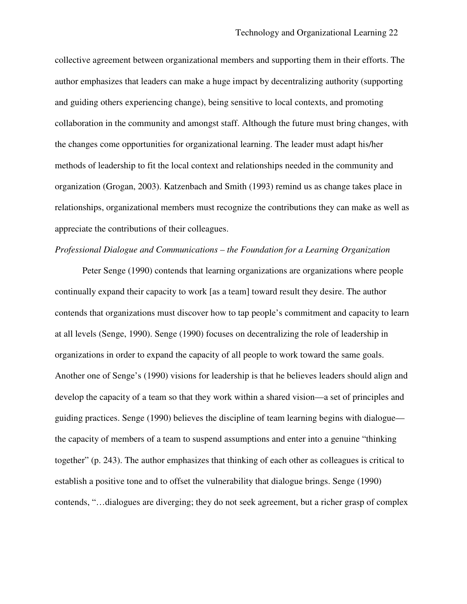collective agreement between organizational members and supporting them in their efforts. The author emphasizes that leaders can make a huge impact by decentralizing authority (supporting and guiding others experiencing change), being sensitive to local contexts, and promoting collaboration in the community and amongst staff. Although the future must bring changes, with the changes come opportunities for organizational learning. The leader must adapt his/her methods of leadership to fit the local context and relationships needed in the community and organization (Grogan, 2003). Katzenbach and Smith (1993) remind us as change takes place in relationships, organizational members must recognize the contributions they can make as well as appreciate the contributions of their colleagues.

# *Professional Dialogue and Communications – the Foundation for a Learning Organization*

Peter Senge (1990) contends that learning organizations are organizations where people continually expand their capacity to work [as a team] toward result they desire. The author contends that organizations must discover how to tap people's commitment and capacity to learn at all levels (Senge, 1990). Senge (1990) focuses on decentralizing the role of leadership in organizations in order to expand the capacity of all people to work toward the same goals. Another one of Senge's (1990) visions for leadership is that he believes leaders should align and develop the capacity of a team so that they work within a shared vision—a set of principles and guiding practices. Senge (1990) believes the discipline of team learning begins with dialogue the capacity of members of a team to suspend assumptions and enter into a genuine "thinking together" (p. 243). The author emphasizes that thinking of each other as colleagues is critical to establish a positive tone and to offset the vulnerability that dialogue brings. Senge (1990) contends, "…dialogues are diverging; they do not seek agreement, but a richer grasp of complex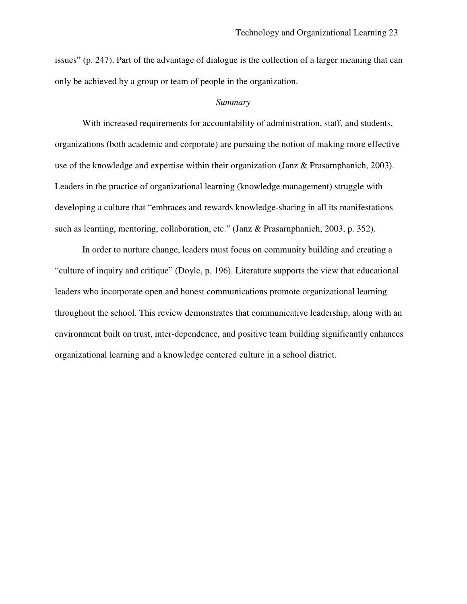issues" (p. 247). Part of the advantage of dialogue is the collection of a larger meaning that can only be achieved by a group or team of people in the organization.

#### *Summary*

With increased requirements for accountability of administration, staff, and students, organizations (both academic and corporate) are pursuing the notion of making more effective use of the knowledge and expertise within their organization (Janz & Prasarnphanich, 2003). Leaders in the practice of organizational learning (knowledge management) struggle with developing a culture that "embraces and rewards knowledge-sharing in all its manifestations such as learning, mentoring, collaboration, etc." (Janz & Prasarnphanich, 2003, p. 352).

In order to nurture change, leaders must focus on community building and creating a "culture of inquiry and critique" (Doyle, p. 196). Literature supports the view that educational leaders who incorporate open and honest communications promote organizational learning throughout the school. This review demonstrates that communicative leadership, along with an environment built on trust, inter-dependence, and positive team building significantly enhances organizational learning and a knowledge centered culture in a school district.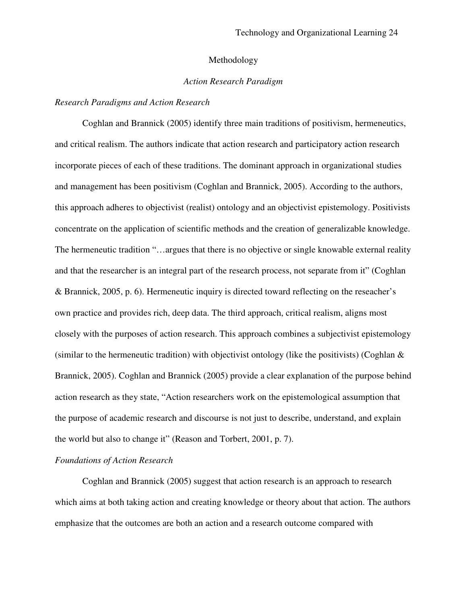#### Methodology

#### *Action Research Paradigm*

#### *Research Paradigms and Action Research*

Coghlan and Brannick (2005) identify three main traditions of positivism, hermeneutics, and critical realism. The authors indicate that action research and participatory action research incorporate pieces of each of these traditions. The dominant approach in organizational studies and management has been positivism (Coghlan and Brannick, 2005). According to the authors, this approach adheres to objectivist (realist) ontology and an objectivist epistemology. Positivists concentrate on the application of scientific methods and the creation of generalizable knowledge. The hermeneutic tradition "…argues that there is no objective or single knowable external reality and that the researcher is an integral part of the research process, not separate from it" (Coghlan & Brannick, 2005, p. 6). Hermeneutic inquiry is directed toward reflecting on the reseacher's own practice and provides rich, deep data. The third approach, critical realism, aligns most closely with the purposes of action research. This approach combines a subjectivist epistemology (similar to the hermeneutic tradition) with objectivist ontology (like the positivists) (Coghlan & Brannick, 2005). Coghlan and Brannick (2005) provide a clear explanation of the purpose behind action research as they state, "Action researchers work on the epistemological assumption that the purpose of academic research and discourse is not just to describe, understand, and explain the world but also to change it" (Reason and Torbert, 2001, p. 7).

### *Foundations of Action Research*

Coghlan and Brannick (2005) suggest that action research is an approach to research which aims at both taking action and creating knowledge or theory about that action. The authors emphasize that the outcomes are both an action and a research outcome compared with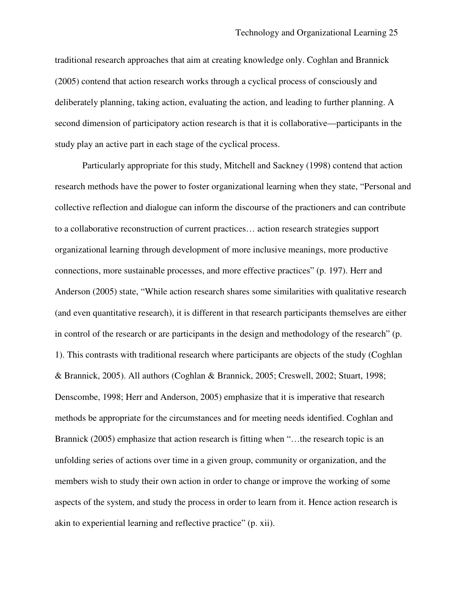traditional research approaches that aim at creating knowledge only. Coghlan and Brannick (2005) contend that action research works through a cyclical process of consciously and deliberately planning, taking action, evaluating the action, and leading to further planning. A second dimension of participatory action research is that it is collaborative—participants in the study play an active part in each stage of the cyclical process.

Particularly appropriate for this study, Mitchell and Sackney (1998) contend that action research methods have the power to foster organizational learning when they state, "Personal and collective reflection and dialogue can inform the discourse of the practioners and can contribute to a collaborative reconstruction of current practices… action research strategies support organizational learning through development of more inclusive meanings, more productive connections, more sustainable processes, and more effective practices" (p. 197). Herr and Anderson (2005) state, "While action research shares some similarities with qualitative research (and even quantitative research), it is different in that research participants themselves are either in control of the research or are participants in the design and methodology of the research" (p. 1). This contrasts with traditional research where participants are objects of the study (Coghlan & Brannick, 2005). All authors (Coghlan & Brannick, 2005; Creswell, 2002; Stuart, 1998; Denscombe, 1998; Herr and Anderson, 2005) emphasize that it is imperative that research methods be appropriate for the circumstances and for meeting needs identified. Coghlan and Brannick (2005) emphasize that action research is fitting when "…the research topic is an unfolding series of actions over time in a given group, community or organization, and the members wish to study their own action in order to change or improve the working of some aspects of the system, and study the process in order to learn from it. Hence action research is akin to experiential learning and reflective practice" (p. xii).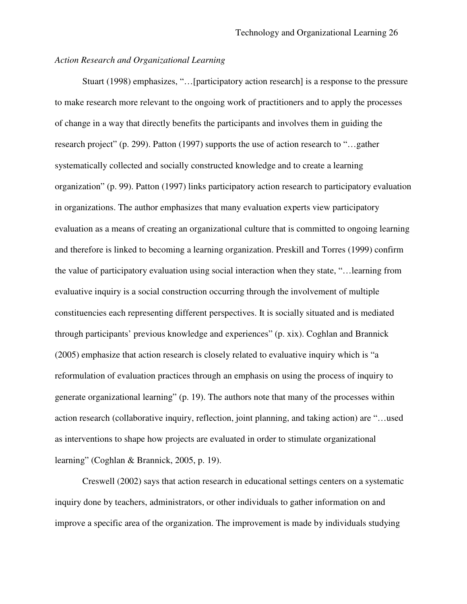# *Action Research and Organizational Learning*

Stuart (1998) emphasizes, "…[participatory action research] is a response to the pressure to make research more relevant to the ongoing work of practitioners and to apply the processes of change in a way that directly benefits the participants and involves them in guiding the research project" (p. 299). Patton (1997) supports the use of action research to "…gather systematically collected and socially constructed knowledge and to create a learning organization" (p. 99). Patton (1997) links participatory action research to participatory evaluation in organizations. The author emphasizes that many evaluation experts view participatory evaluation as a means of creating an organizational culture that is committed to ongoing learning and therefore is linked to becoming a learning organization. Preskill and Torres (1999) confirm the value of participatory evaluation using social interaction when they state, "…learning from evaluative inquiry is a social construction occurring through the involvement of multiple constituencies each representing different perspectives. It is socially situated and is mediated through participants' previous knowledge and experiences" (p. xix). Coghlan and Brannick (2005) emphasize that action research is closely related to evaluative inquiry which is "a reformulation of evaluation practices through an emphasis on using the process of inquiry to generate organizational learning" (p. 19). The authors note that many of the processes within action research (collaborative inquiry, reflection, joint planning, and taking action) are "…used as interventions to shape how projects are evaluated in order to stimulate organizational learning" (Coghlan & Brannick, 2005, p. 19).

Creswell (2002) says that action research in educational settings centers on a systematic inquiry done by teachers, administrators, or other individuals to gather information on and improve a specific area of the organization. The improvement is made by individuals studying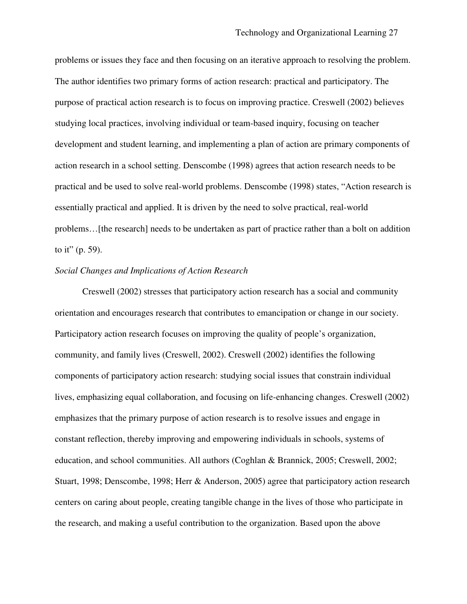problems or issues they face and then focusing on an iterative approach to resolving the problem. The author identifies two primary forms of action research: practical and participatory. The purpose of practical action research is to focus on improving practice. Creswell (2002) believes studying local practices, involving individual or team-based inquiry, focusing on teacher development and student learning, and implementing a plan of action are primary components of action research in a school setting. Denscombe (1998) agrees that action research needs to be practical and be used to solve real-world problems. Denscombe (1998) states, "Action research is essentially practical and applied. It is driven by the need to solve practical, real-world problems…[the research] needs to be undertaken as part of practice rather than a bolt on addition to it" (p. 59).

## *Social Changes and Implications of Action Research*

Creswell (2002) stresses that participatory action research has a social and community orientation and encourages research that contributes to emancipation or change in our society. Participatory action research focuses on improving the quality of people's organization, community, and family lives (Creswell, 2002). Creswell (2002) identifies the following components of participatory action research: studying social issues that constrain individual lives, emphasizing equal collaboration, and focusing on life-enhancing changes. Creswell (2002) emphasizes that the primary purpose of action research is to resolve issues and engage in constant reflection, thereby improving and empowering individuals in schools, systems of education, and school communities. All authors (Coghlan & Brannick, 2005; Creswell, 2002; Stuart, 1998; Denscombe, 1998; Herr & Anderson, 2005) agree that participatory action research centers on caring about people, creating tangible change in the lives of those who participate in the research, and making a useful contribution to the organization. Based upon the above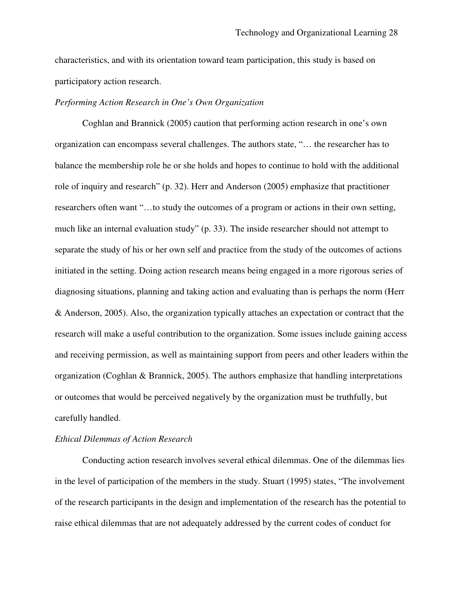characteristics, and with its orientation toward team participation, this study is based on participatory action research.

#### *Performing Action Research in One's Own Organization*

Coghlan and Brannick (2005) caution that performing action research in one's own organization can encompass several challenges. The authors state, "… the researcher has to balance the membership role he or she holds and hopes to continue to hold with the additional role of inquiry and research" (p. 32). Herr and Anderson (2005) emphasize that practitioner researchers often want "…to study the outcomes of a program or actions in their own setting, much like an internal evaluation study" (p. 33). The inside researcher should not attempt to separate the study of his or her own self and practice from the study of the outcomes of actions initiated in the setting. Doing action research means being engaged in a more rigorous series of diagnosing situations, planning and taking action and evaluating than is perhaps the norm (Herr & Anderson, 2005). Also, the organization typically attaches an expectation or contract that the research will make a useful contribution to the organization. Some issues include gaining access and receiving permission, as well as maintaining support from peers and other leaders within the organization (Coghlan & Brannick, 2005). The authors emphasize that handling interpretations or outcomes that would be perceived negatively by the organization must be truthfully, but carefully handled.

#### *Ethical Dilemmas of Action Research*

Conducting action research involves several ethical dilemmas. One of the dilemmas lies in the level of participation of the members in the study. Stuart (1995) states, "The involvement of the research participants in the design and implementation of the research has the potential to raise ethical dilemmas that are not adequately addressed by the current codes of conduct for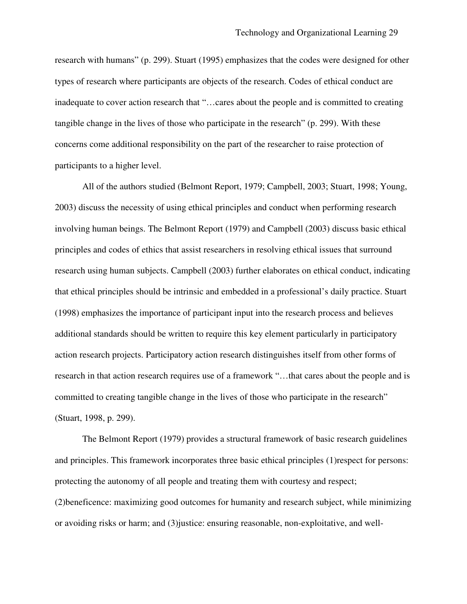research with humans" (p. 299). Stuart (1995) emphasizes that the codes were designed for other types of research where participants are objects of the research. Codes of ethical conduct are inadequate to cover action research that "…cares about the people and is committed to creating tangible change in the lives of those who participate in the research" (p. 299). With these concerns come additional responsibility on the part of the researcher to raise protection of participants to a higher level.

All of the authors studied (Belmont Report, 1979; Campbell, 2003; Stuart, 1998; Young, 2003) discuss the necessity of using ethical principles and conduct when performing research involving human beings. The Belmont Report (1979) and Campbell (2003) discuss basic ethical principles and codes of ethics that assist researchers in resolving ethical issues that surround research using human subjects. Campbell (2003) further elaborates on ethical conduct, indicating that ethical principles should be intrinsic and embedded in a professional's daily practice. Stuart (1998) emphasizes the importance of participant input into the research process and believes additional standards should be written to require this key element particularly in participatory action research projects. Participatory action research distinguishes itself from other forms of research in that action research requires use of a framework "…that cares about the people and is committed to creating tangible change in the lives of those who participate in the research" (Stuart, 1998, p. 299).

The Belmont Report (1979) provides a structural framework of basic research guidelines and principles. This framework incorporates three basic ethical principles (1)respect for persons: protecting the autonomy of all people and treating them with courtesy and respect; (2)beneficence: maximizing good outcomes for humanity and research subject, while minimizing or avoiding risks or harm; and (3)justice: ensuring reasonable, non-exploitative, and well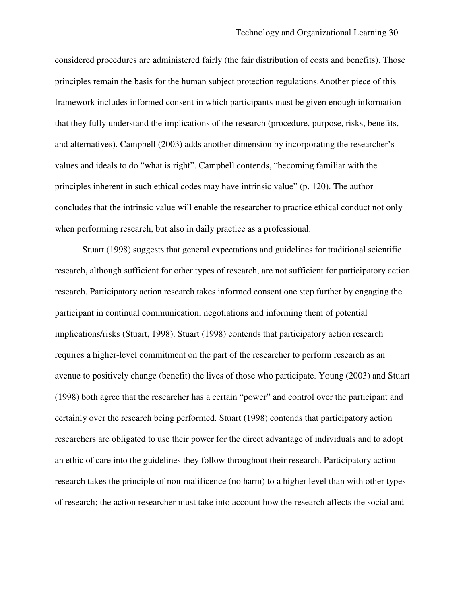considered procedures are administered fairly (the fair distribution of costs and benefits). Those principles remain the basis for the human subject protection regulations.Another piece of this framework includes informed consent in which participants must be given enough information that they fully understand the implications of the research (procedure, purpose, risks, benefits, and alternatives). Campbell (2003) adds another dimension by incorporating the researcher's values and ideals to do "what is right". Campbell contends, "becoming familiar with the principles inherent in such ethical codes may have intrinsic value" (p. 120). The author concludes that the intrinsic value will enable the researcher to practice ethical conduct not only when performing research, but also in daily practice as a professional.

Stuart (1998) suggests that general expectations and guidelines for traditional scientific research, although sufficient for other types of research, are not sufficient for participatory action research. Participatory action research takes informed consent one step further by engaging the participant in continual communication, negotiations and informing them of potential implications/risks (Stuart, 1998). Stuart (1998) contends that participatory action research requires a higher-level commitment on the part of the researcher to perform research as an avenue to positively change (benefit) the lives of those who participate. Young (2003) and Stuart (1998) both agree that the researcher has a certain "power" and control over the participant and certainly over the research being performed. Stuart (1998) contends that participatory action researchers are obligated to use their power for the direct advantage of individuals and to adopt an ethic of care into the guidelines they follow throughout their research. Participatory action research takes the principle of non-malificence (no harm) to a higher level than with other types of research; the action researcher must take into account how the research affects the social and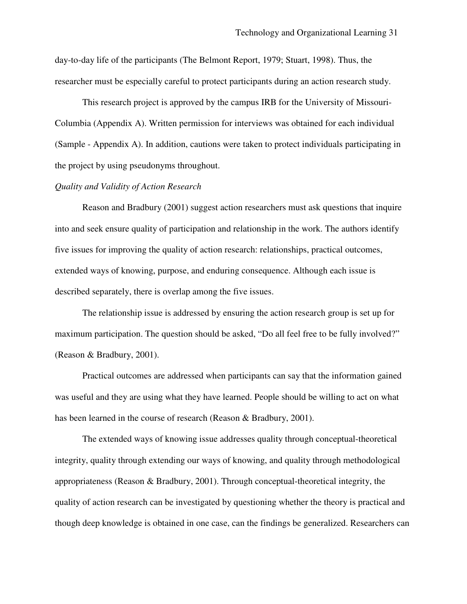day-to-day life of the participants (The Belmont Report, 1979; Stuart, 1998). Thus, the researcher must be especially careful to protect participants during an action research study.

This research project is approved by the campus IRB for the University of Missouri-Columbia (Appendix A). Written permission for interviews was obtained for each individual (Sample - Appendix A). In addition, cautions were taken to protect individuals participating in the project by using pseudonyms throughout.

#### *Quality and Validity of Action Research*

Reason and Bradbury (2001) suggest action researchers must ask questions that inquire into and seek ensure quality of participation and relationship in the work. The authors identify five issues for improving the quality of action research: relationships, practical outcomes, extended ways of knowing, purpose, and enduring consequence. Although each issue is described separately, there is overlap among the five issues.

The relationship issue is addressed by ensuring the action research group is set up for maximum participation. The question should be asked, "Do all feel free to be fully involved?" (Reason & Bradbury, 2001).

Practical outcomes are addressed when participants can say that the information gained was useful and they are using what they have learned. People should be willing to act on what has been learned in the course of research (Reason & Bradbury, 2001).

The extended ways of knowing issue addresses quality through conceptual-theoretical integrity, quality through extending our ways of knowing, and quality through methodological appropriateness (Reason & Bradbury, 2001). Through conceptual-theoretical integrity, the quality of action research can be investigated by questioning whether the theory is practical and though deep knowledge is obtained in one case, can the findings be generalized. Researchers can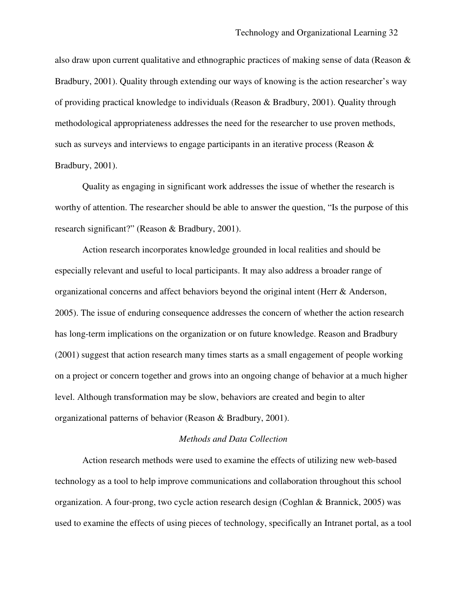also draw upon current qualitative and ethnographic practices of making sense of data (Reason & Bradbury, 2001). Quality through extending our ways of knowing is the action researcher's way of providing practical knowledge to individuals (Reason & Bradbury, 2001). Quality through methodological appropriateness addresses the need for the researcher to use proven methods, such as surveys and interviews to engage participants in an iterative process (Reason  $\&$ Bradbury, 2001).

Quality as engaging in significant work addresses the issue of whether the research is worthy of attention. The researcher should be able to answer the question, "Is the purpose of this research significant?" (Reason & Bradbury, 2001).

Action research incorporates knowledge grounded in local realities and should be especially relevant and useful to local participants. It may also address a broader range of organizational concerns and affect behaviors beyond the original intent (Herr & Anderson, 2005). The issue of enduring consequence addresses the concern of whether the action research has long-term implications on the organization or on future knowledge. Reason and Bradbury (2001) suggest that action research many times starts as a small engagement of people working on a project or concern together and grows into an ongoing change of behavior at a much higher level. Although transformation may be slow, behaviors are created and begin to alter organizational patterns of behavior (Reason & Bradbury, 2001).

# *Methods and Data Collection*

Action research methods were used to examine the effects of utilizing new web-based technology as a tool to help improve communications and collaboration throughout this school organization. A four-prong, two cycle action research design (Coghlan & Brannick, 2005) was used to examine the effects of using pieces of technology, specifically an Intranet portal, as a tool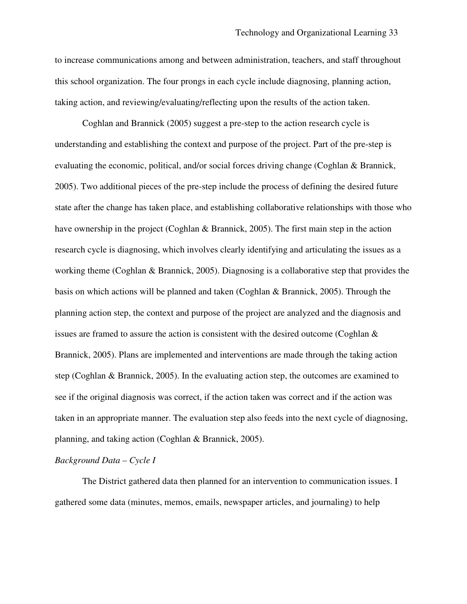to increase communications among and between administration, teachers, and staff throughout this school organization. The four prongs in each cycle include diagnosing, planning action, taking action, and reviewing/evaluating/reflecting upon the results of the action taken.

Coghlan and Brannick (2005) suggest a pre-step to the action research cycle is understanding and establishing the context and purpose of the project. Part of the pre-step is evaluating the economic, political, and/or social forces driving change (Coghlan & Brannick, 2005). Two additional pieces of the pre-step include the process of defining the desired future state after the change has taken place, and establishing collaborative relationships with those who have ownership in the project (Coghlan & Brannick, 2005). The first main step in the action research cycle is diagnosing, which involves clearly identifying and articulating the issues as a working theme (Coghlan & Brannick, 2005). Diagnosing is a collaborative step that provides the basis on which actions will be planned and taken (Coghlan & Brannick, 2005). Through the planning action step, the context and purpose of the project are analyzed and the diagnosis and issues are framed to assure the action is consistent with the desired outcome (Coghlan & Brannick, 2005). Plans are implemented and interventions are made through the taking action step (Coghlan & Brannick, 2005). In the evaluating action step, the outcomes are examined to see if the original diagnosis was correct, if the action taken was correct and if the action was taken in an appropriate manner. The evaluation step also feeds into the next cycle of diagnosing, planning, and taking action (Coghlan & Brannick, 2005).

## *Background Data – Cycle I*

The District gathered data then planned for an intervention to communication issues. I gathered some data (minutes, memos, emails, newspaper articles, and journaling) to help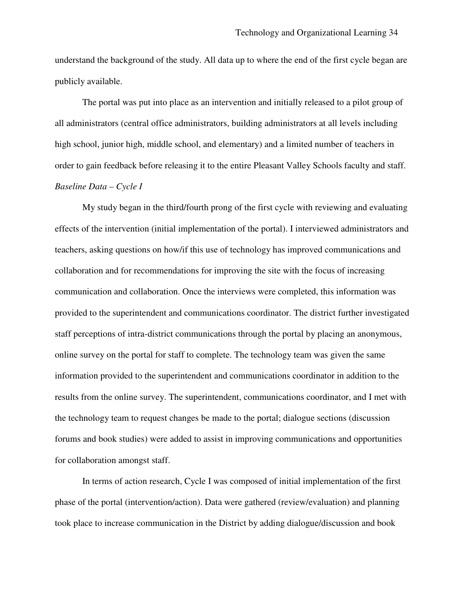understand the background of the study. All data up to where the end of the first cycle began are publicly available.

The portal was put into place as an intervention and initially released to a pilot group of all administrators (central office administrators, building administrators at all levels including high school, junior high, middle school, and elementary) and a limited number of teachers in order to gain feedback before releasing it to the entire Pleasant Valley Schools faculty and staff. *Baseline Data – Cycle I*

My study began in the third/fourth prong of the first cycle with reviewing and evaluating effects of the intervention (initial implementation of the portal). I interviewed administrators and teachers, asking questions on how/if this use of technology has improved communications and collaboration and for recommendations for improving the site with the focus of increasing communication and collaboration. Once the interviews were completed, this information was provided to the superintendent and communications coordinator. The district further investigated staff perceptions of intra-district communications through the portal by placing an anonymous, online survey on the portal for staff to complete. The technology team was given the same information provided to the superintendent and communications coordinator in addition to the results from the online survey. The superintendent, communications coordinator, and I met with the technology team to request changes be made to the portal; dialogue sections (discussion forums and book studies) were added to assist in improving communications and opportunities for collaboration amongst staff.

In terms of action research, Cycle I was composed of initial implementation of the first phase of the portal (intervention/action). Data were gathered (review/evaluation) and planning took place to increase communication in the District by adding dialogue/discussion and book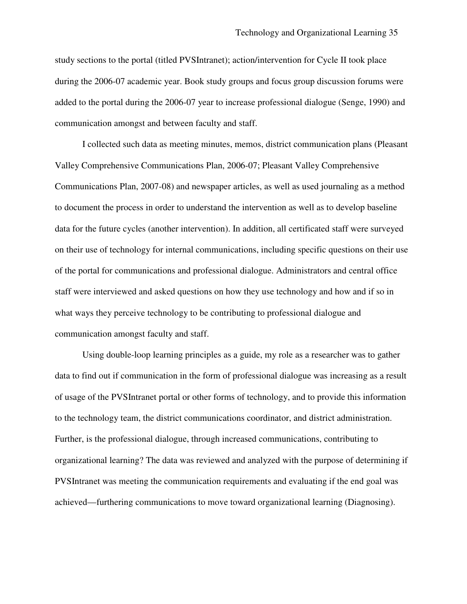study sections to the portal (titled PVSIntranet); action/intervention for Cycle II took place during the 2006-07 academic year. Book study groups and focus group discussion forums were added to the portal during the 2006-07 year to increase professional dialogue (Senge, 1990) and communication amongst and between faculty and staff.

I collected such data as meeting minutes, memos, district communication plans (Pleasant Valley Comprehensive Communications Plan, 2006-07; Pleasant Valley Comprehensive Communications Plan, 2007-08) and newspaper articles, as well as used journaling as a method to document the process in order to understand the intervention as well as to develop baseline data for the future cycles (another intervention). In addition, all certificated staff were surveyed on their use of technology for internal communications, including specific questions on their use of the portal for communications and professional dialogue. Administrators and central office staff were interviewed and asked questions on how they use technology and how and if so in what ways they perceive technology to be contributing to professional dialogue and communication amongst faculty and staff.

Using double-loop learning principles as a guide, my role as a researcher was to gather data to find out if communication in the form of professional dialogue was increasing as a result of usage of the PVSIntranet portal or other forms of technology, and to provide this information to the technology team, the district communications coordinator, and district administration. Further, is the professional dialogue, through increased communications, contributing to organizational learning? The data was reviewed and analyzed with the purpose of determining if PVSIntranet was meeting the communication requirements and evaluating if the end goal was achieved—furthering communications to move toward organizational learning (Diagnosing).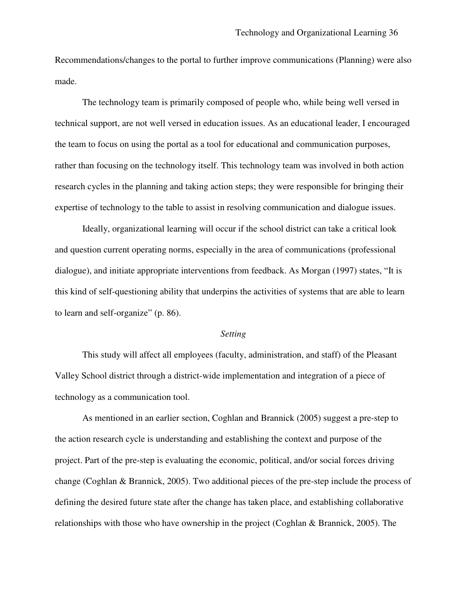Recommendations/changes to the portal to further improve communications (Planning) were also made.

The technology team is primarily composed of people who, while being well versed in technical support, are not well versed in education issues. As an educational leader, I encouraged the team to focus on using the portal as a tool for educational and communication purposes, rather than focusing on the technology itself. This technology team was involved in both action research cycles in the planning and taking action steps; they were responsible for bringing their expertise of technology to the table to assist in resolving communication and dialogue issues.

Ideally, organizational learning will occur if the school district can take a critical look and question current operating norms, especially in the area of communications (professional dialogue), and initiate appropriate interventions from feedback. As Morgan (1997) states, "It is this kind of self-questioning ability that underpins the activities of systems that are able to learn to learn and self-organize" (p. 86).

#### *Setting*

This study will affect all employees (faculty, administration, and staff) of the Pleasant Valley School district through a district-wide implementation and integration of a piece of technology as a communication tool.

As mentioned in an earlier section, Coghlan and Brannick (2005) suggest a pre-step to the action research cycle is understanding and establishing the context and purpose of the project. Part of the pre-step is evaluating the economic, political, and/or social forces driving change (Coghlan & Brannick, 2005). Two additional pieces of the pre-step include the process of defining the desired future state after the change has taken place, and establishing collaborative relationships with those who have ownership in the project (Coghlan & Brannick, 2005). The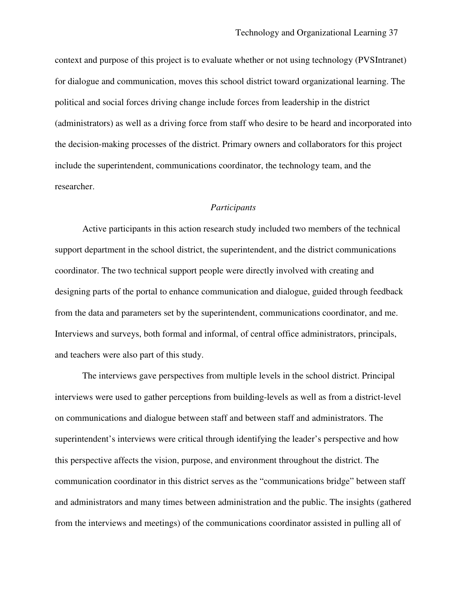context and purpose of this project is to evaluate whether or not using technology (PVSIntranet) for dialogue and communication, moves this school district toward organizational learning. The political and social forces driving change include forces from leadership in the district (administrators) as well as a driving force from staff who desire to be heard and incorporated into the decision-making processes of the district. Primary owners and collaborators for this project include the superintendent, communications coordinator, the technology team, and the researcher.

# *Participants*

Active participants in this action research study included two members of the technical support department in the school district, the superintendent, and the district communications coordinator. The two technical support people were directly involved with creating and designing parts of the portal to enhance communication and dialogue, guided through feedback from the data and parameters set by the superintendent, communications coordinator, and me. Interviews and surveys, both formal and informal, of central office administrators, principals, and teachers were also part of this study.

The interviews gave perspectives from multiple levels in the school district. Principal interviews were used to gather perceptions from building-levels as well as from a district-level on communications and dialogue between staff and between staff and administrators. The superintendent's interviews were critical through identifying the leader's perspective and how this perspective affects the vision, purpose, and environment throughout the district. The communication coordinator in this district serves as the "communications bridge" between staff and administrators and many times between administration and the public. The insights (gathered from the interviews and meetings) of the communications coordinator assisted in pulling all of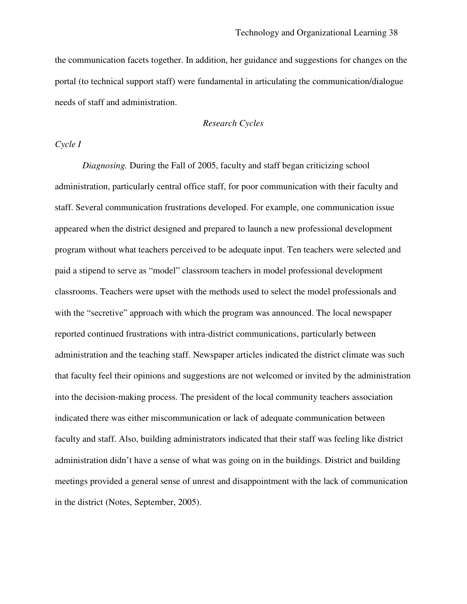the communication facets together. In addition, her guidance and suggestions for changes on the portal (to technical support staff) were fundamental in articulating the communication/dialogue needs of staff and administration.

# *Research Cycles*

# *Cycle I*

*Diagnosing.* During the Fall of 2005, faculty and staff began criticizing school administration, particularly central office staff, for poor communication with their faculty and staff. Several communication frustrations developed. For example, one communication issue appeared when the district designed and prepared to launch a new professional development program without what teachers perceived to be adequate input. Ten teachers were selected and paid a stipend to serve as "model" classroom teachers in model professional development classrooms. Teachers were upset with the methods used to select the model professionals and with the "secretive" approach with which the program was announced. The local newspaper reported continued frustrations with intra-district communications, particularly between administration and the teaching staff. Newspaper articles indicated the district climate was such that faculty feel their opinions and suggestions are not welcomed or invited by the administration into the decision-making process. The president of the local community teachers association indicated there was either miscommunication or lack of adequate communication between faculty and staff. Also, building administrators indicated that their staff was feeling like district administration didn't have a sense of what was going on in the buildings. District and building meetings provided a general sense of unrest and disappointment with the lack of communication in the district (Notes, September, 2005).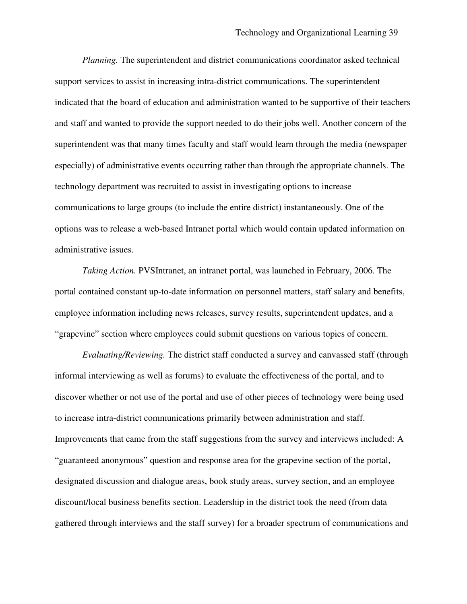*Planning.* The superintendent and district communications coordinator asked technical support services to assist in increasing intra-district communications. The superintendent indicated that the board of education and administration wanted to be supportive of their teachers and staff and wanted to provide the support needed to do their jobs well. Another concern of the superintendent was that many times faculty and staff would learn through the media (newspaper especially) of administrative events occurring rather than through the appropriate channels. The technology department was recruited to assist in investigating options to increase communications to large groups (to include the entire district) instantaneously. One of the options was to release a web-based Intranet portal which would contain updated information on administrative issues.

*Taking Action.* PVSIntranet, an intranet portal, was launched in February, 2006. The portal contained constant up-to-date information on personnel matters, staff salary and benefits, employee information including news releases, survey results, superintendent updates, and a "grapevine" section where employees could submit questions on various topics of concern.

*Evaluating/Reviewing.* The district staff conducted a survey and canvassed staff (through informal interviewing as well as forums) to evaluate the effectiveness of the portal, and to discover whether or not use of the portal and use of other pieces of technology were being used to increase intra-district communications primarily between administration and staff. Improvements that came from the staff suggestions from the survey and interviews included: A "guaranteed anonymous" question and response area for the grapevine section of the portal, designated discussion and dialogue areas, book study areas, survey section, and an employee discount/local business benefits section. Leadership in the district took the need (from data gathered through interviews and the staff survey) for a broader spectrum of communications and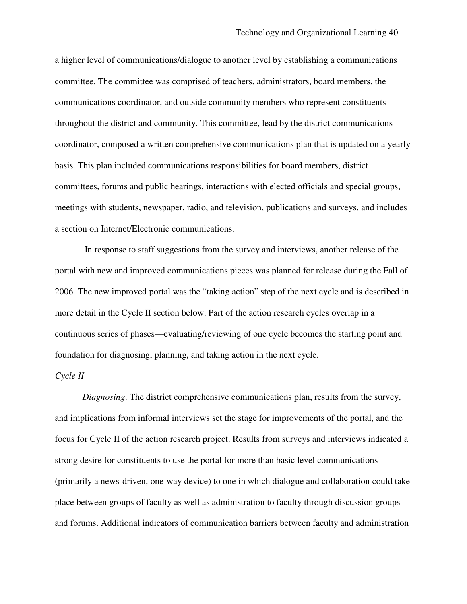a higher level of communications/dialogue to another level by establishing a communications committee. The committee was comprised of teachers, administrators, board members, the communications coordinator, and outside community members who represent constituents throughout the district and community. This committee, lead by the district communications coordinator, composed a written comprehensive communications plan that is updated on a yearly basis. This plan included communications responsibilities for board members, district committees, forums and public hearings, interactions with elected officials and special groups, meetings with students, newspaper, radio, and television, publications and surveys, and includes a section on Internet/Electronic communications.

In response to staff suggestions from the survey and interviews, another release of the portal with new and improved communications pieces was planned for release during the Fall of 2006. The new improved portal was the "taking action" step of the next cycle and is described in more detail in the Cycle II section below. Part of the action research cycles overlap in a continuous series of phases—evaluating/reviewing of one cycle becomes the starting point and foundation for diagnosing, planning, and taking action in the next cycle.

## *Cycle II*

*Diagnosing*. The district comprehensive communications plan, results from the survey, and implications from informal interviews set the stage for improvements of the portal, and the focus for Cycle II of the action research project. Results from surveys and interviews indicated a strong desire for constituents to use the portal for more than basic level communications (primarily a news-driven, one-way device) to one in which dialogue and collaboration could take place between groups of faculty as well as administration to faculty through discussion groups and forums. Additional indicators of communication barriers between faculty and administration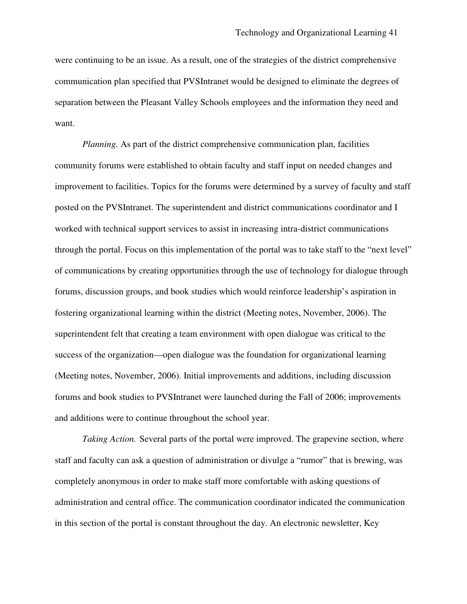were continuing to be an issue. As a result, one of the strategies of the district comprehensive communication plan specified that PVSIntranet would be designed to eliminate the degrees of separation between the Pleasant Valley Schools employees and the information they need and want.

*Planning.* As part of the district comprehensive communication plan, facilities community forums were established to obtain faculty and staff input on needed changes and improvement to facilities. Topics for the forums were determined by a survey of faculty and staff posted on the PVSIntranet. The superintendent and district communications coordinator and I worked with technical support services to assist in increasing intra-district communications through the portal. Focus on this implementation of the portal was to take staff to the "next level" of communications by creating opportunities through the use of technology for dialogue through forums, discussion groups, and book studies which would reinforce leadership's aspiration in fostering organizational learning within the district (Meeting notes, November, 2006). The superintendent felt that creating a team environment with open dialogue was critical to the success of the organization—open dialogue was the foundation for organizational learning (Meeting notes, November, 2006). Initial improvements and additions, including discussion forums and book studies to PVSIntranet were launched during the Fall of 2006; improvements and additions were to continue throughout the school year.

*Taking Action.* Several parts of the portal were improved. The grapevine section, where staff and faculty can ask a question of administration or divulge a "rumor" that is brewing, was completely anonymous in order to make staff more comfortable with asking questions of administration and central office. The communication coordinator indicated the communication in this section of the portal is constant throughout the day. An electronic newsletter, Key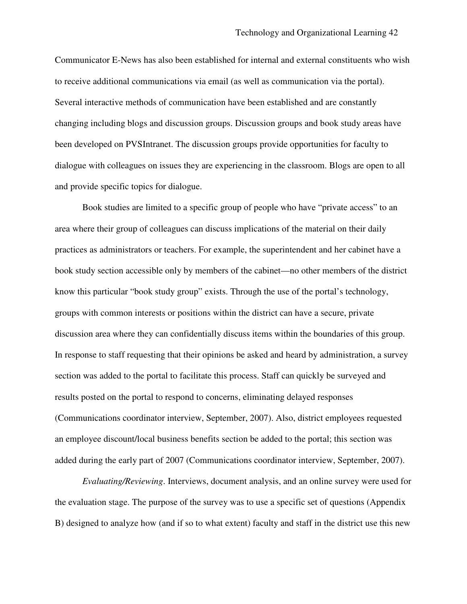Communicator E-News has also been established for internal and external constituents who wish to receive additional communications via email (as well as communication via the portal). Several interactive methods of communication have been established and are constantly changing including blogs and discussion groups. Discussion groups and book study areas have been developed on PVSIntranet. The discussion groups provide opportunities for faculty to dialogue with colleagues on issues they are experiencing in the classroom. Blogs are open to all and provide specific topics for dialogue.

Book studies are limited to a specific group of people who have "private access" to an area where their group of colleagues can discuss implications of the material on their daily practices as administrators or teachers. For example, the superintendent and her cabinet have a book study section accessible only by members of the cabinet—no other members of the district know this particular "book study group" exists. Through the use of the portal's technology, groups with common interests or positions within the district can have a secure, private discussion area where they can confidentially discuss items within the boundaries of this group. In response to staff requesting that their opinions be asked and heard by administration, a survey section was added to the portal to facilitate this process. Staff can quickly be surveyed and results posted on the portal to respond to concerns, eliminating delayed responses (Communications coordinator interview, September, 2007). Also, district employees requested an employee discount/local business benefits section be added to the portal; this section was added during the early part of 2007 (Communications coordinator interview, September, 2007).

*Evaluating/Reviewing*. Interviews, document analysis, and an online survey were used for the evaluation stage. The purpose of the survey was to use a specific set of questions (Appendix B) designed to analyze how (and if so to what extent) faculty and staff in the district use this new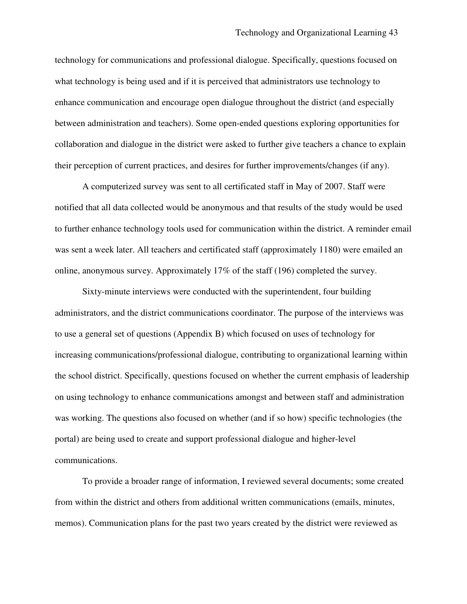technology for communications and professional dialogue. Specifically, questions focused on what technology is being used and if it is perceived that administrators use technology to enhance communication and encourage open dialogue throughout the district (and especially between administration and teachers). Some open-ended questions exploring opportunities for collaboration and dialogue in the district were asked to further give teachers a chance to explain their perception of current practices, and desires for further improvements/changes (if any).

A computerized survey was sent to all certificated staff in May of 2007. Staff were notified that all data collected would be anonymous and that results of the study would be used to further enhance technology tools used for communication within the district. A reminder email was sent a week later. All teachers and certificated staff (approximately 1180) were emailed an online, anonymous survey. Approximately 17% of the staff (196) completed the survey.

Sixty-minute interviews were conducted with the superintendent, four building administrators, and the district communications coordinator. The purpose of the interviews was to use a general set of questions (Appendix B) which focused on uses of technology for increasing communications/professional dialogue, contributing to organizational learning within the school district. Specifically, questions focused on whether the current emphasis of leadership on using technology to enhance communications amongst and between staff and administration was working. The questions also focused on whether (and if so how) specific technologies (the portal) are being used to create and support professional dialogue and higher-level communications.

To provide a broader range of information, I reviewed several documents; some created from within the district and others from additional written communications (emails, minutes, memos). Communication plans for the past two years created by the district were reviewed as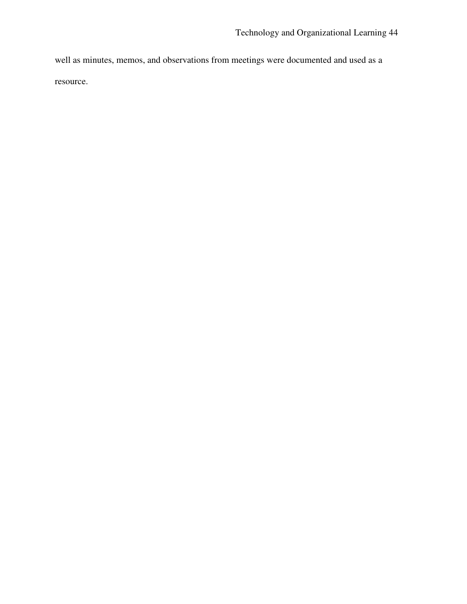well as minutes, memos, and observations from meetings were documented and used as a

resource.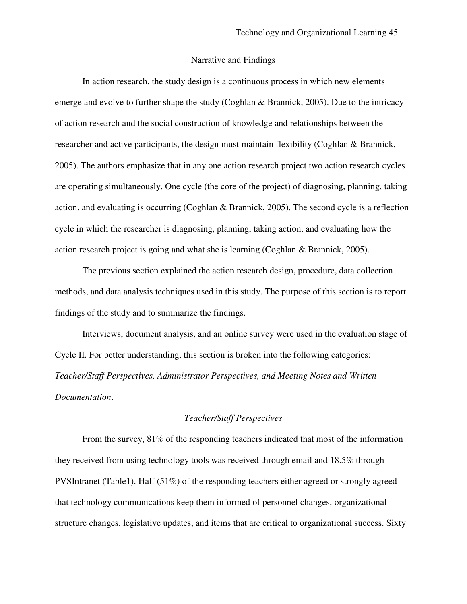#### Narrative and Findings

In action research, the study design is a continuous process in which new elements emerge and evolve to further shape the study (Coghlan & Brannick, 2005). Due to the intricacy of action research and the social construction of knowledge and relationships between the researcher and active participants, the design must maintain flexibility (Coghlan & Brannick, 2005). The authors emphasize that in any one action research project two action research cycles are operating simultaneously. One cycle (the core of the project) of diagnosing, planning, taking action, and evaluating is occurring (Coghlan & Brannick, 2005). The second cycle is a reflection cycle in which the researcher is diagnosing, planning, taking action, and evaluating how the action research project is going and what she is learning (Coghlan & Brannick, 2005).

The previous section explained the action research design, procedure, data collection methods, and data analysis techniques used in this study. The purpose of this section is to report findings of the study and to summarize the findings.

Interviews, document analysis, and an online survey were used in the evaluation stage of Cycle II. For better understanding, this section is broken into the following categories: *Teacher/Staff Perspectives, Administrator Perspectives, and Meeting Notes and Written Documentation*.

# *Teacher/Staff Perspectives*

From the survey, 81% of the responding teachers indicated that most of the information they received from using technology tools was received through email and 18.5% through PVSIntranet (Table1). Half (51%) of the responding teachers either agreed or strongly agreed that technology communications keep them informed of personnel changes, organizational structure changes, legislative updates, and items that are critical to organizational success. Sixty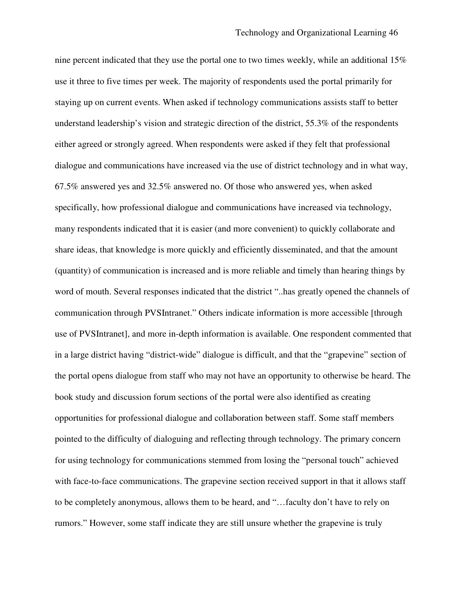nine percent indicated that they use the portal one to two times weekly, while an additional 15% use it three to five times per week. The majority of respondents used the portal primarily for staying up on current events. When asked if technology communications assists staff to better understand leadership's vision and strategic direction of the district, 55.3% of the respondents either agreed or strongly agreed. When respondents were asked if they felt that professional dialogue and communications have increased via the use of district technology and in what way, 67.5% answered yes and 32.5% answered no. Of those who answered yes, when asked specifically, how professional dialogue and communications have increased via technology, many respondents indicated that it is easier (and more convenient) to quickly collaborate and share ideas, that knowledge is more quickly and efficiently disseminated, and that the amount (quantity) of communication is increased and is more reliable and timely than hearing things by word of mouth. Several responses indicated that the district "..has greatly opened the channels of communication through PVSIntranet." Others indicate information is more accessible [through use of PVSIntranet], and more in-depth information is available. One respondent commented that in a large district having "district-wide" dialogue is difficult, and that the "grapevine" section of the portal opens dialogue from staff who may not have an opportunity to otherwise be heard. The book study and discussion forum sections of the portal were also identified as creating opportunities for professional dialogue and collaboration between staff. Some staff members pointed to the difficulty of dialoguing and reflecting through technology. The primary concern for using technology for communications stemmed from losing the "personal touch" achieved with face-to-face communications. The grapevine section received support in that it allows staff to be completely anonymous, allows them to be heard, and "…faculty don't have to rely on rumors." However, some staff indicate they are still unsure whether the grapevine is truly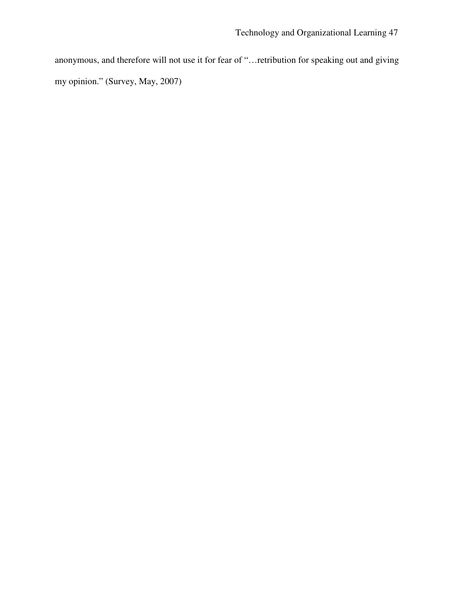anonymous, and therefore will not use it for fear of "…retribution for speaking out and giving my opinion." (Survey, May, 2007)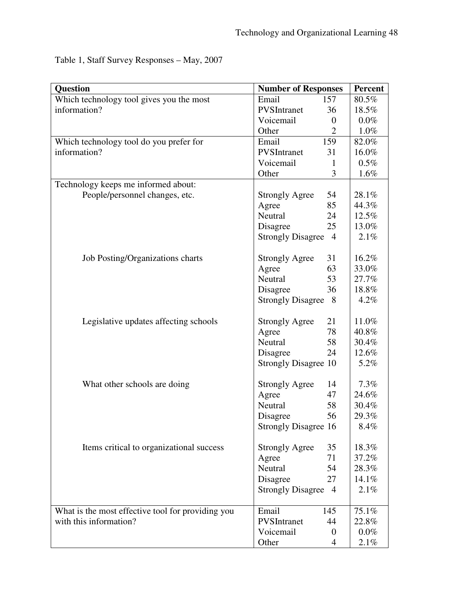Table 1, Staff Survey Responses – May, 2007

| <b>Question</b>                                   | <b>Number of Responses</b>  |                | Percent |
|---------------------------------------------------|-----------------------------|----------------|---------|
| Which technology tool gives you the most          | Email                       | 157            | 80.5%   |
| information?                                      | PVSIntranet                 | 36             | 18.5%   |
|                                                   | Voicemail                   | $\theta$       | $0.0\%$ |
|                                                   | Other                       | $\overline{2}$ | $1.0\%$ |
| Which technology tool do you prefer for           | Email                       | 159            | 82.0%   |
| information?                                      | PVSIntranet                 | 31             | 16.0%   |
|                                                   | Voicemail                   | 1              | $0.5\%$ |
|                                                   | Other                       | 3              | 1.6%    |
| Technology keeps me informed about:               |                             |                |         |
| People/personnel changes, etc.                    | <b>Strongly Agree</b>       | 54             | 28.1%   |
|                                                   | Agree                       | 85             | 44.3%   |
|                                                   | Neutral                     | 24             | 12.5%   |
|                                                   | Disagree                    | 25             | 13.0%   |
|                                                   | <b>Strongly Disagree</b>    | $\overline{4}$ | 2.1%    |
| Job Posting/Organizations charts                  | <b>Strongly Agree</b>       | 31             | 16.2%   |
|                                                   | Agree                       | 63             | 33.0%   |
|                                                   | Neutral                     | 53             | 27.7%   |
|                                                   | Disagree                    | 36             | 18.8%   |
|                                                   | <b>Strongly Disagree</b>    | 8              | 4.2%    |
|                                                   |                             |                |         |
| Legislative updates affecting schools             | <b>Strongly Agree</b>       | 21             | 11.0%   |
|                                                   | Agree                       | 78             | 40.8%   |
|                                                   | Neutral                     | 58             | 30.4%   |
|                                                   | Disagree                    | 24             | 12.6%   |
|                                                   | <b>Strongly Disagree 10</b> |                | 5.2%    |
| What other schools are doing                      | <b>Strongly Agree</b>       | 14             | 7.3%    |
|                                                   | Agree                       | 47             | 24.6%   |
|                                                   | Neutral                     | 58             | 30.4%   |
|                                                   | Disagree                    | 56             | 29.3%   |
|                                                   | <b>Strongly Disagree 16</b> |                | 8.4%    |
|                                                   |                             |                |         |
| Items critical to organizational success          | <b>Strongly Agree</b>       | 35             | 18.3%   |
|                                                   | Agree                       | 71             | 37.2%   |
|                                                   | Neutral                     | 54             | 28.3%   |
|                                                   | Disagree                    | 27             | 14.1%   |
|                                                   | <b>Strongly Disagree</b>    | $\overline{4}$ | 2.1%    |
|                                                   |                             |                |         |
| What is the most effective tool for providing you | Email                       | 145            | 75.1%   |
| with this information?                            | PVSIntranet                 | 44             | 22.8%   |
|                                                   | Voicemail                   | $\overline{0}$ | $0.0\%$ |
|                                                   | Other                       | 4              | 2.1%    |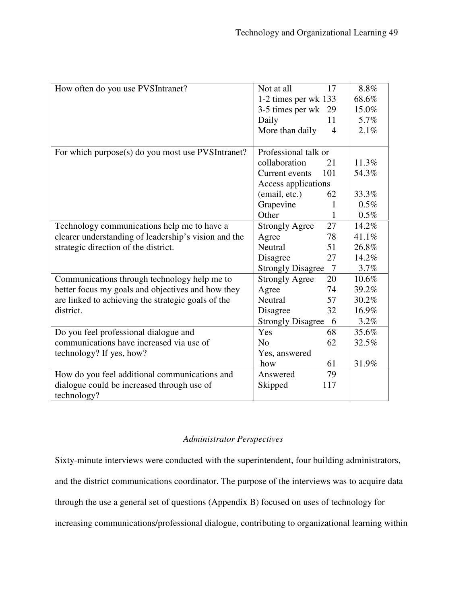| How often do you use PVSIntranet?                    | Not at all<br>17                           | 8.8%    |
|------------------------------------------------------|--------------------------------------------|---------|
|                                                      | 1-2 times per wk 133                       | 68.6%   |
|                                                      | 3-5 times per wk 29                        | 15.0%   |
|                                                      | Daily<br>11                                | 5.7%    |
|                                                      | More than daily<br>$\overline{4}$          | 2.1%    |
|                                                      |                                            |         |
| For which purpose(s) do you most use PVSIntranet?    | Professional talk or                       |         |
|                                                      | collaboration<br>21                        | 11.3%   |
|                                                      | Current events<br>101                      | 54.3%   |
|                                                      | Access applications                        |         |
|                                                      | (email, etc.)<br>62                        | 33.3%   |
|                                                      | Grapevine<br>1                             | $0.5\%$ |
|                                                      | Other<br>$\mathbf{1}$                      | 0.5%    |
| Technology communications help me to have a          | 27<br><b>Strongly Agree</b>                | 14.2%   |
| clearer understanding of leadership's vision and the | 78<br>Agree                                | 41.1%   |
| strategic direction of the district.                 | Neutral<br>51                              | 26.8%   |
|                                                      | Disagree<br>27                             | 14.2%   |
|                                                      | <b>Strongly Disagree</b><br>$\overline{7}$ | 3.7%    |
| Communications through technology help me to         | <b>Strongly Agree</b><br>20                | 10.6%   |
| better focus my goals and objectives and how they    | Agree<br>74                                | 39.2%   |
| are linked to achieving the strategic goals of the   | Neutral<br>57                              | 30.2%   |
| district.                                            | 32<br>Disagree                             | 16.9%   |
|                                                      | <b>Strongly Disagree</b><br>6              | 3.2%    |
| Do you feel professional dialogue and                | Yes<br>68                                  | 35.6%   |
| communications have increased via use of             | N <sub>0</sub><br>62                       | 32.5%   |
| technology? If yes, how?                             | Yes, answered                              |         |
|                                                      | 61<br>how                                  | 31.9%   |
| How do you feel additional communications and        | Answered<br>79                             |         |
| dialogue could be increased through use of           | Skipped<br>117                             |         |
| technology?                                          |                                            |         |

# *Administrator Perspectives*

Sixty-minute interviews were conducted with the superintendent, four building administrators, and the district communications coordinator. The purpose of the interviews was to acquire data through the use a general set of questions (Appendix B) focused on uses of technology for increasing communications/professional dialogue, contributing to organizational learning within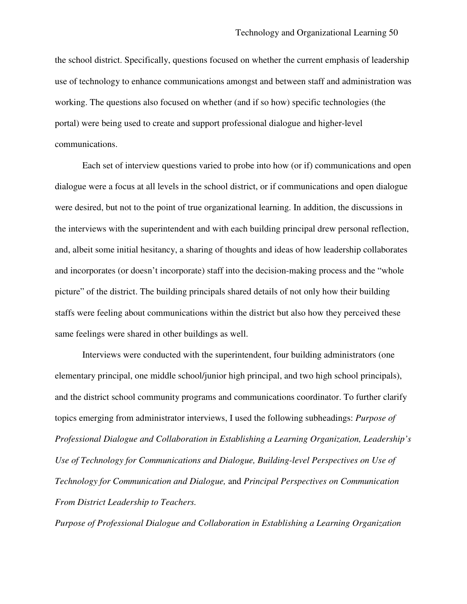the school district. Specifically, questions focused on whether the current emphasis of leadership use of technology to enhance communications amongst and between staff and administration was working. The questions also focused on whether (and if so how) specific technologies (the portal) were being used to create and support professional dialogue and higher-level communications.

Each set of interview questions varied to probe into how (or if) communications and open dialogue were a focus at all levels in the school district, or if communications and open dialogue were desired, but not to the point of true organizational learning. In addition, the discussions in the interviews with the superintendent and with each building principal drew personal reflection, and, albeit some initial hesitancy, a sharing of thoughts and ideas of how leadership collaborates and incorporates (or doesn't incorporate) staff into the decision-making process and the "whole picture" of the district. The building principals shared details of not only how their building staffs were feeling about communications within the district but also how they perceived these same feelings were shared in other buildings as well.

Interviews were conducted with the superintendent, four building administrators (one elementary principal, one middle school/junior high principal, and two high school principals), and the district school community programs and communications coordinator. To further clarify topics emerging from administrator interviews, I used the following subheadings: *Purpose of Professional Dialogue and Collaboration in Establishing a Learning Organization, Leadership's Use of Technology for Communications and Dialogue, Building-level Perspectives on Use of Technology for Communication and Dialogue,* and *Principal Perspectives on Communication From District Leadership to Teachers.*

*Purpose of Professional Dialogue and Collaboration in Establishing a Learning Organization*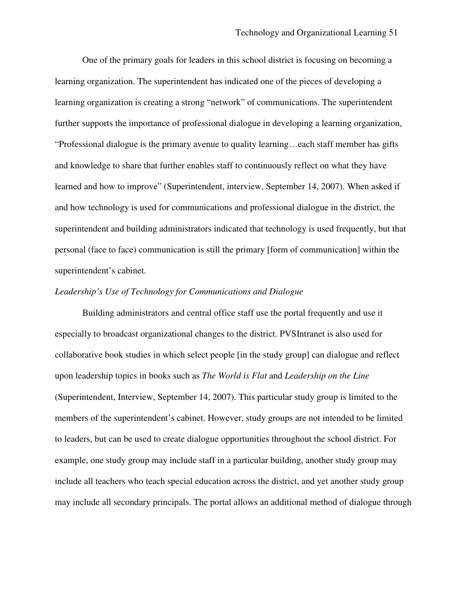One of the primary goals for leaders in this school district is focusing on becoming a learning organization. The superintendent has indicated one of the pieces of developing a learning organization is creating a strong "network" of communications. The superintendent further supports the importance of professional dialogue in developing a learning organization, "Professional dialogue is the primary avenue to quality learning…each staff member has gifts and knowledge to share that further enables staff to continuously reflect on what they have learned and how to improve" (Superintendent, interview, September 14, 2007). When asked if and how technology is used for communications and professional dialogue in the district, the superintendent and building administrators indicated that technology is used frequently, but that personal (face to face) communication is still the primary [form of communication] within the superintendent's cabinet.

# *Leadership's Use of Technology for Communications and Dialogue*

Building administrators and central office staff use the portal frequently and use it especially to broadcast organizational changes to the district. PVSIntranet is also used for collaborative book studies in which select people [in the study group] can dialogue and reflect upon leadership topics in books such as *The World is Flat* and *Leadership on the Line* (Superintendent, Interview, September 14, 2007). This particular study group is limited to the members of the superintendent's cabinet. However, study groups are not intended to be limited to leaders, but can be used to create dialogue opportunities throughout the school district. For example, one study group may include staff in a particular building, another study group may include all teachers who teach special education across the district, and yet another study group may include all secondary principals. The portal allows an additional method of dialogue through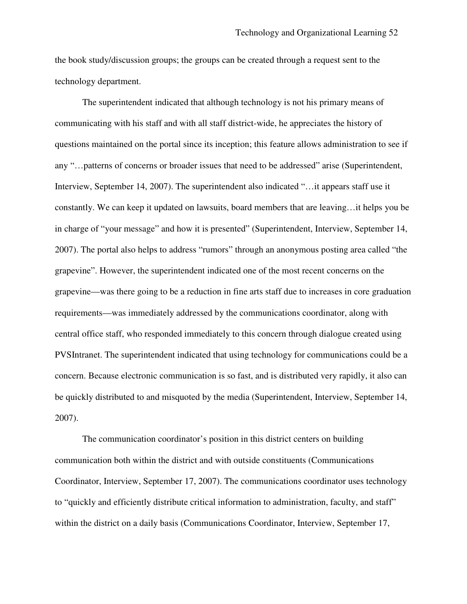the book study/discussion groups; the groups can be created through a request sent to the technology department.

The superintendent indicated that although technology is not his primary means of communicating with his staff and with all staff district-wide, he appreciates the history of questions maintained on the portal since its inception; this feature allows administration to see if any "…patterns of concerns or broader issues that need to be addressed" arise (Superintendent, Interview, September 14, 2007). The superintendent also indicated "…it appears staff use it constantly. We can keep it updated on lawsuits, board members that are leaving…it helps you be in charge of "your message" and how it is presented" (Superintendent, Interview, September 14, 2007). The portal also helps to address "rumors" through an anonymous posting area called "the grapevine". However, the superintendent indicated one of the most recent concerns on the grapevine—was there going to be a reduction in fine arts staff due to increases in core graduation requirements—was immediately addressed by the communications coordinator, along with central office staff, who responded immediately to this concern through dialogue created using PVSIntranet. The superintendent indicated that using technology for communications could be a concern. Because electronic communication is so fast, and is distributed very rapidly, it also can be quickly distributed to and misquoted by the media (Superintendent, Interview, September 14, 2007).

The communication coordinator's position in this district centers on building communication both within the district and with outside constituents (Communications Coordinator, Interview, September 17, 2007). The communications coordinator uses technology to "quickly and efficiently distribute critical information to administration, faculty, and staff" within the district on a daily basis (Communications Coordinator, Interview, September 17,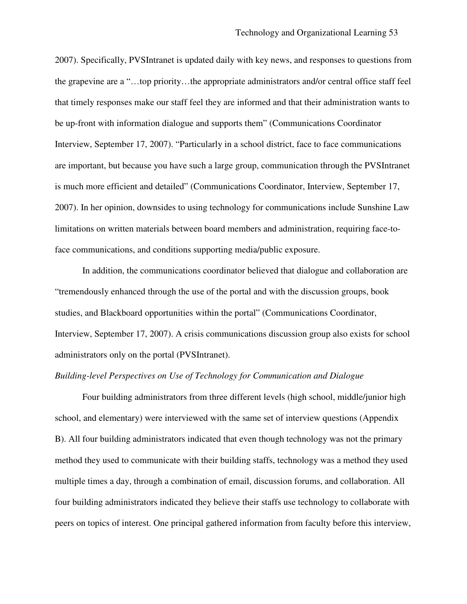2007). Specifically, PVSIntranet is updated daily with key news, and responses to questions from the grapevine are a "…top priority…the appropriate administrators and/or central office staff feel that timely responses make our staff feel they are informed and that their administration wants to be up-front with information dialogue and supports them" (Communications Coordinator Interview, September 17, 2007). "Particularly in a school district, face to face communications are important, but because you have such a large group, communication through the PVSIntranet is much more efficient and detailed" (Communications Coordinator, Interview, September 17, 2007). In her opinion, downsides to using technology for communications include Sunshine Law limitations on written materials between board members and administration, requiring face-toface communications, and conditions supporting media/public exposure.

In addition, the communications coordinator believed that dialogue and collaboration are "tremendously enhanced through the use of the portal and with the discussion groups, book studies, and Blackboard opportunities within the portal" (Communications Coordinator, Interview, September 17, 2007). A crisis communications discussion group also exists for school administrators only on the portal (PVSIntranet).

# *Building-level Perspectives on Use of Technology for Communication and Dialogue*

Four building administrators from three different levels (high school, middle/junior high school, and elementary) were interviewed with the same set of interview questions (Appendix B). All four building administrators indicated that even though technology was not the primary method they used to communicate with their building staffs, technology was a method they used multiple times a day, through a combination of email, discussion forums, and collaboration. All four building administrators indicated they believe their staffs use technology to collaborate with peers on topics of interest. One principal gathered information from faculty before this interview,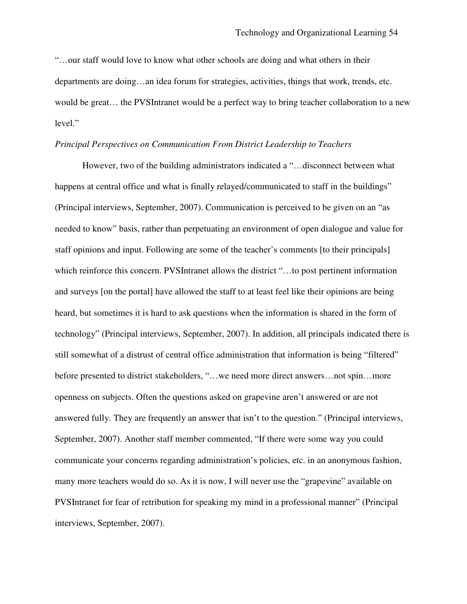"…our staff would love to know what other schools are doing and what others in their departments are doing…an idea forum for strategies, activities, things that work, trends, etc. would be great… the PVSIntranet would be a perfect way to bring teacher collaboration to a new level."

# *Principal Perspectives on Communication From District Leadership to Teachers*

However, two of the building administrators indicated a "…disconnect between what happens at central office and what is finally relayed/communicated to staff in the buildings" (Principal interviews, September, 2007). Communication is perceived to be given on an "as needed to know" basis, rather than perpetuating an environment of open dialogue and value for staff opinions and input. Following are some of the teacher's comments [to their principals] which reinforce this concern. PVSIntranet allows the district "...to post pertinent information and surveys [on the portal] have allowed the staff to at least feel like their opinions are being heard, but sometimes it is hard to ask questions when the information is shared in the form of technology" (Principal interviews, September, 2007). In addition, all principals indicated there is still somewhat of a distrust of central office administration that information is being "filtered" before presented to district stakeholders, "...we need more direct answers...not spin...more openness on subjects. Often the questions asked on grapevine aren't answered or are not answered fully. They are frequently an answer that isn't to the question." (Principal interviews, September, 2007). Another staff member commented, "If there were some way you could communicate your concerns regarding administration's policies, etc. in an anonymous fashion, many more teachers would do so. As it is now, I will never use the "grapevine" available on PVSIntranet for fear of retribution for speaking my mind in a professional manner" (Principal interviews, September, 2007).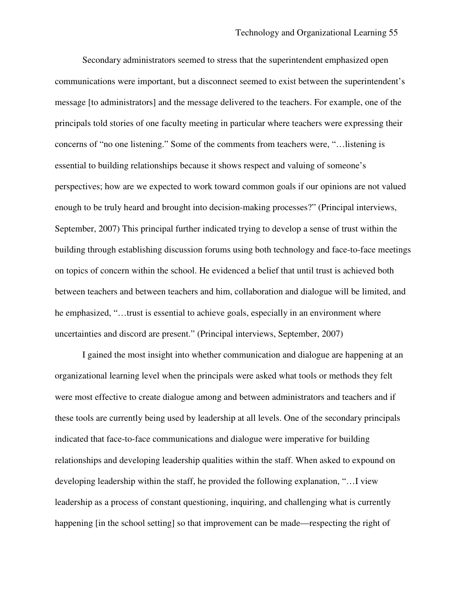Secondary administrators seemed to stress that the superintendent emphasized open communications were important, but a disconnect seemed to exist between the superintendent's message [to administrators] and the message delivered to the teachers. For example, one of the principals told stories of one faculty meeting in particular where teachers were expressing their concerns of "no one listening." Some of the comments from teachers were, "…listening is essential to building relationships because it shows respect and valuing of someone's perspectives; how are we expected to work toward common goals if our opinions are not valued enough to be truly heard and brought into decision-making processes?" (Principal interviews, September, 2007) This principal further indicated trying to develop a sense of trust within the building through establishing discussion forums using both technology and face-to-face meetings on topics of concern within the school. He evidenced a belief that until trust is achieved both between teachers and between teachers and him, collaboration and dialogue will be limited, and he emphasized, "…trust is essential to achieve goals, especially in an environment where uncertainties and discord are present." (Principal interviews, September, 2007)

I gained the most insight into whether communication and dialogue are happening at an organizational learning level when the principals were asked what tools or methods they felt were most effective to create dialogue among and between administrators and teachers and if these tools are currently being used by leadership at all levels. One of the secondary principals indicated that face-to-face communications and dialogue were imperative for building relationships and developing leadership qualities within the staff. When asked to expound on developing leadership within the staff, he provided the following explanation, "…I view leadership as a process of constant questioning, inquiring, and challenging what is currently happening [in the school setting] so that improvement can be made—respecting the right of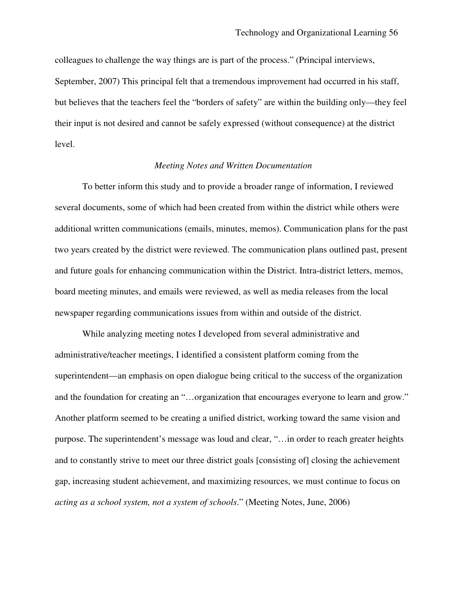colleagues to challenge the way things are is part of the process." (Principal interviews, September, 2007) This principal felt that a tremendous improvement had occurred in his staff, but believes that the teachers feel the "borders of safety" are within the building only—they feel their input is not desired and cannot be safely expressed (without consequence) at the district level.

## *Meeting Notes and Written Documentation*

To better inform this study and to provide a broader range of information, I reviewed several documents, some of which had been created from within the district while others were additional written communications (emails, minutes, memos). Communication plans for the past two years created by the district were reviewed. The communication plans outlined past, present and future goals for enhancing communication within the District. Intra-district letters, memos, board meeting minutes, and emails were reviewed, as well as media releases from the local newspaper regarding communications issues from within and outside of the district.

While analyzing meeting notes I developed from several administrative and administrative/teacher meetings, I identified a consistent platform coming from the superintendent—an emphasis on open dialogue being critical to the success of the organization and the foundation for creating an "…organization that encourages everyone to learn and grow." Another platform seemed to be creating a unified district, working toward the same vision and purpose. The superintendent's message was loud and clear, "…in order to reach greater heights and to constantly strive to meet our three district goals [consisting of] closing the achievement gap, increasing student achievement, and maximizing resources, we must continue to focus on *acting as a school system, not a system of schools*." (Meeting Notes, June, 2006)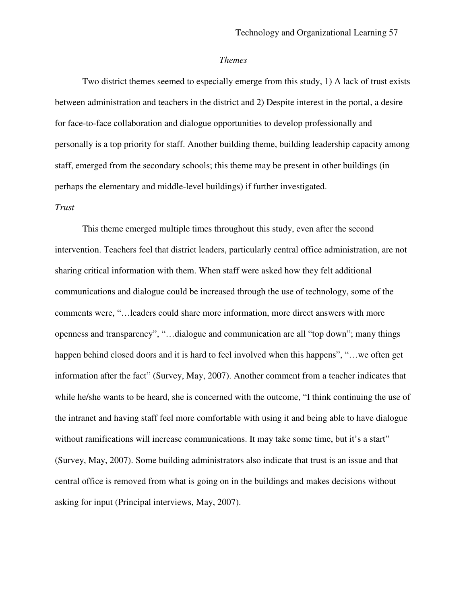#### *Themes*

Two district themes seemed to especially emerge from this study, 1) A lack of trust exists between administration and teachers in the district and 2) Despite interest in the portal, a desire for face-to-face collaboration and dialogue opportunities to develop professionally and personally is a top priority for staff. Another building theme, building leadership capacity among staff, emerged from the secondary schools; this theme may be present in other buildings (in perhaps the elementary and middle-level buildings) if further investigated.

## *Trust*

This theme emerged multiple times throughout this study, even after the second intervention. Teachers feel that district leaders, particularly central office administration, are not sharing critical information with them. When staff were asked how they felt additional communications and dialogue could be increased through the use of technology, some of the comments were, "…leaders could share more information, more direct answers with more openness and transparency", "…dialogue and communication are all "top down"; many things happen behind closed doors and it is hard to feel involved when this happens", "…we often get information after the fact" (Survey, May, 2007). Another comment from a teacher indicates that while he/she wants to be heard, she is concerned with the outcome, "I think continuing the use of the intranet and having staff feel more comfortable with using it and being able to have dialogue without ramifications will increase communications. It may take some time, but it's a start" (Survey, May, 2007). Some building administrators also indicate that trust is an issue and that central office is removed from what is going on in the buildings and makes decisions without asking for input (Principal interviews, May, 2007).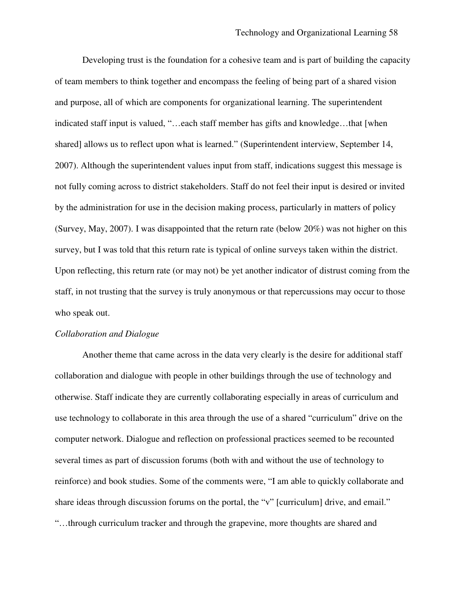Developing trust is the foundation for a cohesive team and is part of building the capacity of team members to think together and encompass the feeling of being part of a shared vision and purpose, all of which are components for organizational learning. The superintendent indicated staff input is valued, "…each staff member has gifts and knowledge…that [when shared] allows us to reflect upon what is learned." (Superintendent interview, September 14, 2007). Although the superintendent values input from staff, indications suggest this message is not fully coming across to district stakeholders. Staff do not feel their input is desired or invited by the administration for use in the decision making process, particularly in matters of policy (Survey, May, 2007). I was disappointed that the return rate (below 20%) was not higher on this survey, but I was told that this return rate is typical of online surveys taken within the district. Upon reflecting, this return rate (or may not) be yet another indicator of distrust coming from the staff, in not trusting that the survey is truly anonymous or that repercussions may occur to those who speak out.

# *Collaboration and Dialogue*

Another theme that came across in the data very clearly is the desire for additional staff collaboration and dialogue with people in other buildings through the use of technology and otherwise. Staff indicate they are currently collaborating especially in areas of curriculum and use technology to collaborate in this area through the use of a shared "curriculum" drive on the computer network. Dialogue and reflection on professional practices seemed to be recounted several times as part of discussion forums (both with and without the use of technology to reinforce) and book studies. Some of the comments were, "I am able to quickly collaborate and share ideas through discussion forums on the portal, the "v" [curriculum] drive, and email." "…through curriculum tracker and through the grapevine, more thoughts are shared and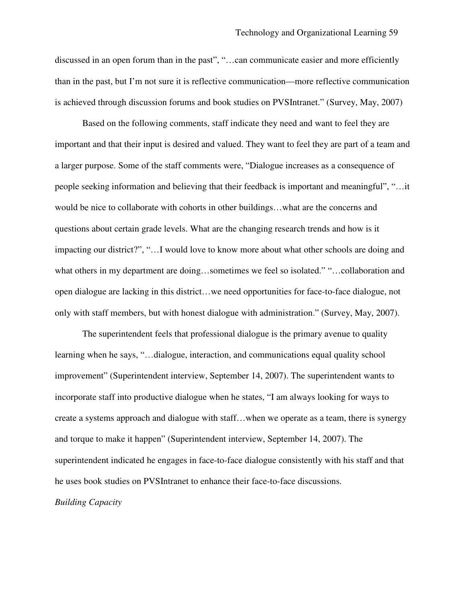discussed in an open forum than in the past", "…can communicate easier and more efficiently than in the past, but I'm not sure it is reflective communication—more reflective communication is achieved through discussion forums and book studies on PVSIntranet." (Survey, May, 2007)

Based on the following comments, staff indicate they need and want to feel they are important and that their input is desired and valued. They want to feel they are part of a team and a larger purpose. Some of the staff comments were, "Dialogue increases as a consequence of people seeking information and believing that their feedback is important and meaningful", "…it would be nice to collaborate with cohorts in other buildings…what are the concerns and questions about certain grade levels. What are the changing research trends and how is it impacting our district?", "…I would love to know more about what other schools are doing and what others in my department are doing…sometimes we feel so isolated." "…collaboration and open dialogue are lacking in this district…we need opportunities for face-to-face dialogue, not only with staff members, but with honest dialogue with administration." (Survey, May, 2007).

The superintendent feels that professional dialogue is the primary avenue to quality learning when he says, "…dialogue, interaction, and communications equal quality school improvement" (Superintendent interview, September 14, 2007). The superintendent wants to incorporate staff into productive dialogue when he states, "I am always looking for ways to create a systems approach and dialogue with staff…when we operate as a team, there is synergy and torque to make it happen" (Superintendent interview, September 14, 2007). The superintendent indicated he engages in face-to-face dialogue consistently with his staff and that he uses book studies on PVSIntranet to enhance their face-to-face discussions.

*Building Capacity*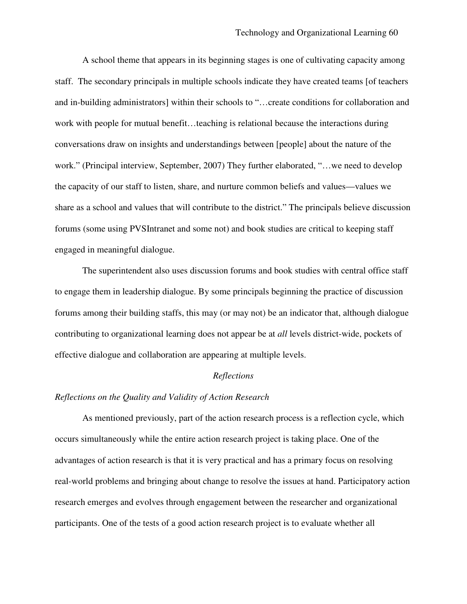A school theme that appears in its beginning stages is one of cultivating capacity among staff. The secondary principals in multiple schools indicate they have created teams [of teachers and in-building administrators] within their schools to "…create conditions for collaboration and work with people for mutual benefit…teaching is relational because the interactions during conversations draw on insights and understandings between [people] about the nature of the work." (Principal interview, September, 2007) They further elaborated, "…we need to develop the capacity of our staff to listen, share, and nurture common beliefs and values—values we share as a school and values that will contribute to the district." The principals believe discussion forums (some using PVSIntranet and some not) and book studies are critical to keeping staff engaged in meaningful dialogue.

The superintendent also uses discussion forums and book studies with central office staff to engage them in leadership dialogue. By some principals beginning the practice of discussion forums among their building staffs, this may (or may not) be an indicator that, although dialogue contributing to organizational learning does not appear be at *all* levels district-wide, pockets of effective dialogue and collaboration are appearing at multiple levels.

#### *Reflections*

## *Reflections on the Quality and Validity of Action Research*

As mentioned previously, part of the action research process is a reflection cycle, which occurs simultaneously while the entire action research project is taking place. One of the advantages of action research is that it is very practical and has a primary focus on resolving real-world problems and bringing about change to resolve the issues at hand. Participatory action research emerges and evolves through engagement between the researcher and organizational participants. One of the tests of a good action research project is to evaluate whether all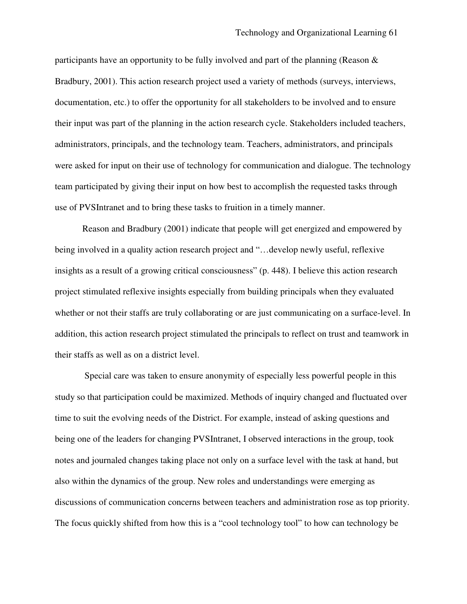participants have an opportunity to be fully involved and part of the planning (Reason & Bradbury, 2001). This action research project used a variety of methods (surveys, interviews, documentation, etc.) to offer the opportunity for all stakeholders to be involved and to ensure their input was part of the planning in the action research cycle. Stakeholders included teachers, administrators, principals, and the technology team. Teachers, administrators, and principals were asked for input on their use of technology for communication and dialogue. The technology team participated by giving their input on how best to accomplish the requested tasks through use of PVSIntranet and to bring these tasks to fruition in a timely manner.

Reason and Bradbury (2001) indicate that people will get energized and empowered by being involved in a quality action research project and "…develop newly useful, reflexive insights as a result of a growing critical consciousness" (p. 448). I believe this action research project stimulated reflexive insights especially from building principals when they evaluated whether or not their staffs are truly collaborating or are just communicating on a surface-level. In addition, this action research project stimulated the principals to reflect on trust and teamwork in their staffs as well as on a district level.

Special care was taken to ensure anonymity of especially less powerful people in this study so that participation could be maximized. Methods of inquiry changed and fluctuated over time to suit the evolving needs of the District. For example, instead of asking questions and being one of the leaders for changing PVSIntranet, I observed interactions in the group, took notes and journaled changes taking place not only on a surface level with the task at hand, but also within the dynamics of the group. New roles and understandings were emerging as discussions of communication concerns between teachers and administration rose as top priority. The focus quickly shifted from how this is a "cool technology tool" to how can technology be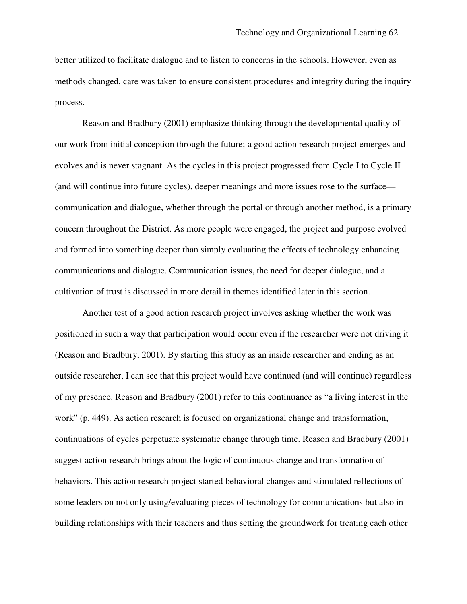better utilized to facilitate dialogue and to listen to concerns in the schools. However, even as methods changed, care was taken to ensure consistent procedures and integrity during the inquiry process.

Reason and Bradbury (2001) emphasize thinking through the developmental quality of our work from initial conception through the future; a good action research project emerges and evolves and is never stagnant. As the cycles in this project progressed from Cycle I to Cycle II (and will continue into future cycles), deeper meanings and more issues rose to the surface communication and dialogue, whether through the portal or through another method, is a primary concern throughout the District. As more people were engaged, the project and purpose evolved and formed into something deeper than simply evaluating the effects of technology enhancing communications and dialogue. Communication issues, the need for deeper dialogue, and a cultivation of trust is discussed in more detail in themes identified later in this section.

Another test of a good action research project involves asking whether the work was positioned in such a way that participation would occur even if the researcher were not driving it (Reason and Bradbury, 2001). By starting this study as an inside researcher and ending as an outside researcher, I can see that this project would have continued (and will continue) regardless of my presence. Reason and Bradbury (2001) refer to this continuance as "a living interest in the work" (p. 449). As action research is focused on organizational change and transformation, continuations of cycles perpetuate systematic change through time. Reason and Bradbury (2001) suggest action research brings about the logic of continuous change and transformation of behaviors. This action research project started behavioral changes and stimulated reflections of some leaders on not only using/evaluating pieces of technology for communications but also in building relationships with their teachers and thus setting the groundwork for treating each other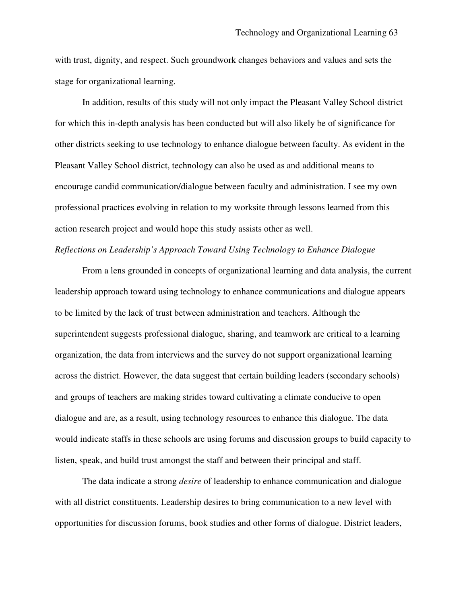with trust, dignity, and respect. Such groundwork changes behaviors and values and sets the stage for organizational learning.

In addition, results of this study will not only impact the Pleasant Valley School district for which this in-depth analysis has been conducted but will also likely be of significance for other districts seeking to use technology to enhance dialogue between faculty. As evident in the Pleasant Valley School district, technology can also be used as and additional means to encourage candid communication/dialogue between faculty and administration. I see my own professional practices evolving in relation to my worksite through lessons learned from this action research project and would hope this study assists other as well.

# *Reflections on Leadership's Approach Toward Using Technology to Enhance Dialogue*

From a lens grounded in concepts of organizational learning and data analysis, the current leadership approach toward using technology to enhance communications and dialogue appears to be limited by the lack of trust between administration and teachers. Although the superintendent suggests professional dialogue, sharing, and teamwork are critical to a learning organization, the data from interviews and the survey do not support organizational learning across the district. However, the data suggest that certain building leaders (secondary schools) and groups of teachers are making strides toward cultivating a climate conducive to open dialogue and are, as a result, using technology resources to enhance this dialogue. The data would indicate staffs in these schools are using forums and discussion groups to build capacity to listen, speak, and build trust amongst the staff and between their principal and staff.

The data indicate a strong *desire* of leadership to enhance communication and dialogue with all district constituents. Leadership desires to bring communication to a new level with opportunities for discussion forums, book studies and other forms of dialogue. District leaders,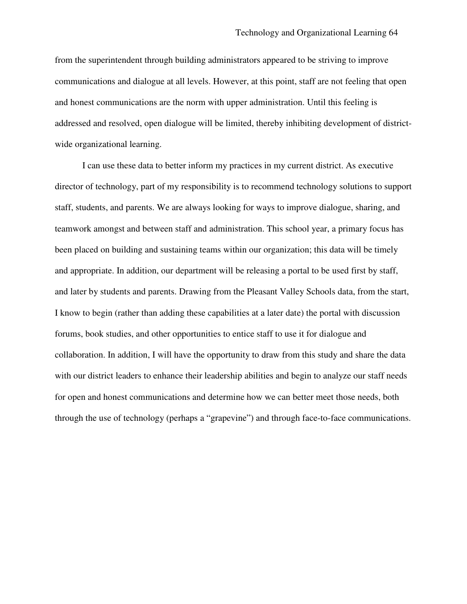from the superintendent through building administrators appeared to be striving to improve communications and dialogue at all levels. However, at this point, staff are not feeling that open and honest communications are the norm with upper administration. Until this feeling is addressed and resolved, open dialogue will be limited, thereby inhibiting development of districtwide organizational learning.

I can use these data to better inform my practices in my current district. As executive director of technology, part of my responsibility is to recommend technology solutions to support staff, students, and parents. We are always looking for ways to improve dialogue, sharing, and teamwork amongst and between staff and administration. This school year, a primary focus has been placed on building and sustaining teams within our organization; this data will be timely and appropriate. In addition, our department will be releasing a portal to be used first by staff, and later by students and parents. Drawing from the Pleasant Valley Schools data, from the start, I know to begin (rather than adding these capabilities at a later date) the portal with discussion forums, book studies, and other opportunities to entice staff to use it for dialogue and collaboration. In addition, I will have the opportunity to draw from this study and share the data with our district leaders to enhance their leadership abilities and begin to analyze our staff needs for open and honest communications and determine how we can better meet those needs, both through the use of technology (perhaps a "grapevine") and through face-to-face communications.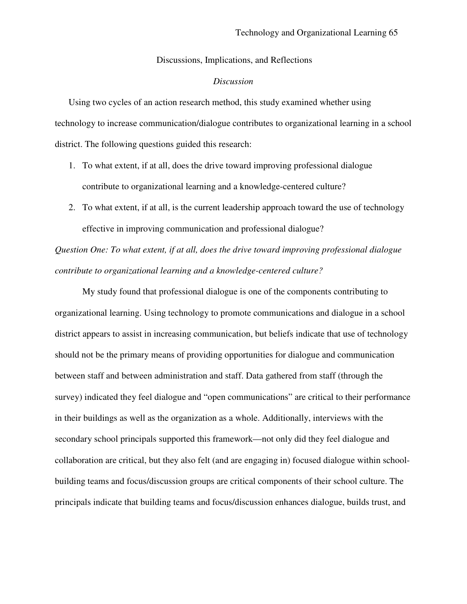#### Discussions, Implications, and Reflections

## *Discussion*

Using two cycles of an action research method, this study examined whether using technology to increase communication/dialogue contributes to organizational learning in a school district. The following questions guided this research:

- 1. To what extent, if at all, does the drive toward improving professional dialogue contribute to organizational learning and a knowledge-centered culture?
- 2. To what extent, if at all, is the current leadership approach toward the use of technology effective in improving communication and professional dialogue?

*Question One: To what extent, if at all, does the drive toward improving professional dialogue contribute to organizational learning and a knowledge-centered culture?*

My study found that professional dialogue is one of the components contributing to organizational learning. Using technology to promote communications and dialogue in a school district appears to assist in increasing communication, but beliefs indicate that use of technology should not be the primary means of providing opportunities for dialogue and communication between staff and between administration and staff. Data gathered from staff (through the survey) indicated they feel dialogue and "open communications" are critical to their performance in their buildings as well as the organization as a whole. Additionally, interviews with the secondary school principals supported this framework—not only did they feel dialogue and collaboration are critical, but they also felt (and are engaging in) focused dialogue within schoolbuilding teams and focus/discussion groups are critical components of their school culture. The principals indicate that building teams and focus/discussion enhances dialogue, builds trust, and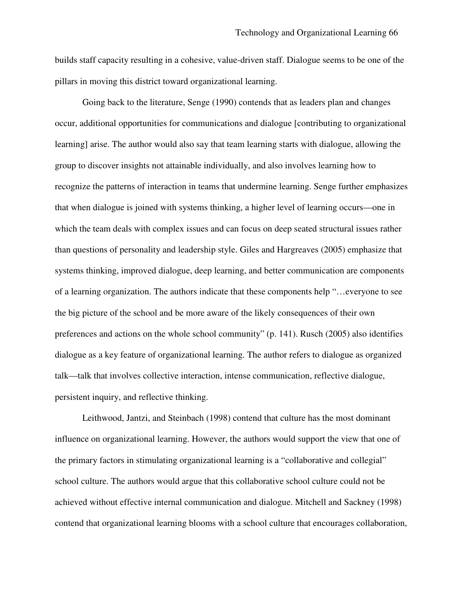builds staff capacity resulting in a cohesive, value-driven staff. Dialogue seems to be one of the pillars in moving this district toward organizational learning.

Going back to the literature, Senge (1990) contends that as leaders plan and changes occur, additional opportunities for communications and dialogue [contributing to organizational learning] arise. The author would also say that team learning starts with dialogue, allowing the group to discover insights not attainable individually, and also involves learning how to recognize the patterns of interaction in teams that undermine learning. Senge further emphasizes that when dialogue is joined with systems thinking, a higher level of learning occurs—one in which the team deals with complex issues and can focus on deep seated structural issues rather than questions of personality and leadership style. Giles and Hargreaves (2005) emphasize that systems thinking, improved dialogue, deep learning, and better communication are components of a learning organization. The authors indicate that these components help "…everyone to see the big picture of the school and be more aware of the likely consequences of their own preferences and actions on the whole school community" (p. 141). Rusch (2005) also identifies dialogue as a key feature of organizational learning. The author refers to dialogue as organized talk—talk that involves collective interaction, intense communication, reflective dialogue, persistent inquiry, and reflective thinking.

Leithwood, Jantzi, and Steinbach (1998) contend that culture has the most dominant influence on organizational learning. However, the authors would support the view that one of the primary factors in stimulating organizational learning is a "collaborative and collegial" school culture. The authors would argue that this collaborative school culture could not be achieved without effective internal communication and dialogue. Mitchell and Sackney (1998) contend that organizational learning blooms with a school culture that encourages collaboration,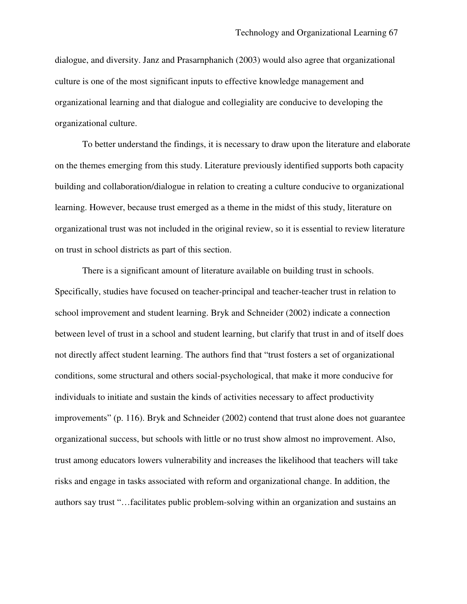dialogue, and diversity. Janz and Prasarnphanich (2003) would also agree that organizational culture is one of the most significant inputs to effective knowledge management and organizational learning and that dialogue and collegiality are conducive to developing the organizational culture.

To better understand the findings, it is necessary to draw upon the literature and elaborate on the themes emerging from this study. Literature previously identified supports both capacity building and collaboration/dialogue in relation to creating a culture conducive to organizational learning. However, because trust emerged as a theme in the midst of this study, literature on organizational trust was not included in the original review, so it is essential to review literature on trust in school districts as part of this section.

There is a significant amount of literature available on building trust in schools. Specifically, studies have focused on teacher-principal and teacher-teacher trust in relation to school improvement and student learning. Bryk and Schneider (2002) indicate a connection between level of trust in a school and student learning, but clarify that trust in and of itself does not directly affect student learning. The authors find that "trust fosters a set of organizational conditions, some structural and others social-psychological, that make it more conducive for individuals to initiate and sustain the kinds of activities necessary to affect productivity improvements" (p. 116). Bryk and Schneider (2002) contend that trust alone does not guarantee organizational success, but schools with little or no trust show almost no improvement. Also, trust among educators lowers vulnerability and increases the likelihood that teachers will take risks and engage in tasks associated with reform and organizational change. In addition, the authors say trust "…facilitates public problem-solving within an organization and sustains an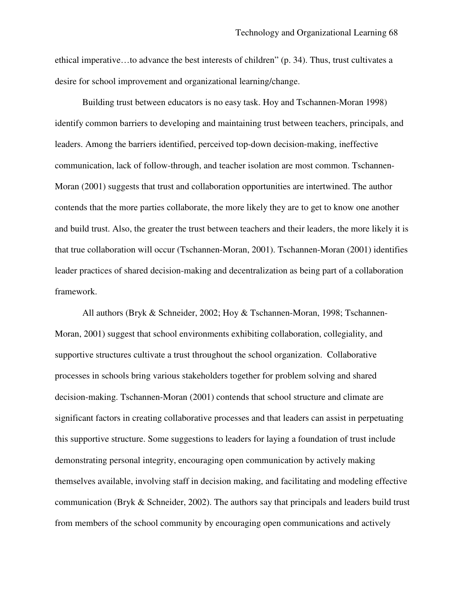ethical imperative…to advance the best interests of children" (p. 34). Thus, trust cultivates a desire for school improvement and organizational learning/change.

Building trust between educators is no easy task. Hoy and Tschannen-Moran 1998) identify common barriers to developing and maintaining trust between teachers, principals, and leaders. Among the barriers identified, perceived top-down decision-making, ineffective communication, lack of follow-through, and teacher isolation are most common. Tschannen-Moran (2001) suggests that trust and collaboration opportunities are intertwined. The author contends that the more parties collaborate, the more likely they are to get to know one another and build trust. Also, the greater the trust between teachers and their leaders, the more likely it is that true collaboration will occur (Tschannen-Moran, 2001). Tschannen-Moran (2001) identifies leader practices of shared decision-making and decentralization as being part of a collaboration framework.

All authors (Bryk & Schneider, 2002; Hoy & Tschannen-Moran, 1998; Tschannen-Moran, 2001) suggest that school environments exhibiting collaboration, collegiality, and supportive structures cultivate a trust throughout the school organization. Collaborative processes in schools bring various stakeholders together for problem solving and shared decision-making. Tschannen-Moran (2001) contends that school structure and climate are significant factors in creating collaborative processes and that leaders can assist in perpetuating this supportive structure. Some suggestions to leaders for laying a foundation of trust include demonstrating personal integrity, encouraging open communication by actively making themselves available, involving staff in decision making, and facilitating and modeling effective communication (Bryk & Schneider, 2002). The authors say that principals and leaders build trust from members of the school community by encouraging open communications and actively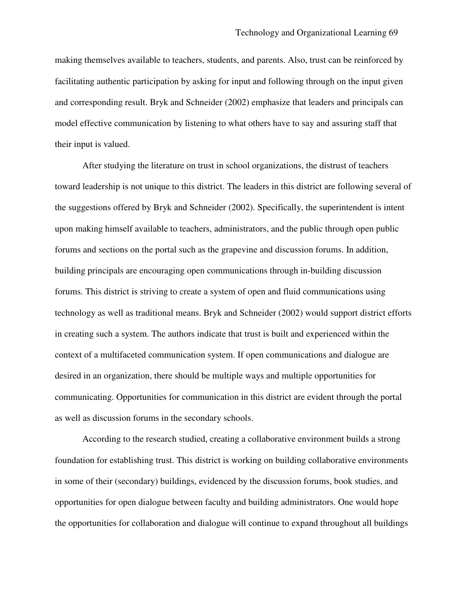making themselves available to teachers, students, and parents. Also, trust can be reinforced by facilitating authentic participation by asking for input and following through on the input given and corresponding result. Bryk and Schneider (2002) emphasize that leaders and principals can model effective communication by listening to what others have to say and assuring staff that their input is valued.

After studying the literature on trust in school organizations, the distrust of teachers toward leadership is not unique to this district. The leaders in this district are following several of the suggestions offered by Bryk and Schneider (2002). Specifically, the superintendent is intent upon making himself available to teachers, administrators, and the public through open public forums and sections on the portal such as the grapevine and discussion forums. In addition, building principals are encouraging open communications through in-building discussion forums. This district is striving to create a system of open and fluid communications using technology as well as traditional means. Bryk and Schneider (2002) would support district efforts in creating such a system. The authors indicate that trust is built and experienced within the context of a multifaceted communication system. If open communications and dialogue are desired in an organization, there should be multiple ways and multiple opportunities for communicating. Opportunities for communication in this district are evident through the portal as well as discussion forums in the secondary schools.

According to the research studied, creating a collaborative environment builds a strong foundation for establishing trust. This district is working on building collaborative environments in some of their (secondary) buildings, evidenced by the discussion forums, book studies, and opportunities for open dialogue between faculty and building administrators. One would hope the opportunities for collaboration and dialogue will continue to expand throughout all buildings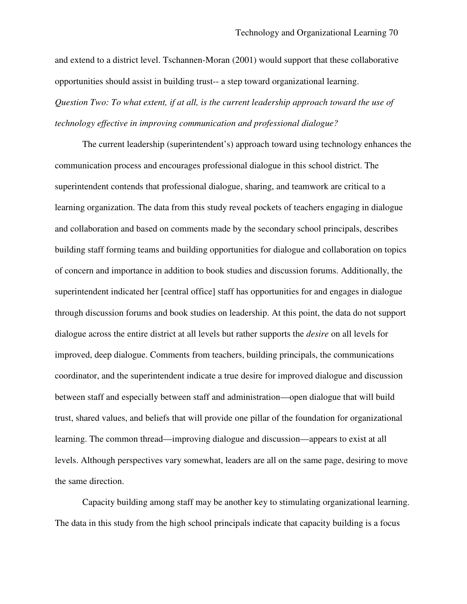and extend to a district level. Tschannen-Moran (2001) would support that these collaborative opportunities should assist in building trust-- a step toward organizational learning. *Question Two: To what extent, if at all, is the current leadership approach toward the use of technology effective in improving communication and professional dialogue?*

The current leadership (superintendent's) approach toward using technology enhances the communication process and encourages professional dialogue in this school district. The superintendent contends that professional dialogue, sharing, and teamwork are critical to a learning organization. The data from this study reveal pockets of teachers engaging in dialogue and collaboration and based on comments made by the secondary school principals, describes building staff forming teams and building opportunities for dialogue and collaboration on topics of concern and importance in addition to book studies and discussion forums. Additionally, the superintendent indicated her [central office] staff has opportunities for and engages in dialogue through discussion forums and book studies on leadership. At this point, the data do not support dialogue across the entire district at all levels but rather supports the *desire* on all levels for improved, deep dialogue. Comments from teachers, building principals, the communications coordinator, and the superintendent indicate a true desire for improved dialogue and discussion between staff and especially between staff and administration—open dialogue that will build trust, shared values, and beliefs that will provide one pillar of the foundation for organizational learning. The common thread—improving dialogue and discussion—appears to exist at all levels. Although perspectives vary somewhat, leaders are all on the same page, desiring to move the same direction.

Capacity building among staff may be another key to stimulating organizational learning. The data in this study from the high school principals indicate that capacity building is a focus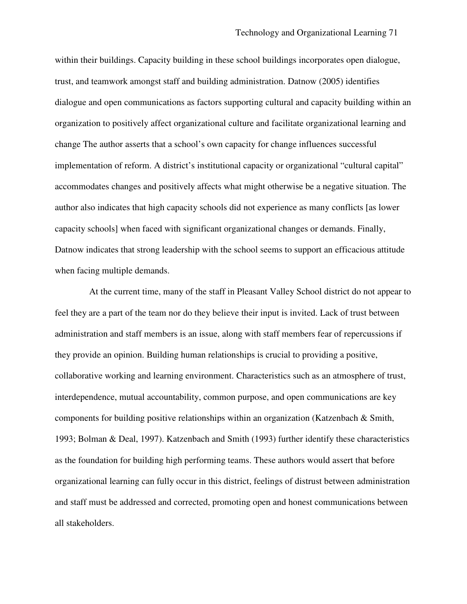within their buildings. Capacity building in these school buildings incorporates open dialogue, trust, and teamwork amongst staff and building administration. Datnow (2005) identifies dialogue and open communications as factors supporting cultural and capacity building within an organization to positively affect organizational culture and facilitate organizational learning and change The author asserts that a school's own capacity for change influences successful implementation of reform. A district's institutional capacity or organizational "cultural capital" accommodates changes and positively affects what might otherwise be a negative situation. The author also indicates that high capacity schools did not experience as many conflicts [as lower capacity schools] when faced with significant organizational changes or demands. Finally, Datnow indicates that strong leadership with the school seems to support an efficacious attitude when facing multiple demands.

At the current time, many of the staff in Pleasant Valley School district do not appear to feel they are a part of the team nor do they believe their input is invited. Lack of trust between administration and staff members is an issue, along with staff members fear of repercussions if they provide an opinion. Building human relationships is crucial to providing a positive, collaborative working and learning environment. Characteristics such as an atmosphere of trust, interdependence, mutual accountability, common purpose, and open communications are key components for building positive relationships within an organization (Katzenbach & Smith, 1993; Bolman & Deal, 1997). Katzenbach and Smith (1993) further identify these characteristics as the foundation for building high performing teams. These authors would assert that before organizational learning can fully occur in this district, feelings of distrust between administration and staff must be addressed and corrected, promoting open and honest communications between all stakeholders.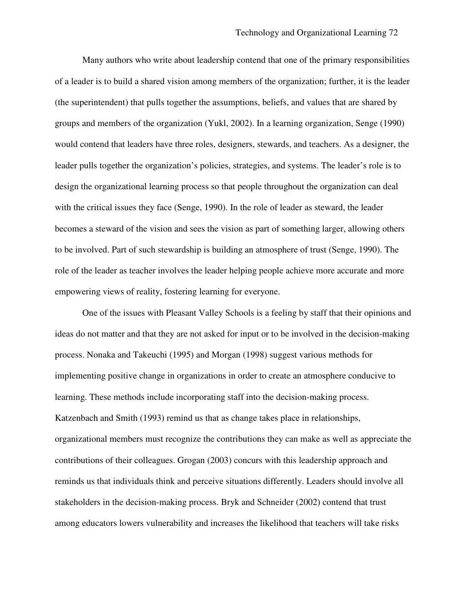Many authors who write about leadership contend that one of the primary responsibilities of a leader is to build a shared vision among members of the organization; further, it is the leader (the superintendent) that pulls together the assumptions, beliefs, and values that are shared by groups and members of the organization (Yukl, 2002). In a learning organization, Senge (1990) would contend that leaders have three roles, designers, stewards, and teachers. As a designer, the leader pulls together the organization's policies, strategies, and systems. The leader's role is to design the organizational learning process so that people throughout the organization can deal with the critical issues they face (Senge, 1990). In the role of leader as steward, the leader becomes a steward of the vision and sees the vision as part of something larger, allowing others to be involved. Part of such stewardship is building an atmosphere of trust (Senge, 1990). The role of the leader as teacher involves the leader helping people achieve more accurate and more empowering views of reality, fostering learning for everyone.

One of the issues with Pleasant Valley Schools is a feeling by staff that their opinions and ideas do not matter and that they are not asked for input or to be involved in the decision-making process. Nonaka and Takeuchi (1995) and Morgan (1998) suggest various methods for implementing positive change in organizations in order to create an atmosphere conducive to learning. These methods include incorporating staff into the decision-making process. Katzenbach and Smith (1993) remind us that as change takes place in relationships, organizational members must recognize the contributions they can make as well as appreciate the contributions of their colleagues. Grogan (2003) concurs with this leadership approach and reminds us that individuals think and perceive situations differently. Leaders should involve all stakeholders in the decision-making process. Bryk and Schneider (2002) contend that trust among educators lowers vulnerability and increases the likelihood that teachers will take risks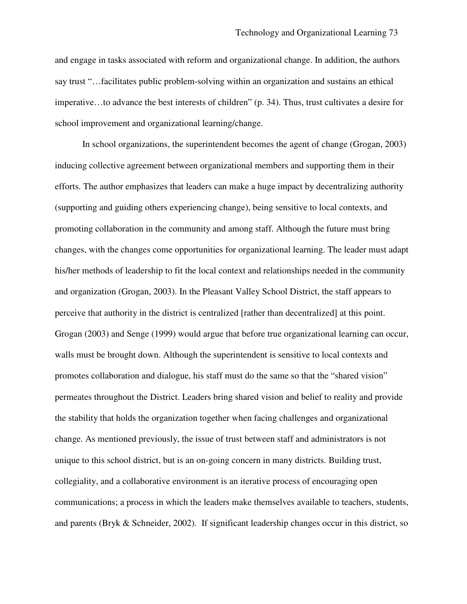and engage in tasks associated with reform and organizational change. In addition, the authors say trust "…facilitates public problem-solving within an organization and sustains an ethical imperative…to advance the best interests of children" (p. 34). Thus, trust cultivates a desire for school improvement and organizational learning/change.

In school organizations, the superintendent becomes the agent of change (Grogan, 2003) inducing collective agreement between organizational members and supporting them in their efforts. The author emphasizes that leaders can make a huge impact by decentralizing authority (supporting and guiding others experiencing change), being sensitive to local contexts, and promoting collaboration in the community and among staff. Although the future must bring changes, with the changes come opportunities for organizational learning. The leader must adapt his/her methods of leadership to fit the local context and relationships needed in the community and organization (Grogan, 2003). In the Pleasant Valley School District, the staff appears to perceive that authority in the district is centralized [rather than decentralized] at this point. Grogan (2003) and Senge (1999) would argue that before true organizational learning can occur, walls must be brought down. Although the superintendent is sensitive to local contexts and promotes collaboration and dialogue, his staff must do the same so that the "shared vision" permeates throughout the District. Leaders bring shared vision and belief to reality and provide the stability that holds the organization together when facing challenges and organizational change. As mentioned previously, the issue of trust between staff and administrators is not unique to this school district, but is an on-going concern in many districts. Building trust, collegiality, and a collaborative environment is an iterative process of encouraging open communications; a process in which the leaders make themselves available to teachers, students, and parents (Bryk & Schneider, 2002). If significant leadership changes occur in this district, so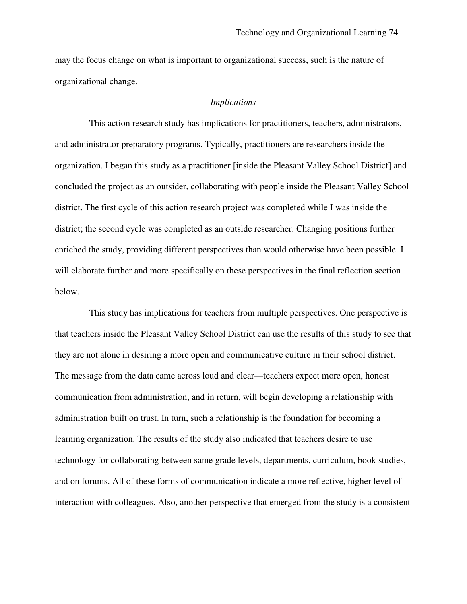may the focus change on what is important to organizational success, such is the nature of organizational change.

### *Implications*

This action research study has implications for practitioners, teachers, administrators, and administrator preparatory programs. Typically, practitioners are researchers inside the organization. I began this study as a practitioner [inside the Pleasant Valley School District] and concluded the project as an outsider, collaborating with people inside the Pleasant Valley School district. The first cycle of this action research project was completed while I was inside the district; the second cycle was completed as an outside researcher. Changing positions further enriched the study, providing different perspectives than would otherwise have been possible. I will elaborate further and more specifically on these perspectives in the final reflection section below.

This study has implications for teachers from multiple perspectives. One perspective is that teachers inside the Pleasant Valley School District can use the results of this study to see that they are not alone in desiring a more open and communicative culture in their school district. The message from the data came across loud and clear—teachers expect more open, honest communication from administration, and in return, will begin developing a relationship with administration built on trust. In turn, such a relationship is the foundation for becoming a learning organization. The results of the study also indicated that teachers desire to use technology for collaborating between same grade levels, departments, curriculum, book studies, and on forums. All of these forms of communication indicate a more reflective, higher level of interaction with colleagues. Also, another perspective that emerged from the study is a consistent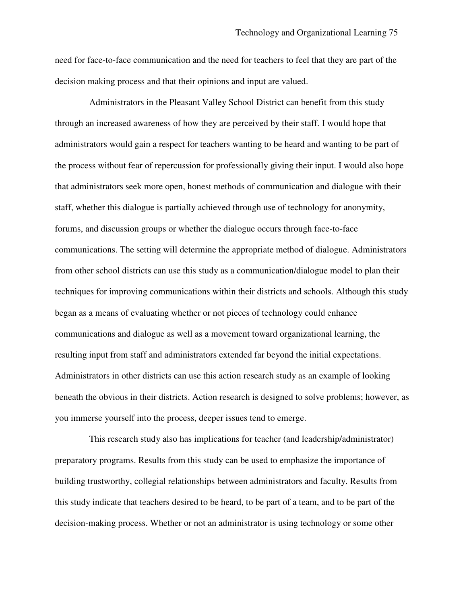need for face-to-face communication and the need for teachers to feel that they are part of the decision making process and that their opinions and input are valued.

Administrators in the Pleasant Valley School District can benefit from this study through an increased awareness of how they are perceived by their staff. I would hope that administrators would gain a respect for teachers wanting to be heard and wanting to be part of the process without fear of repercussion for professionally giving their input. I would also hope that administrators seek more open, honest methods of communication and dialogue with their staff, whether this dialogue is partially achieved through use of technology for anonymity, forums, and discussion groups or whether the dialogue occurs through face-to-face communications. The setting will determine the appropriate method of dialogue. Administrators from other school districts can use this study as a communication/dialogue model to plan their techniques for improving communications within their districts and schools. Although this study began as a means of evaluating whether or not pieces of technology could enhance communications and dialogue as well as a movement toward organizational learning, the resulting input from staff and administrators extended far beyond the initial expectations. Administrators in other districts can use this action research study as an example of looking beneath the obvious in their districts. Action research is designed to solve problems; however, as you immerse yourself into the process, deeper issues tend to emerge.

This research study also has implications for teacher (and leadership/administrator) preparatory programs. Results from this study can be used to emphasize the importance of building trustworthy, collegial relationships between administrators and faculty. Results from this study indicate that teachers desired to be heard, to be part of a team, and to be part of the decision-making process. Whether or not an administrator is using technology or some other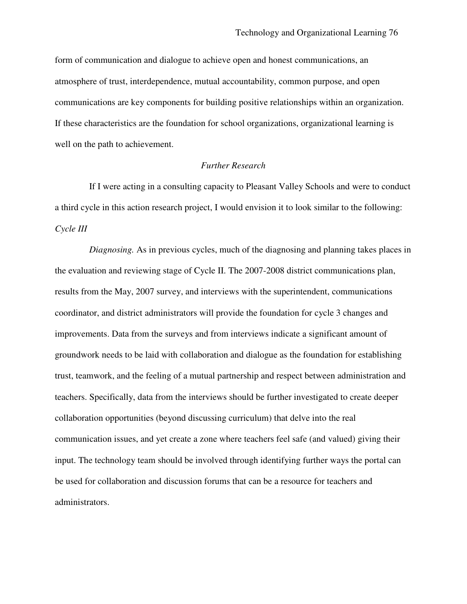form of communication and dialogue to achieve open and honest communications, an atmosphere of trust, interdependence, mutual accountability, common purpose, and open communications are key components for building positive relationships within an organization. If these characteristics are the foundation for school organizations, organizational learning is well on the path to achievement.

### *Further Research*

If I were acting in a consulting capacity to Pleasant Valley Schools and were to conduct a third cycle in this action research project, I would envision it to look similar to the following: *Cycle III*

*Diagnosing.* As in previous cycles, much of the diagnosing and planning takes places in the evaluation and reviewing stage of Cycle II. The 2007-2008 district communications plan, results from the May, 2007 survey, and interviews with the superintendent, communications coordinator, and district administrators will provide the foundation for cycle 3 changes and improvements. Data from the surveys and from interviews indicate a significant amount of groundwork needs to be laid with collaboration and dialogue as the foundation for establishing trust, teamwork, and the feeling of a mutual partnership and respect between administration and teachers. Specifically, data from the interviews should be further investigated to create deeper collaboration opportunities (beyond discussing curriculum) that delve into the real communication issues, and yet create a zone where teachers feel safe (and valued) giving their input. The technology team should be involved through identifying further ways the portal can be used for collaboration and discussion forums that can be a resource for teachers and administrators.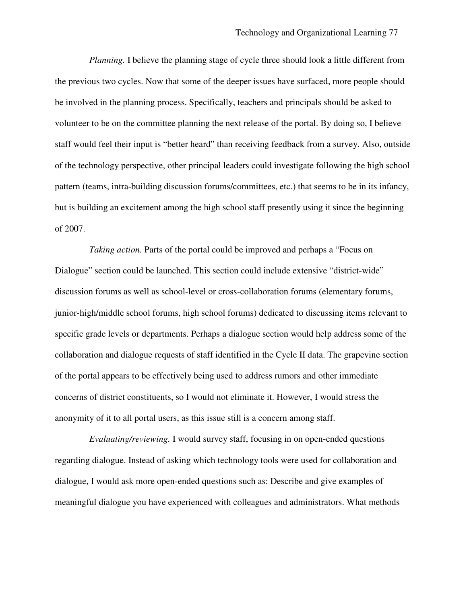*Planning.* I believe the planning stage of cycle three should look a little different from the previous two cycles. Now that some of the deeper issues have surfaced, more people should be involved in the planning process. Specifically, teachers and principals should be asked to volunteer to be on the committee planning the next release of the portal. By doing so, I believe staff would feel their input is "better heard" than receiving feedback from a survey. Also, outside of the technology perspective, other principal leaders could investigate following the high school pattern (teams, intra-building discussion forums/committees, etc.) that seems to be in its infancy, but is building an excitement among the high school staff presently using it since the beginning of 2007.

*Taking action.* Parts of the portal could be improved and perhaps a "Focus on Dialogue" section could be launched. This section could include extensive "district-wide" discussion forums as well as school-level or cross-collaboration forums (elementary forums, junior-high/middle school forums, high school forums) dedicated to discussing items relevant to specific grade levels or departments. Perhaps a dialogue section would help address some of the collaboration and dialogue requests of staff identified in the Cycle II data. The grapevine section of the portal appears to be effectively being used to address rumors and other immediate concerns of district constituents, so I would not eliminate it. However, I would stress the anonymity of it to all portal users, as this issue still is a concern among staff.

*Evaluating/reviewing.* I would survey staff, focusing in on open-ended questions regarding dialogue. Instead of asking which technology tools were used for collaboration and dialogue, I would ask more open-ended questions such as: Describe and give examples of meaningful dialogue you have experienced with colleagues and administrators. What methods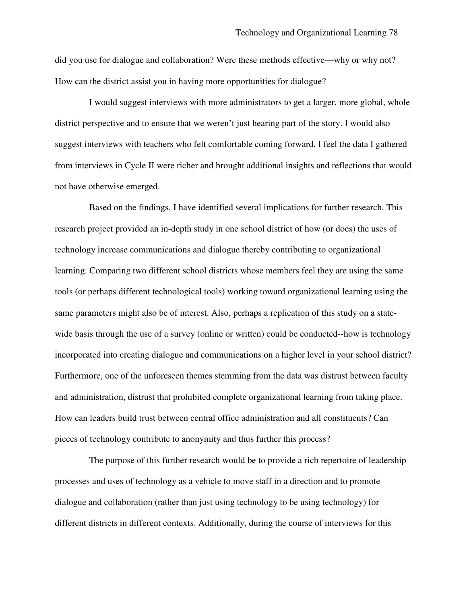did you use for dialogue and collaboration? Were these methods effective—why or why not? How can the district assist you in having more opportunities for dialogue?

I would suggest interviews with more administrators to get a larger, more global, whole district perspective and to ensure that we weren't just hearing part of the story. I would also suggest interviews with teachers who felt comfortable coming forward. I feel the data I gathered from interviews in Cycle II were richer and brought additional insights and reflections that would not have otherwise emerged.

Based on the findings, I have identified several implications for further research. This research project provided an in-depth study in one school district of how (or does) the uses of technology increase communications and dialogue thereby contributing to organizational learning. Comparing two different school districts whose members feel they are using the same tools (or perhaps different technological tools) working toward organizational learning using the same parameters might also be of interest. Also, perhaps a replication of this study on a statewide basis through the use of a survey (online or written) could be conducted-how is technology incorporated into creating dialogue and communications on a higher level in your school district? Furthermore, one of the unforeseen themes stemming from the data was distrust between faculty and administration, distrust that prohibited complete organizational learning from taking place. How can leaders build trust between central office administration and all constituents? Can pieces of technology contribute to anonymity and thus further this process?

The purpose of this further research would be to provide a rich repertoire of leadership processes and uses of technology as a vehicle to move staff in a direction and to promote dialogue and collaboration (rather than just using technology to be using technology) for different districts in different contexts. Additionally, during the course of interviews for this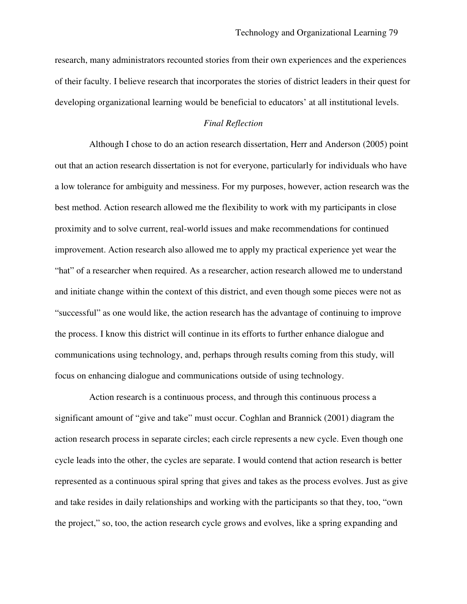research, many administrators recounted stories from their own experiences and the experiences of their faculty. I believe research that incorporates the stories of district leaders in their quest for developing organizational learning would be beneficial to educators' at all institutional levels.

### *Final Reflection*

Although I chose to do an action research dissertation, Herr and Anderson (2005) point out that an action research dissertation is not for everyone, particularly for individuals who have a low tolerance for ambiguity and messiness. For my purposes, however, action research was the best method. Action research allowed me the flexibility to work with my participants in close proximity and to solve current, real-world issues and make recommendations for continued improvement. Action research also allowed me to apply my practical experience yet wear the "hat" of a researcher when required. As a researcher, action research allowed me to understand and initiate change within the context of this district, and even though some pieces were not as "successful" as one would like, the action research has the advantage of continuing to improve the process. I know this district will continue in its efforts to further enhance dialogue and communications using technology, and, perhaps through results coming from this study, will focus on enhancing dialogue and communications outside of using technology.

Action research is a continuous process, and through this continuous process a significant amount of "give and take" must occur. Coghlan and Brannick (2001) diagram the action research process in separate circles; each circle represents a new cycle. Even though one cycle leads into the other, the cycles are separate. I would contend that action research is better represented as a continuous spiral spring that gives and takes as the process evolves. Just as give and take resides in daily relationships and working with the participants so that they, too, "own the project," so, too, the action research cycle grows and evolves, like a spring expanding and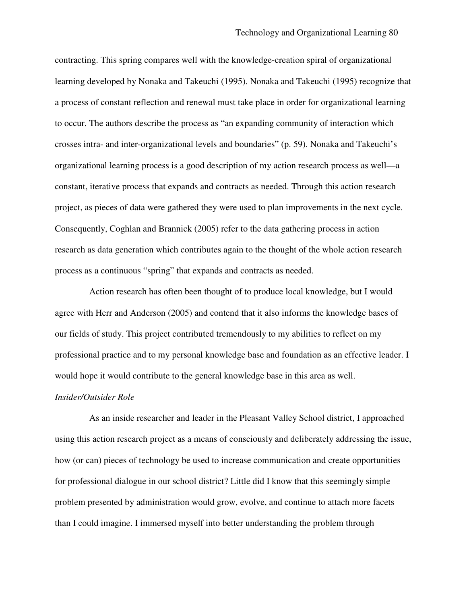contracting. This spring compares well with the knowledge-creation spiral of organizational learning developed by Nonaka and Takeuchi (1995). Nonaka and Takeuchi (1995) recognize that a process of constant reflection and renewal must take place in order for organizational learning to occur. The authors describe the process as "an expanding community of interaction which crosses intra- and inter-organizational levels and boundaries" (p. 59). Nonaka and Takeuchi's organizational learning process is a good description of my action research process as well—a constant, iterative process that expands and contracts as needed. Through this action research project, as pieces of data were gathered they were used to plan improvements in the next cycle. Consequently, Coghlan and Brannick (2005) refer to the data gathering process in action research as data generation which contributes again to the thought of the whole action research process as a continuous "spring" that expands and contracts as needed.

Action research has often been thought of to produce local knowledge, but I would agree with Herr and Anderson (2005) and contend that it also informs the knowledge bases of our fields of study. This project contributed tremendously to my abilities to reflect on my professional practice and to my personal knowledge base and foundation as an effective leader. I would hope it would contribute to the general knowledge base in this area as well.

#### *Insider/Outsider Role*

As an inside researcher and leader in the Pleasant Valley School district, I approached using this action research project as a means of consciously and deliberately addressing the issue, how (or can) pieces of technology be used to increase communication and create opportunities for professional dialogue in our school district? Little did I know that this seemingly simple problem presented by administration would grow, evolve, and continue to attach more facets than I could imagine. I immersed myself into better understanding the problem through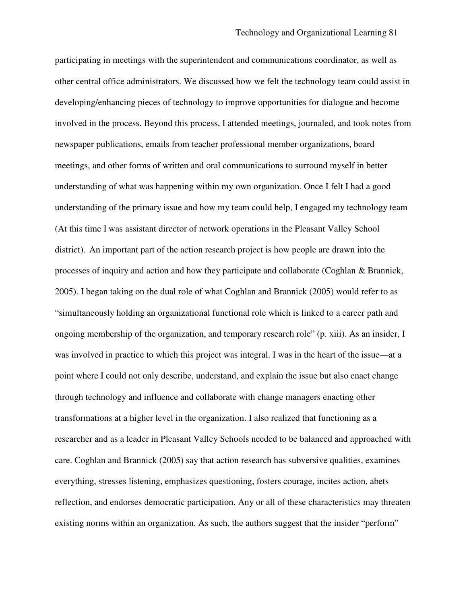participating in meetings with the superintendent and communications coordinator, as well as other central office administrators. We discussed how we felt the technology team could assist in developing/enhancing pieces of technology to improve opportunities for dialogue and become involved in the process. Beyond this process, I attended meetings, journaled, and took notes from newspaper publications, emails from teacher professional member organizations, board meetings, and other forms of written and oral communications to surround myself in better understanding of what was happening within my own organization. Once I felt I had a good understanding of the primary issue and how my team could help, I engaged my technology team (At this time I was assistant director of network operations in the Pleasant Valley School district). An important part of the action research project is how people are drawn into the processes of inquiry and action and how they participate and collaborate (Coghlan & Brannick, 2005). I began taking on the dual role of what Coghlan and Brannick (2005) would refer to as "simultaneously holding an organizational functional role which is linked to a career path and ongoing membership of the organization, and temporary research role" (p. xiii). As an insider, I was involved in practice to which this project was integral. I was in the heart of the issue—at a point where I could not only describe, understand, and explain the issue but also enact change through technology and influence and collaborate with change managers enacting other transformations at a higher level in the organization. I also realized that functioning as a researcher and as a leader in Pleasant Valley Schools needed to be balanced and approached with care. Coghlan and Brannick (2005) say that action research has subversive qualities, examines everything, stresses listening, emphasizes questioning, fosters courage, incites action, abets reflection, and endorses democratic participation. Any or all of these characteristics may threaten existing norms within an organization. As such, the authors suggest that the insider "perform"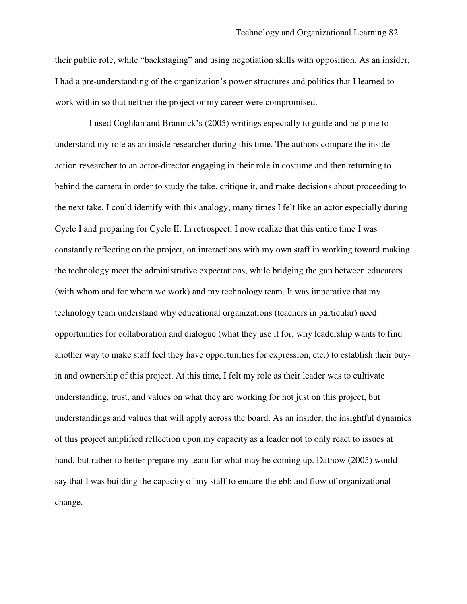their public role, while "backstaging" and using negotiation skills with opposition. As an insider, I had a pre-understanding of the organization's power structures and politics that I learned to work within so that neither the project or my career were compromised.

I used Coghlan and Brannick's (2005) writings especially to guide and help me to understand my role as an inside researcher during this time. The authors compare the inside action researcher to an actor-director engaging in their role in costume and then returning to behind the camera in order to study the take, critique it, and make decisions about proceeding to the next take. I could identify with this analogy; many times I felt like an actor especially during Cycle I and preparing for Cycle II. In retrospect, I now realize that this entire time I was constantly reflecting on the project, on interactions with my own staff in working toward making the technology meet the administrative expectations, while bridging the gap between educators (with whom and for whom we work) and my technology team. It was imperative that my technology team understand why educational organizations (teachers in particular) need opportunities for collaboration and dialogue (what they use it for, why leadership wants to find another way to make staff feel they have opportunities for expression, etc.) to establish their buyin and ownership of this project. At this time, I felt my role as their leader was to cultivate understanding, trust, and values on what they are working for not just on this project, but understandings and values that will apply across the board. As an insider, the insightful dynamics of this project amplified reflection upon my capacity as a leader not to only react to issues at hand, but rather to better prepare my team for what may be coming up. Datnow (2005) would say that I was building the capacity of my staff to endure the ebb and flow of organizational change.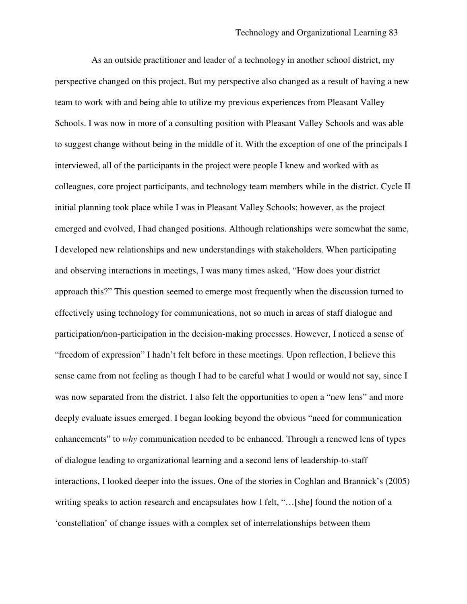As an outside practitioner and leader of a technology in another school district, my perspective changed on this project. But my perspective also changed as a result of having a new team to work with and being able to utilize my previous experiences from Pleasant Valley Schools. I was now in more of a consulting position with Pleasant Valley Schools and was able to suggest change without being in the middle of it. With the exception of one of the principals I interviewed, all of the participants in the project were people I knew and worked with as colleagues, core project participants, and technology team members while in the district. Cycle II initial planning took place while I was in Pleasant Valley Schools; however, as the project emerged and evolved, I had changed positions. Although relationships were somewhat the same, I developed new relationships and new understandings with stakeholders. When participating and observing interactions in meetings, I was many times asked, "How does your district approach this?" This question seemed to emerge most frequently when the discussion turned to effectively using technology for communications, not so much in areas of staff dialogue and participation/non-participation in the decision-making processes. However, I noticed a sense of "freedom of expression" I hadn't felt before in these meetings. Upon reflection, I believe this sense came from not feeling as though I had to be careful what I would or would not say, since I was now separated from the district. I also felt the opportunities to open a "new lens" and more deeply evaluate issues emerged. I began looking beyond the obvious "need for communication enhancements" to *why* communication needed to be enhanced. Through a renewed lens of types of dialogue leading to organizational learning and a second lens of leadership-to-staff interactions, I looked deeper into the issues. One of the stories in Coghlan and Brannick's (2005) writing speaks to action research and encapsulates how I felt, "…[she] found the notion of a 'constellation' of change issues with a complex set of interrelationships between them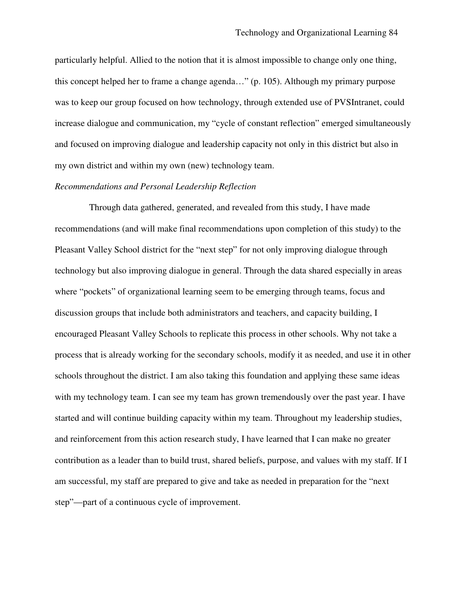particularly helpful. Allied to the notion that it is almost impossible to change only one thing, this concept helped her to frame a change agenda…" (p. 105). Although my primary purpose was to keep our group focused on how technology, through extended use of PVSIntranet, could increase dialogue and communication, my "cycle of constant reflection" emerged simultaneously and focused on improving dialogue and leadership capacity not only in this district but also in my own district and within my own (new) technology team.

#### *Recommendations and Personal Leadership Reflection*

Through data gathered, generated, and revealed from this study, I have made recommendations (and will make final recommendations upon completion of this study) to the Pleasant Valley School district for the "next step" for not only improving dialogue through technology but also improving dialogue in general. Through the data shared especially in areas where "pockets" of organizational learning seem to be emerging through teams, focus and discussion groups that include both administrators and teachers, and capacity building, I encouraged Pleasant Valley Schools to replicate this process in other schools. Why not take a process that is already working for the secondary schools, modify it as needed, and use it in other schools throughout the district. I am also taking this foundation and applying these same ideas with my technology team. I can see my team has grown tremendously over the past year. I have started and will continue building capacity within my team. Throughout my leadership studies, and reinforcement from this action research study, I have learned that I can make no greater contribution as a leader than to build trust, shared beliefs, purpose, and values with my staff. If I am successful, my staff are prepared to give and take as needed in preparation for the "next step"—part of a continuous cycle of improvement.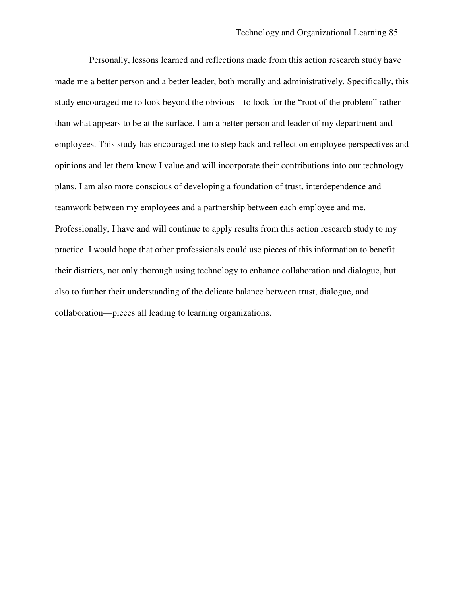Personally, lessons learned and reflections made from this action research study have made me a better person and a better leader, both morally and administratively. Specifically, this study encouraged me to look beyond the obvious—to look for the "root of the problem" rather than what appears to be at the surface. I am a better person and leader of my department and employees. This study has encouraged me to step back and reflect on employee perspectives and opinions and let them know I value and will incorporate their contributions into our technology plans. I am also more conscious of developing a foundation of trust, interdependence and teamwork between my employees and a partnership between each employee and me. Professionally, I have and will continue to apply results from this action research study to my practice. I would hope that other professionals could use pieces of this information to benefit their districts, not only thorough using technology to enhance collaboration and dialogue, but also to further their understanding of the delicate balance between trust, dialogue, and collaboration—pieces all leading to learning organizations.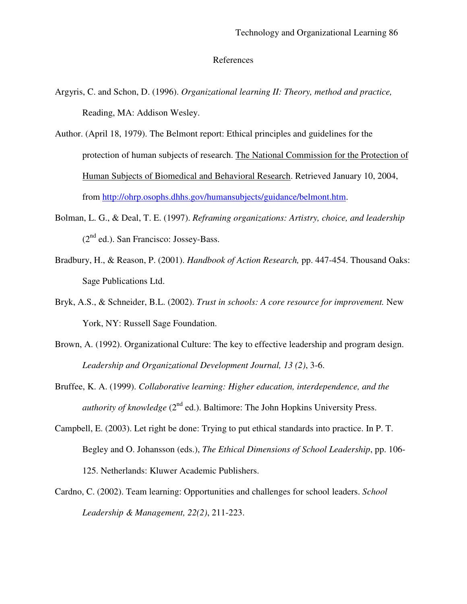### References

- Argyris, C. and Schon, D. (1996). *Organizational learning II: Theory, method and practice,* Reading, MA: Addison Wesley.
- Author. (April 18, 1979). The Belmont report: Ethical principles and guidelines for the protection of human subjects of research. The National Commission for the Protection of Human Subjects of Biomedical and Behavioral Research. Retrieved January 10, 2004, from http://ohrp.osophs.dhhs.gov/humansubjects/guidance/belmont.htm.
- Bolman, L. G., & Deal, T. E. (1997). *Reframing organizations: Artistry, choice, and leadership* (2<sup>nd</sup> ed.). San Francisco: Jossey-Bass.
- Bradbury, H., & Reason, P. (2001). *Handbook of Action Research,* pp. 447-454. Thousand Oaks: Sage Publications Ltd.
- Bryk, A.S., & Schneider, B.L. (2002). *Trust in schools: A core resource for improvement.* New York, NY: Russell Sage Foundation.
- Brown, A. (1992). Organizational Culture: The key to effective leadership and program design. *Leadership and Organizational Development Journal, 13 (2)*, 3-6.
- Bruffee, K. A. (1999). *Collaborative learning: Higher education, interdependence, and the authority of knowledge* (2<sup>nd</sup> ed.). Baltimore: The John Hopkins University Press.
- Campbell, E. (2003). Let right be done: Trying to put ethical standards into practice. In P. T. Begley and O. Johansson (eds.), *The Ethical Dimensions of School Leadership*, pp. 106- 125. Netherlands: Kluwer Academic Publishers.
- Cardno, C. (2002). Team learning: Opportunities and challenges for school leaders. *School Leadership & Management, 22(2)*, 211-223.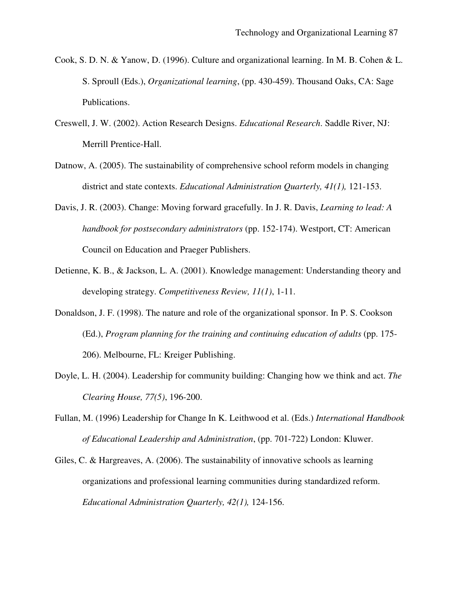- Cook, S. D. N. & Yanow, D. (1996). Culture and organizational learning. In M. B. Cohen & L. S. Sproull (Eds.), *Organizational learning*, (pp. 430-459). Thousand Oaks, CA: Sage Publications.
- Creswell, J. W. (2002). Action Research Designs. *Educational Research*. Saddle River, NJ: Merrill Prentice-Hall.
- Datnow, A. (2005). The sustainability of comprehensive school reform models in changing district and state contexts. *Educational Administration Quarterly, 41(1),* 121-153.
- Davis, J. R. (2003). Change: Moving forward gracefully. In J. R. Davis, *Learning to lead: A handbook for postsecondary administrators* (pp. 152-174). Westport, CT: American Council on Education and Praeger Publishers.
- Detienne, K. B., & Jackson, L. A. (2001). Knowledge management: Understanding theory and developing strategy. *Competitiveness Review, 11(1)*, 1-11.
- Donaldson, J. F. (1998). The nature and role of the organizational sponsor. In P. S. Cookson (Ed.), *Program planning for the training and continuing education of adults* (pp. 175- 206). Melbourne, FL: Kreiger Publishing.
- Doyle, L. H. (2004). Leadership for community building: Changing how we think and act. *The Clearing House, 77(5)*, 196-200.
- Fullan, M. (1996) Leadership for Change In K. Leithwood et al. (Eds.) *International Handbook of Educational Leadership and Administration*, (pp. 701-722) London: Kluwer.
- Giles, C. & Hargreaves, A. (2006). The sustainability of innovative schools as learning organizations and professional learning communities during standardized reform. *Educational Administration Quarterly, 42(1),* 124-156.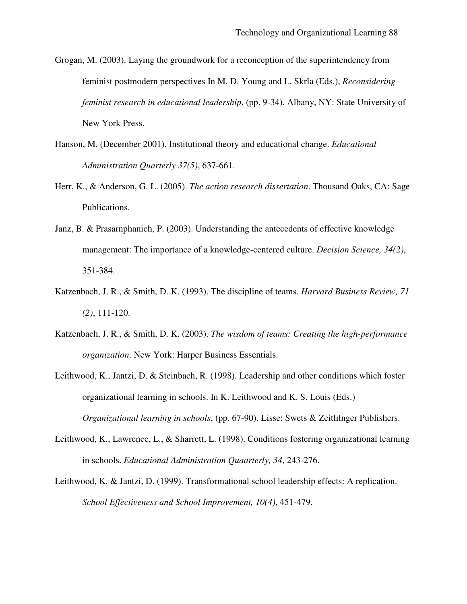- Grogan, M. (2003). Laying the groundwork for a reconception of the superintendency from feminist postmodern perspectives In M. D. Young and L. Skrla (Eds.), *Reconsidering feminist research in educational leadership*, (pp. 9-34). Albany, NY: State University of New York Press.
- Hanson, M. (December 2001). Institutional theory and educational change. *Educational Administration Quarterly 37(5)*, 637-661.
- Herr, K., & Anderson, G. L. (2005). *The action research dissertation*. Thousand Oaks, CA: Sage Publications.
- Janz, B. & Prasarnphanich, P. (2003). Understanding the antecedents of effective knowledge management: The importance of a knowledge-centered culture. *Decision Science, 34(2)*, 351-384.
- Katzenbach, J. R., & Smith, D. K. (1993). The discipline of teams. *Harvard Business Review, 71 (2)*, 111-120.
- Katzenbach, J. R., & Smith, D. K. (2003). *The wisdom of teams: Creating the high-performance organization*. New York: Harper Business Essentials.
- Leithwood, K., Jantzi, D. & Steinbach, R. (1998). Leadership and other conditions which foster organizational learning in schools. In K. Leithwood and K. S. Louis (Eds.) *Organizational learning in schools*, (pp. 67-90). Lisse: Swets & Zeitlilnger Publishers.
- Leithwood, K., Lawrence, L., & Sharrett, L. (1998). Conditions fostering organizational learning in schools. *Educational Administration Quaarterly, 34*, 243-276.
- Leithwood, K. & Jantzi, D. (1999). Transformational school leadership effects: A replication. *School Effectiveness and School Improvement, 10(4)*, 451-479.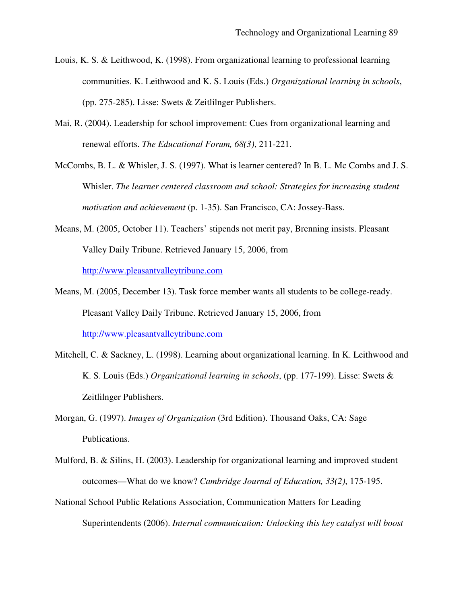- Louis, K. S. & Leithwood, K. (1998). From organizational learning to professional learning communities. K. Leithwood and K. S. Louis (Eds.) *Organizational learning in schools*, (pp. 275-285). Lisse: Swets & Zeitlilnger Publishers.
- Mai, R. (2004). Leadership for school improvement: Cues from organizational learning and renewal efforts. *The Educational Forum, 68(3)*, 211-221.
- McCombs, B. L. & Whisler, J. S. (1997). What is learner centered? In B. L. Mc Combs and J. S. Whisler. *The learner centered classroom and school: Strategies for increasing student motivation and achievement* (p. 1-35). San Francisco, CA: Jossey-Bass.
- Means, M. (2005, October 11). Teachers' stipends not merit pay, Brenning insists. Pleasant Valley Daily Tribune. Retrieved January 15, 2006, from http://www.pleasantvalleytribune.com
- Means, M. (2005, December 13). Task force member wants all students to be college-ready. Pleasant Valley Daily Tribune. Retrieved January 15, 2006, from http://www.pleasantvalleytribune.com
- Mitchell, C. & Sackney, L. (1998). Learning about organizational learning. In K. Leithwood and K. S. Louis (Eds.) *Organizational learning in schools*, (pp. 177-199). Lisse: Swets & Zeitlilnger Publishers.
- Morgan, G. (1997). *Images of Organization* (3rd Edition). Thousand Oaks, CA: Sage Publications.
- Mulford, B. & Silins, H. (2003). Leadership for organizational learning and improved student outcomes—What do we know? *Cambridge Journal of Education, 33(2)*, 175-195.
- National School Public Relations Association, Communication Matters for Leading Superintendents (2006). *Internal communication: Unlocking this key catalyst will boost*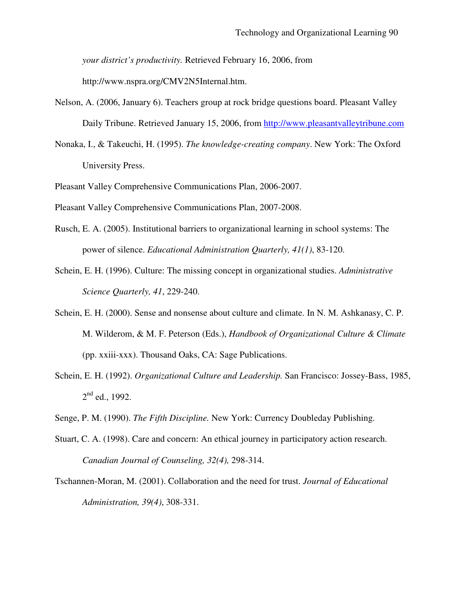*your district's productivity.* Retrieved February 16, 2006, from

http://www.nspra.org/CMV2N5Internal.htm.

- Nelson, A. (2006, January 6). Teachers group at rock bridge questions board. Pleasant Valley Daily Tribune. Retrieved January 15, 2006, from http://www.pleasantvalleytribune.com
- Nonaka, I., & Takeuchi, H. (1995). *The knowledge-creating company*. New York: The Oxford University Press.
- Pleasant Valley Comprehensive Communications Plan, 2006-2007.
- Pleasant Valley Comprehensive Communications Plan, 2007-2008.
- Rusch, E. A. (2005). Institutional barriers to organizational learning in school systems: The power of silence. *Educational Administration Quarterly, 41(1)*, 83-120.
- Schein, E. H. (1996). Culture: The missing concept in organizational studies. *Administrative Science Quarterly, 41*, 229-240.
- Schein, E. H. (2000). Sense and nonsense about culture and climate. In N. M. Ashkanasy, C. P. M. Wilderom, & M. F. Peterson (Eds.), *Handbook of Organizational Culture & Climate* (pp. xxiii-xxx). Thousand Oaks, CA: Sage Publications.
- Schein, E. H. (1992). *Organizational Culture and Leadership.* San Francisco: Jossey-Bass, 1985,  $2<sup>nd</sup>$  ed., 1992.
- Senge, P. M. (1990). *The Fifth Discipline.* New York: Currency Doubleday Publishing.
- Stuart, C. A. (1998). Care and concern: An ethical journey in participatory action research. *Canadian Journal of Counseling, 32(4),* 298-314.
- Tschannen-Moran, M. (2001). Collaboration and the need for trust. *Journal of Educational Administration, 39(4)*, 308-331.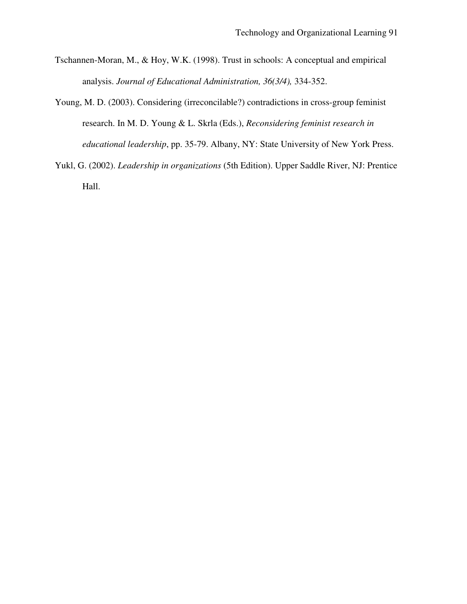- Tschannen-Moran, M., & Hoy, W.K. (1998). Trust in schools: A conceptual and empirical analysis. *Journal of Educational Administration, 36(3/4),* 334-352.
- Young, M. D. (2003). Considering (irreconcilable?) contradictions in cross-group feminist research. In M. D. Young & L. Skrla (Eds.), *Reconsidering feminist research in educational leadership*, pp. 35-79. Albany, NY: State University of New York Press.
- Yukl, G. (2002). *Leadership in organizations* (5th Edition). Upper Saddle River, NJ: Prentice Hall.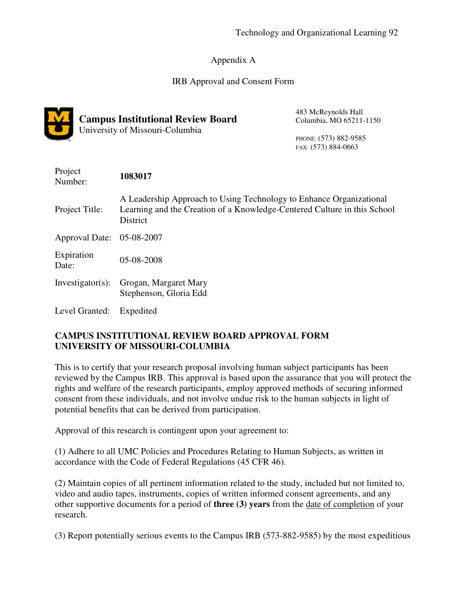# Appendix A

# IRB Approval and Consent Form



# **Campus Institutional Review Board**

University of Missouri-Columbia

483 McReynolds Hall Columbia, MO 65211-1150

PHONE: (573) 882-9585 FAX: (573) 884-0663

| Project<br>Number:        | 1083017                                                                                                                                                            |
|---------------------------|--------------------------------------------------------------------------------------------------------------------------------------------------------------------|
| Project Title:            | A Leadership Approach to Using Technology to Enhance Organizational<br>Learning and the Creation of a Knowledge-Centered Culture in this School<br><b>District</b> |
| Approval Date: 05-08-2007 |                                                                                                                                                                    |
| Expiration<br>Date:       | 05-08-2008                                                                                                                                                         |
| Investigator(s):          | Grogan, Margaret Mary<br>Stephenson, Gloria Edd                                                                                                                    |
| Level Granted:            | Expedited                                                                                                                                                          |

# **CAMPUS INSTITUTIONAL REVIEW BOARD APPROVAL FORM UNIVERSITY OF MISSOURI-COLUMBIA**

This is to certify that your research proposal involving human subject participants has been reviewed by the Campus IRB. This approval is based upon the assurance that you will protect the rights and welfare of the research participants, employ approved methods of securing informed consent from these individuals, and not involve undue risk to the human subjects in light of potential benefits that can be derived from participation.

Approval of this research is contingent upon your agreement to:

(1) Adhere to all UMC Policies and Procedures Relating to Human Subjects, as written in accordance with the Code of Federal Regulations (45 CFR 46).

(2) Maintain copies of all pertinent information related to the study, included but not limited to, video and audio tapes, instruments, copies of written informed consent agreements, and any other supportive documents for a period of **three (3) years** from the date of completion of your research.

(3) Report potentially serious events to the Campus IRB (573-882-9585) by the most expeditious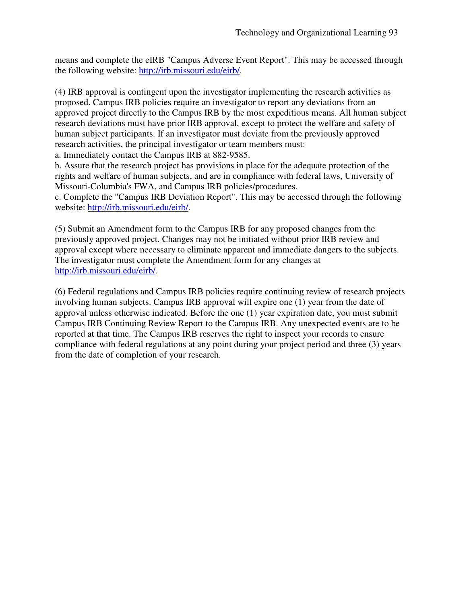means and complete the eIRB "Campus Adverse Event Report". This may be accessed through the following website: http://irb.missouri.edu/eirb/.

(4) IRB approval is contingent upon the investigator implementing the research activities as proposed. Campus IRB policies require an investigator to report any deviations from an approved project directly to the Campus IRB by the most expeditious means. All human subject research deviations must have prior IRB approval, except to protect the welfare and safety of human subject participants. If an investigator must deviate from the previously approved research activities, the principal investigator or team members must:

a. Immediately contact the Campus IRB at 882-9585.

b. Assure that the research project has provisions in place for the adequate protection of the rights and welfare of human subjects, and are in compliance with federal laws, University of Missouri-Columbia's FWA, and Campus IRB policies/procedures.

c. Complete the "Campus IRB Deviation Report". This may be accessed through the following website: http://irb.missouri.edu/eirb/.

(5) Submit an Amendment form to the Campus IRB for any proposed changes from the previously approved project. Changes may not be initiated without prior IRB review and approval except where necessary to eliminate apparent and immediate dangers to the subjects. The investigator must complete the Amendment form for any changes at http://irb.missouri.edu/eirb/.

(6) Federal regulations and Campus IRB policies require continuing review of research projects involving human subjects. Campus IRB approval will expire one (1) year from the date of approval unless otherwise indicated. Before the one (1) year expiration date, you must submit Campus IRB Continuing Review Report to the Campus IRB. Any unexpected events are to be reported at that time. The Campus IRB reserves the right to inspect your records to ensure compliance with federal regulations at any point during your project period and three (3) years from the date of completion of your research.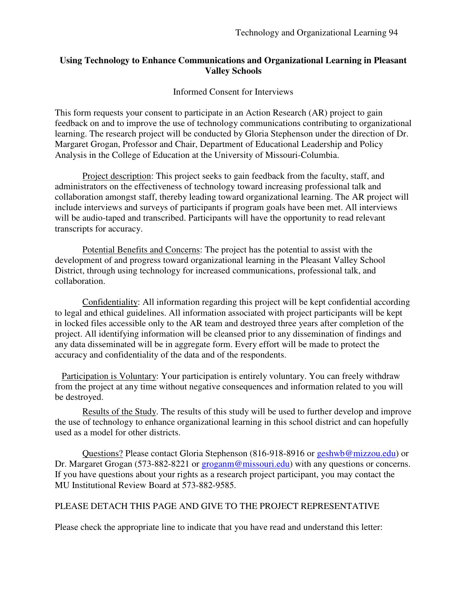## **Using Technology to Enhance Communications and Organizational Learning in Pleasant Valley Schools**

### Informed Consent for Interviews

This form requests your consent to participate in an Action Research (AR) project to gain feedback on and to improve the use of technology communications contributing to organizational learning. The research project will be conducted by Gloria Stephenson under the direction of Dr. Margaret Grogan, Professor and Chair, Department of Educational Leadership and Policy Analysis in the College of Education at the University of Missouri-Columbia.

Project description: This project seeks to gain feedback from the faculty, staff, and administrators on the effectiveness of technology toward increasing professional talk and collaboration amongst staff, thereby leading toward organizational learning. The AR project will include interviews and surveys of participants if program goals have been met. All interviews will be audio-taped and transcribed. Participants will have the opportunity to read relevant transcripts for accuracy.

Potential Benefits and Concerns: The project has the potential to assist with the development of and progress toward organizational learning in the Pleasant Valley School District, through using technology for increased communications, professional talk, and collaboration.

Confidentiality: All information regarding this project will be kept confidential according to legal and ethical guidelines. All information associated with project participants will be kept in locked files accessible only to the AR team and destroyed three years after completion of the project. All identifying information will be cleansed prior to any dissemination of findings and any data disseminated will be in aggregate form. Every effort will be made to protect the accuracy and confidentiality of the data and of the respondents.

Participation is Voluntary: Your participation is entirely voluntary. You can freely withdraw from the project at any time without negative consequences and information related to you will be destroyed.

Results of the Study. The results of this study will be used to further develop and improve the use of technology to enhance organizational learning in this school district and can hopefully used as a model for other districts.

Questions? Please contact Gloria Stephenson (816-918-8916 or geshwb@mizzou.edu) or Dr. Margaret Grogan (573-882-8221 or groganm@missouri.edu) with any questions or concerns. If you have questions about your rights as a research project participant, you may contact the MU Institutional Review Board at 573-882-9585.

# PLEASE DETACH THIS PAGE AND GIVE TO THE PROJECT REPRESENTATIVE

Please check the appropriate line to indicate that you have read and understand this letter: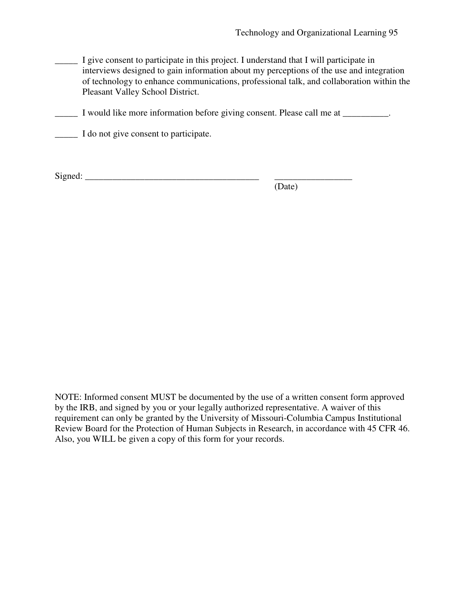\_\_\_\_\_ I give consent to participate in this project. I understand that I will participate in interviews designed to gain information about my perceptions of the use and integration of technology to enhance communications, professional talk, and collaboration within the Pleasant Valley School District.

\_\_\_\_\_ I would like more information before giving consent. Please call me at \_\_\_\_\_\_\_\_\_\_.

\_\_\_\_\_ I do not give consent to participate.

Signed: \_\_\_\_\_\_\_\_\_\_\_\_\_\_\_\_\_\_\_\_\_\_\_\_\_\_\_\_\_\_\_\_\_\_\_\_\_\_ \_\_\_\_\_\_\_\_\_\_\_\_\_\_\_\_\_

(Date)

NOTE: Informed consent MUST be documented by the use of a written consent form approved by the IRB, and signed by you or your legally authorized representative. A waiver of this requirement can only be granted by the University of Missouri-Columbia Campus Institutional Review Board for the Protection of Human Subjects in Research, in accordance with 45 CFR 46. Also, you WILL be given a copy of this form for your records.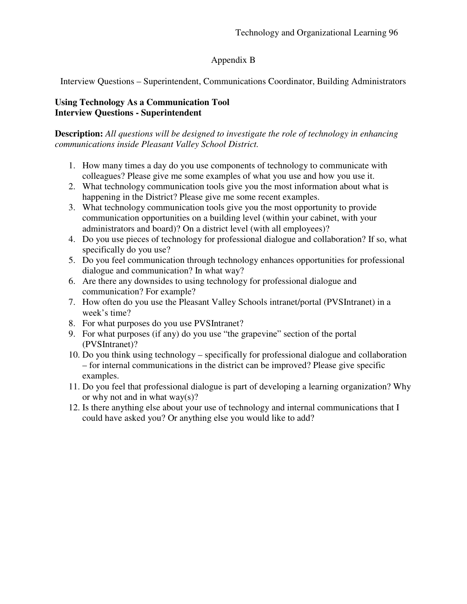# Appendix B

Interview Questions – Superintendent, Communications Coordinator, Building Administrators

# **Using Technology As a Communication Tool Interview Questions - Superintendent**

**Description:** *All questions will be designed to investigate the role of technology in enhancing communications inside Pleasant Valley School District.*

- 1. How many times a day do you use components of technology to communicate with colleagues? Please give me some examples of what you use and how you use it.
- 2. What technology communication tools give you the most information about what is happening in the District? Please give me some recent examples.
- 3. What technology communication tools give you the most opportunity to provide communication opportunities on a building level (within your cabinet, with your administrators and board)? On a district level (with all employees)?
- 4. Do you use pieces of technology for professional dialogue and collaboration? If so, what specifically do you use?
- 5. Do you feel communication through technology enhances opportunities for professional dialogue and communication? In what way?
- 6. Are there any downsides to using technology for professional dialogue and communication? For example?
- 7. How often do you use the Pleasant Valley Schools intranet/portal (PVSIntranet) in a week's time?
- 8. For what purposes do you use PVSIntranet?
- 9. For what purposes (if any) do you use "the grapevine" section of the portal (PVSIntranet)?
- 10. Do you think using technology specifically for professional dialogue and collaboration – for internal communications in the district can be improved? Please give specific examples.
- 11. Do you feel that professional dialogue is part of developing a learning organization? Why or why not and in what way(s)?
- 12. Is there anything else about your use of technology and internal communications that I could have asked you? Or anything else you would like to add?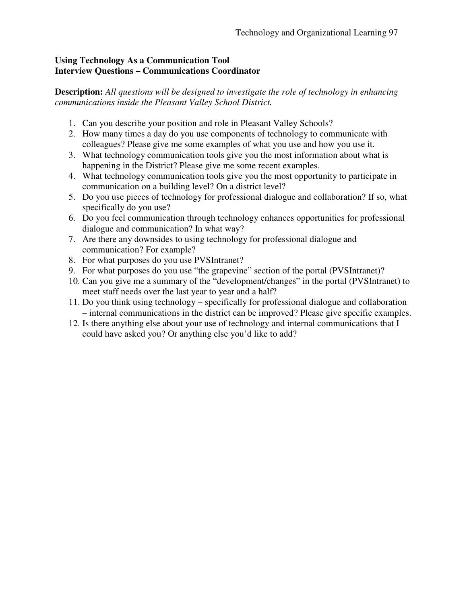## **Using Technology As a Communication Tool Interview Questions – Communications Coordinator**

**Description:** *All questions will be designed to investigate the role of technology in enhancing communications inside the Pleasant Valley School District.*

- 1. Can you describe your position and role in Pleasant Valley Schools?
- 2. How many times a day do you use components of technology to communicate with colleagues? Please give me some examples of what you use and how you use it.
- 3. What technology communication tools give you the most information about what is happening in the District? Please give me some recent examples.
- 4. What technology communication tools give you the most opportunity to participate in communication on a building level? On a district level?
- 5. Do you use pieces of technology for professional dialogue and collaboration? If so, what specifically do you use?
- 6. Do you feel communication through technology enhances opportunities for professional dialogue and communication? In what way?
- 7. Are there any downsides to using technology for professional dialogue and communication? For example?
- 8. For what purposes do you use PVSIntranet?
- 9. For what purposes do you use "the grapevine" section of the portal (PVSIntranet)?
- 10. Can you give me a summary of the "development/changes" in the portal (PVSIntranet) to meet staff needs over the last year to year and a half?
- 11. Do you think using technology specifically for professional dialogue and collaboration – internal communications in the district can be improved? Please give specific examples.
- 12. Is there anything else about your use of technology and internal communications that I could have asked you? Or anything else you'd like to add?